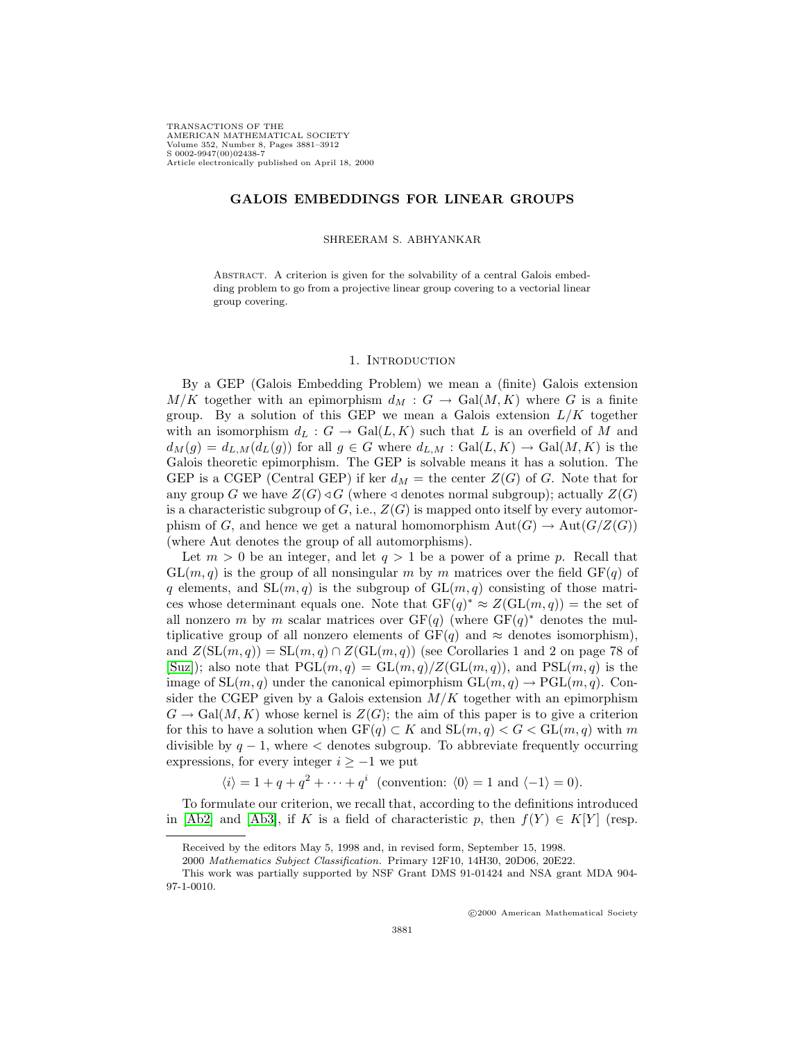TRANSACTIONS OF THE AMERICAN MATHEMATICAL SOCIETY Volume 352, Number 8, Pages 3881–3912 S 0002-9947(00)02438-7 Article electronically published on April 18, 2000

## **GALOIS EMBEDDINGS FOR LINEAR GROUPS**

#### SHREERAM S. ABHYANKAR

Abstract. A criterion is given for the solvability of a central Galois embedding problem to go from a projective linear group covering to a vectorial linear group covering.

#### 1. INTRODUCTION

By a GEP (Galois Embedding Problem) we mean a (finite) Galois extension  $M/K$  together with an epimorphism  $d_M : G \to \text{Gal}(M,K)$  where G is a finite group. By a solution of this GEP we mean a Galois extension  $L/K$  together with an isomorphism  $d_L : G \to \text{Gal}(L, K)$  such that L is an overfield of M and  $d_M(g) = d_{L,M}(d_L(g))$  for all  $g \in G$  where  $d_{L,M} : \text{Gal}(L,K) \to \text{Gal}(M,K)$  is the Galois theoretic epimorphism. The GEP is solvable means it has a solution. The GEP is a CGEP (Central GEP) if ker  $d_M$  = the center  $Z(G)$  of G. Note that for any group G we have  $Z(G) \triangleleft G$  (where  $\triangleleft$  denotes normal subgroup); actually  $Z(G)$ is a characteristic subgroup of  $G$ , i.e.,  $Z(G)$  is mapped onto itself by every automorphism of G, and hence we get a natural homomorphism  $Aut(G) \to Aut(G/Z(G))$ (where Aut denotes the group of all automorphisms).

Let  $m > 0$  be an integer, and let  $q > 1$  be a power of a prime p. Recall that  $GL(m, q)$  is the group of all nonsingular m by m matrices over the field  $GF(q)$  of q elements, and  $SL(m, q)$  is the subgroup of  $GL(m, q)$  consisting of those matrices whose determinant equals one. Note that  $GF(q)^* \approx Z(GL(m, q)) =$  the set of all nonzero m by m scalar matrices over  $GF(q)$  (where  $GF(q)^*$  denotes the multiplicative group of all nonzero elements of  $GF(q)$  and  $\approx$  denotes isomorphism), and  $Z(SL(m,q)) = SL(m,q) \cap Z(GL(m,q))$  (see Corollaries 1 and 2 on page 78 of [\[Suz\]](#page-31-0)); also note that  $PGL(m, q) = GL(m, q)/Z(GL(m, q))$ , and  $PSL(m, q)$  is the image of  $SL(m, q)$  under the canonical epimorphism  $GL(m, q) \to \text{PGL}(m, q)$ . Consider the CGEP given by a Galois extension  $M/K$  together with an epimorphism  $G \to \text{Gal}(M,K)$  whose kernel is  $Z(G)$ ; the aim of this paper is to give a criterion for this to have a solution when  $GF(q) \subset K$  and  $SL(m, q) < G < GL(m, q)$  with m divisible by  $q - 1$ , where < denotes subgroup. To abbreviate frequently occurring expressions, for every integer  $i \geq -1$  we put

 $\langle i \rangle = 1 + q + q^2 + \cdots + q^i$  (convention:  $\langle 0 \rangle = 1$  and  $\langle -1 \rangle = 0$ ).

To formulate our criterion, we recall that, according to the definitions introduced in [\[Ab2\]](#page-31-1) and [\[Ab3\]](#page-31-2), if K is a field of characteristic p, then  $f(Y) \in K[Y]$  (resp.

c 2000 American Mathematical Society

Received by the editors May 5, 1998 and, in revised form, September 15, 1998.

<sup>2000</sup> Mathematics Subject Classification. Primary 12F10, 14H30, 20D06, 20E22.

This work was partially supported by NSF Grant DMS 91-01424 and NSA grant MDA 904- 97-1-0010.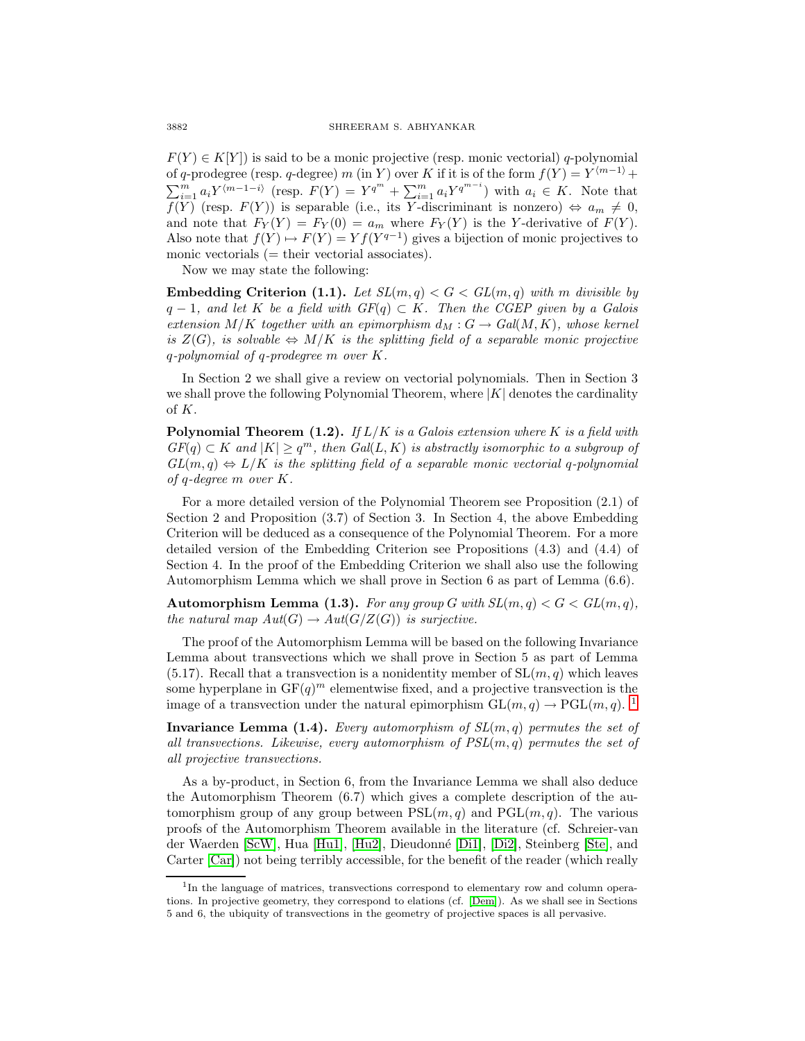$F(Y) \in K[Y]$  is said to be a monic projective (resp. monic vectorial) q-polynomial of q-prodegree (resp. q-degree) m (in Y) over K if it is of the form  $f(Y) = Y^{(m-1)} +$  $\sum_{i=1}^m a_i Y^{\langle m-1-i \rangle}$  (resp.  $F(Y) = Y^{q^m} + \sum_{i=1}^m a_i Y^{q^{m-i}}$ ) with  $a_i \in K$ . Note that  $f(Y)$  (resp.  $F(Y)$ ) is separable (i.e., its Y-discriminant is nonzero)  $\Leftrightarrow a_m \neq 0$ , and note that  $F_Y(Y) = F_Y(0) = a_m$  where  $F_Y(Y)$  is the Y-derivative of  $F(Y)$ . Also note that  $f(Y) \mapsto F(Y) = Y f(Y^{q-1})$  gives a bijection of monic projectives to monic vectorials  $(=$  their vectorial associates).

Now we may state the following:

**Embedding Criterion (1.1).** Let  $SL(m,q) < G < GL(m,q)$  with m divisible by  $q-1$ , and let K be a field with  $GF(q) \subset K$ . Then the CGEP given by a Galois extension  $M/K$  together with an epimorphism  $d_M : G \to Gal(M, K)$ , whose kernel is  $Z(G)$ , is solvable  $\Leftrightarrow$   $M/K$  is the splitting field of a separable monic projective q-polynomial of q-prodegree m over K.

In Section 2 we shall give a review on vectorial polynomials. Then in Section 3 we shall prove the following Polynomial Theorem, where  $|K|$  denotes the cardinality of K.

**Polynomial Theorem (1.2).** If  $L/K$  is a Galois extension where K is a field with  $GF(q) \subset K$  and  $|K| \geq q^m$ , then  $Gal(L, K)$  is abstractly isomorphic to a subgroup of  $GL(m, q) \Leftrightarrow L/K$  is the splitting field of a separable monic vectorial q-polynomial of q-degree m over K.

For a more detailed version of the Polynomial Theorem see Proposition (2.1) of Section 2 and Proposition (3.7) of Section 3. In Section 4, the above Embedding Criterion will be deduced as a consequence of the Polynomial Theorem. For a more detailed version of the Embedding Criterion see Propositions (4.3) and (4.4) of Section 4. In the proof of the Embedding Criterion we shall also use the following Automorphism Lemma which we shall prove in Section 6 as part of Lemma (6.6).

**Automorphism Lemma (1.3).** For any group G with  $SL(m, q) < G < GL(m, q)$ , the natural map  $Aut(G) \to Aut(G/Z(G))$  is surjective.

The proof of the Automorphism Lemma will be based on the following Invariance Lemma about transvections which we shall prove in Section 5 as part of Lemma  $(5.17)$ . Recall that a transvection is a nonidentity member of  $SL(m, q)$  which leaves some hyperplane in  $GF(q)^m$  elementwise fixed, and a projective transvection is the image of a transvection under the natural epimorphism  $GL(m, q) \to \text{PGL}(m, q)$ . <sup>[1](#page-1-0)</sup>

**Invariance Lemma (1.4).** Every automorphism of  $SL(m, q)$  permutes the set of all transvections. Likewise, every automorphism of  $PSL(m, q)$  permutes the set of all projective transvections.

As a by-product, in Section 6, from the Invariance Lemma we shall also deduce the Automorphism Theorem (6.7) which gives a complete description of the automorphism group of any group between  $PSL(m, q)$  and  $PGL(m, q)$ . The various proofs of the Automorphism Theorem available in the literature (cf. Schreier-van der Waerden [\[ScW\]](#page-31-3), Hua [\[Hu1\]](#page-31-4), [\[Hu2\]](#page-31-5), Dieudonn´e [\[Di1\]](#page-31-6), [\[Di2\]](#page-31-7), Steinberg [\[Ste\]](#page-31-8), and Carter  $[Car]$ ) not being terribly accessible, for the benefit of the reader (which really

<span id="page-1-0"></span><sup>&</sup>lt;sup>1</sup>In the language of matrices, transvections correspond to elementary row and column operations. In projective geometry, they correspond to elations (cf. [\[Dem\]](#page-31-10)). As we shall see in Sections 5 and 6, the ubiquity of transvections in the geometry of projective spaces is all pervasive.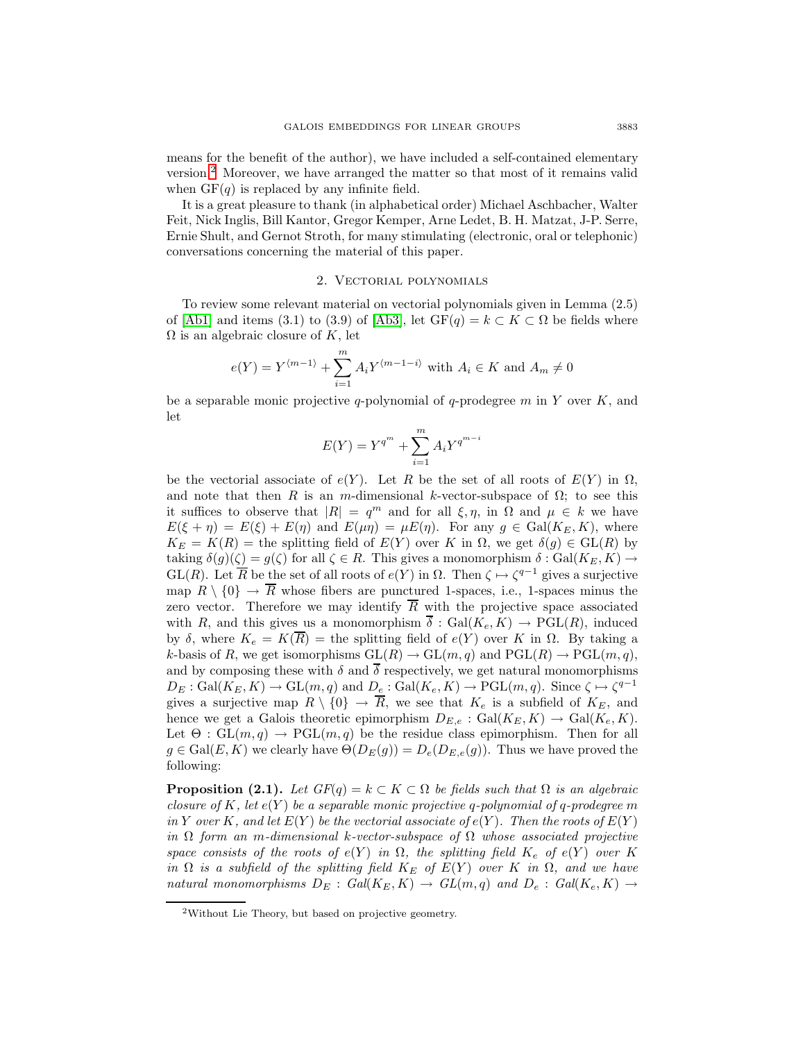means for the benefit of the author), we have included a self-contained elementary version.[2](#page-2-0) Moreover, we have arranged the matter so that most of it remains valid when  $GF(q)$  is replaced by any infinite field.

It is a great pleasure to thank (in alphabetical order) Michael Aschbacher, Walter Feit, Nick Inglis, Bill Kantor, Gregor Kemper, Arne Ledet, B. H. Matzat, J-P. Serre, Ernie Shult, and Gernot Stroth, for many stimulating (electronic, oral or telephonic) conversations concerning the material of this paper.

### 2. Vectorial polynomials

To review some relevant material on vectorial polynomials given in Lemma (2.5) of [\[Ab1\]](#page-31-11) and items (3.1) to (3.9) of [\[Ab3\]](#page-31-2), let  $GF(q) = k \subset K \subset \Omega$  be fields where  $\Omega$  is an algebraic closure of K, let

$$
e(Y) = Y^{\langle m-1 \rangle} + \sum_{i=1}^{m} A_i Y^{\langle m-1-i \rangle} \text{ with } A_i \in K \text{ and } A_m \neq 0
$$

be a separable monic projective q-polynomial of q-prodegree m in Y over  $K$ , and let

$$
E(Y) = Y^{q^{m}} + \sum_{i=1}^{m} A_i Y^{q^{m-i}}
$$

be the vectorial associate of  $e(Y)$ . Let R be the set of all roots of  $E(Y)$  in  $\Omega$ , and note that then R is an m-dimensional k-vector-subspace of  $\Omega$ ; to see this it suffices to observe that  $|R| = q^m$  and for all  $\xi, \eta$ , in  $\Omega$  and  $\mu \in k$  we have  $E(\xi + \eta) = E(\xi) + E(\eta)$  and  $E(\mu \eta) = \mu E(\eta)$ . For any  $g \in \text{Gal}(K_E, K)$ , where  $K_E = K(R)$  = the splitting field of  $E(Y)$  over K in  $\Omega$ , we get  $\delta(g) \in GL(R)$  by taking  $\delta(g)(\zeta) = g(\zeta)$  for all  $\zeta \in R$ . This gives a monomorphism  $\delta : \text{Gal}(K_E, K) \to$ GL(R). Let  $\overline{R}$  be the set of all roots of  $e(Y)$  in  $\Omega$ . Then  $\zeta \mapsto \zeta^{q-1}$  gives a surjective map  $R \setminus \{0\} \to \overline{R}$  whose fibers are punctured 1-spaces, i.e., 1-spaces minus the zero vector. Therefore we may identify  $\overline{R}$  with the projective space associated with R, and this gives us a monomorphism  $\overline{\delta}: Gal(K_e, K) \to PGL(R)$ , induced by δ, where  $K_e = K(\overline{R})$  = the splitting field of  $e(Y)$  over K in  $\Omega$ . By taking a k-basis of R, we get isomorphisms  $GL(R) \to GL(m, q)$  and  $PGL(R) \to PGL(m, q)$ , and by composing these with  $\delta$  and  $\overline{\delta}$  respectively, we get natural monomorphisms  $D_E : \text{Gal}(K_E, K) \to \text{GL}(m, q)$  and  $D_e : \text{Gal}(K_e, K) \to \text{PGL}(m, q)$ . Since  $\zeta \mapsto \zeta^{q-1}$ gives a surjective map  $R \setminus \{0\} \to \overline{R}$ , we see that  $K_e$  is a subfield of  $K_E$ , and hence we get a Galois theoretic epimorphism  $D_{E,e}$ : Gal $(K_E, K) \to \text{Gal}(K_e, K)$ . Let  $\Theta$ :  $GL(m,q) \rightarrow PGL(m,q)$  be the residue class epimorphism. Then for all  $g \in \text{Gal}(E, K)$  we clearly have  $\Theta(D_E(g)) = D_e(D_{E,e}(g))$ . Thus we have proved the following:

**Proposition (2.1).** Let  $GF(q) = k \subset K \subset \Omega$  be fields such that  $\Omega$  is an algebraic closure of K, let  $e(Y)$  be a separable monic projective q-polynomial of q-prodegree m in Y over K, and let  $E(Y)$  be the vectorial associate of  $e(Y)$ . Then the roots of  $E(Y)$ in  $\Omega$  form an m-dimensional k-vector-subspace of  $\Omega$  whose associated projective space consists of the roots of  $e(Y)$  in  $\Omega$ , the splitting field  $K_e$  of  $e(Y)$  over K in  $\Omega$  is a subfield of the splitting field  $K_E$  of  $E(Y)$  over K in  $\Omega$ , and we have natural monomorphisms  $D_E$ :  $Gal(K_E, K) \rightarrow GL(m, q)$  and  $D_e$ :  $Gal(K_e, K) \rightarrow$ 

<span id="page-2-0"></span><sup>2</sup>Without Lie Theory, but based on projective geometry.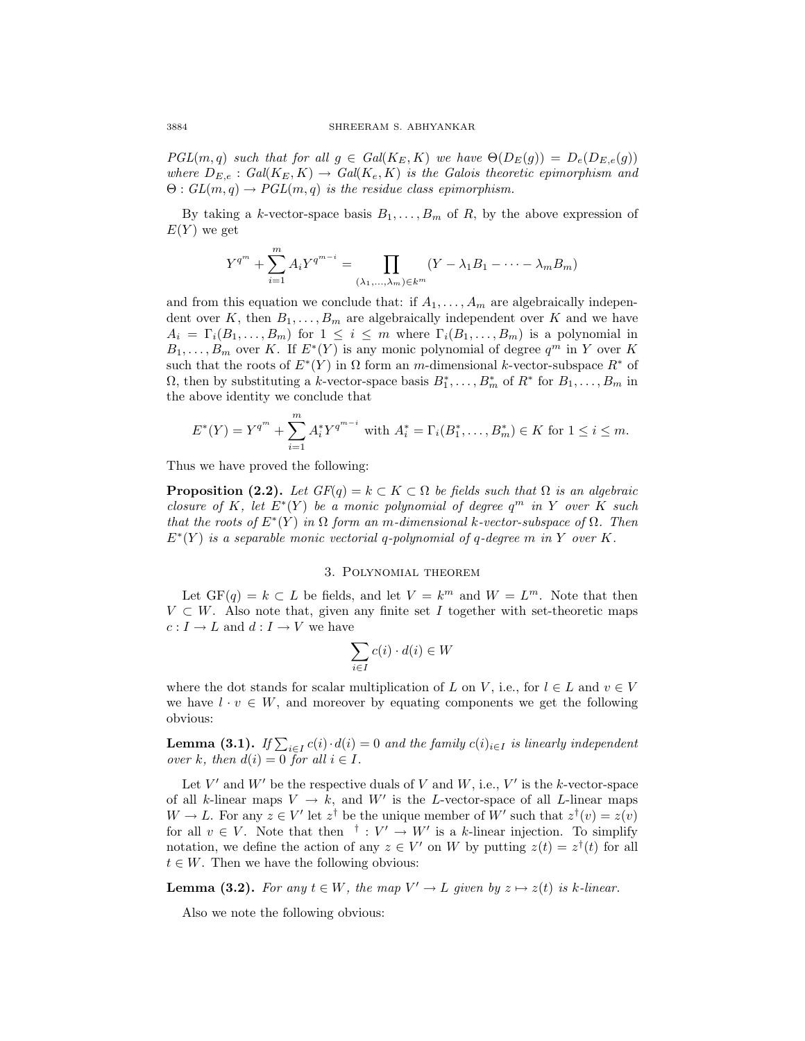$PGL(m, q)$  such that for all  $g \in Gal(K_E, K)$  we have  $\Theta(D_E(g)) = D_e(D_{E,e}(g))$ where  $D_{E,e}: Gal(K_E, K) \to Gal(K_e, K)$  is the Galois theoretic epimorphism and  $\Theta: GL(m,q) \to PGL(m,q)$  is the residue class epimorphism.

By taking a k-vector-space basis  $B_1, \ldots, B_m$  of R, by the above expression of  $E(Y)$  we get

$$
Y^{q^m} + \sum_{i=1}^{m} A_i Y^{q^{m-i}} = \prod_{(\lambda_1, ..., \lambda_m) \in k^m} (Y - \lambda_1 B_1 - \dots - \lambda_m B_m)
$$

and from this equation we conclude that: if  $A_1, \ldots, A_m$  are algebraically independent over K, then  $B_1, \ldots, B_m$  are algebraically independent over K and we have  $A_i = \Gamma_i(B_1,\ldots,B_m)$  for  $1 \leq i \leq m$  where  $\Gamma_i(B_1,\ldots,B_m)$  is a polynomial in  $B_1,\ldots,B_m$  over K. If  $E^*(Y)$  is any monic polynomial of degree  $q^m$  in Y over K such that the roots of  $E^*(Y)$  in  $\Omega$  form an m-dimensional k-vector-subspace  $R^*$  of  $\Omega$ , then by substituting a k-vector-space basis  $B_1^*, \ldots, B_m^*$  of  $R^*$  for  $B_1, \ldots, B_m$  in the above identity we conclude that

$$
E^*(Y) = Y^{q^m} + \sum_{i=1}^m A_i^* Y^{q^{m-i}} \text{ with } A_i^* = \Gamma_i(B_1^*, \dots, B_m^*) \in K \text{ for } 1 \le i \le m.
$$

Thus we have proved the following:

**Proposition (2.2).** Let  $GF(q) = k \subset K \subset \Omega$  be fields such that  $\Omega$  is an algebraic closure of K, let  $E^*(Y)$  be a monic polynomial of degree  $q^m$  in Y over K such that the roots of  $E^*(Y)$  in  $\Omega$  form an m-dimensional k-vector-subspace of  $\Omega$ . Then  $E^*(Y)$  is a separable monic vectorial q-polynomial of q-degree m in Y over K.

## 3. Polynomial theorem

Let  $GF(q) = k \subset L$  be fields, and let  $V = k^m$  and  $W = L^m$ . Note that then  $V \subset W$ . Also note that, given any finite set I together with set-theoretic maps  $c: I \to L$  and  $d: I \to V$  we have

$$
\sum_{i \in I} c(i) \cdot d(i) \in W
$$

where the dot stands for scalar multiplication of L on V, i.e., for  $l \in L$  and  $v \in V$ we have  $l \cdot v \in W$ , and moreover by equating components we get the following obvious:

**Lemma (3.1).** If  $\sum_{i \in I} c(i) \cdot d(i) = 0$  and the family  $c(i)_{i \in I}$  is linearly independent over k, then  $d(i)=0$  for all  $i \in I$ .

Let V' and W' be the respective duals of V and W, i.e., V' is the k-vector-space of all k-linear maps  $V \rightarrow k$ , and W' is the L-vector-space of all L-linear maps  $W \to L$ . For any  $z \in V'$  let  $z^{\dagger}$  be the unique member of  $W'$  such that  $z^{\dagger}(v) = z(v)$ for all  $v \in V$ . Note that then  $\dagger : V' \to W'$  is a k-linear injection. To simplify notation, we define the action of any  $z \in V'$  on W by putting  $z(t) = z^{\dagger}(t)$  for all  $t \in W$ . Then we have the following obvious:

**Lemma (3.2).** For any  $t \in W$ , the map  $V' \to L$  given by  $z \mapsto z(t)$  is k-linear.

Also we note the following obvious: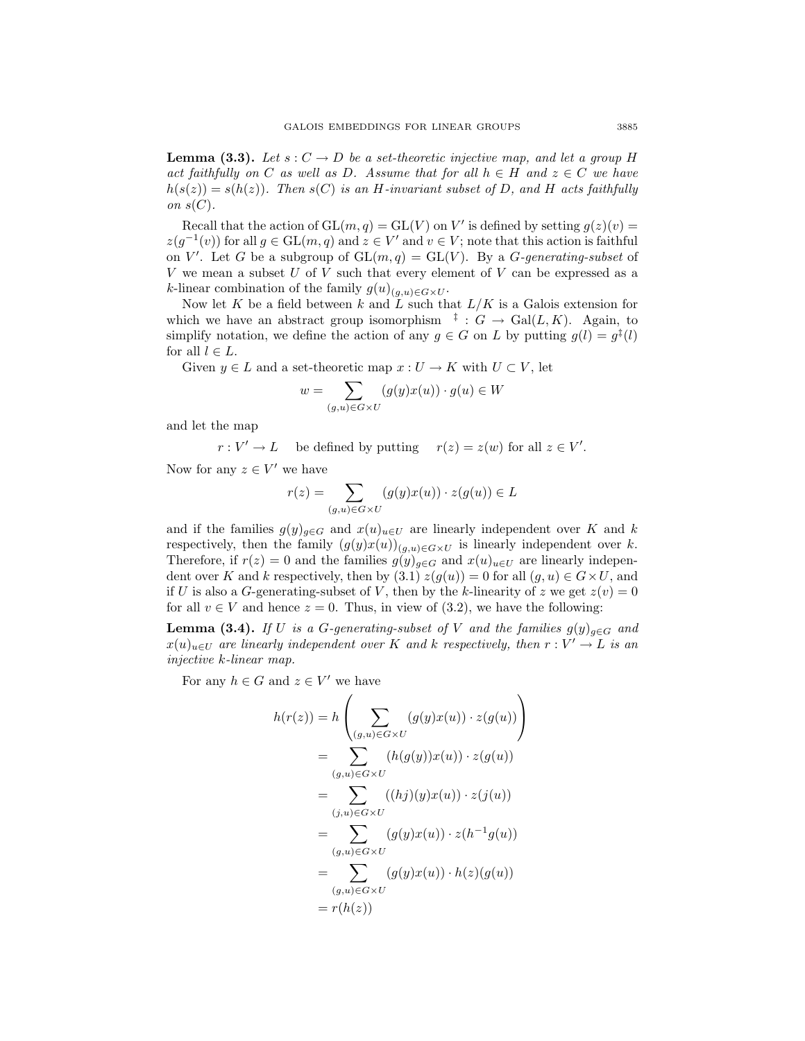**Lemma (3.3).** Let  $s: C \to D$  be a set-theoretic injective map, and let a group H act faithfully on C as well as D. Assume that for all  $h \in H$  and  $z \in C$  we have  $h(s(z)) = s(h(z))$ . Then  $s(C)$  is an H-invariant subset of D, and H acts faithfully on  $s(C)$ .

Recall that the action of  $GL(m, q) = GL(V)$  on V' is defined by setting  $q(z)(v) =$  $z(g^{-1}(v))$  for all  $g \in GL(m, q)$  and  $z \in V'$  and  $v \in V$ ; note that this action is faithful on V'. Let G be a subgroup of  $GL(m, q) = GL(V)$ . By a G-generating-subset of  $V$  we mean a subset  $U$  of  $V$  such that every element of  $V$  can be expressed as a k-linear combination of the family  $g(u)_{(g,u)\in G\times U}$ .

Now let K be a field between k and  $\overline{L}$  such that  $L/K$  is a Galois extension for which we have an abstract group isomorphism  $\overline{f}: G \to \text{Gal}(L, K)$ . Again, to simplify notation, we define the action of any  $q \in G$  on L by putting  $q(l) = q^{\frac{t}{l}}(l)$ for all  $l \in L$ .

Given  $y \in L$  and a set-theoretic map  $x: U \to K$  with  $U \subset V$ , let

$$
w = \sum_{(g,u)\in G\times U} (g(y)x(u)) \cdot g(u) \in W
$$

and let the map

 $r: V' \to L$  be defined by putting  $r(z) = z(w)$  for all  $z \in V'$ . Now for any  $z \in V'$  we have

$$
r(z) = \sum_{(g,u)\in G\times U} (g(y)x(u)) \cdot z(g(u)) \in L
$$

and if the families  $g(y)_{q\in G}$  and  $x(u)_{u\in U}$  are linearly independent over K and k respectively, then the family  $(g(y)x(u))_{(g,u)\in G\times U}$  is linearly independent over k. Therefore, if  $r(z) = 0$  and the families  $g(y)_{g \in G}$  and  $x(u)_{u \in U}$  are linearly independent over K and k respectively, then by  $(3.1) z(g(u)) = 0$  for all  $(g, u) \in G \times U$ , and if U is also a G-generating-subset of V, then by the k-linearity of z we get  $z(v)=0$ for all  $v \in V$  and hence  $z = 0$ . Thus, in view of (3.2), we have the following:

**Lemma (3.4).** If U is a G-generating-subset of V and the families  $g(y)_{g \in G}$  and  $x(u)_{u\in U}$  are linearly independent over K and k respectively, then  $r: V' \to L$  is an injective k-linear map.

For any  $h \in G$  and  $z \in V'$  we have

$$
h(r(z)) = h\left(\sum_{(g,u)\in G\times U}(g(y)x(u)) \cdot z(g(u))\right)
$$
  
\n
$$
= \sum_{(g,u)\in G\times U}(h(g(y))x(u)) \cdot z(g(u))
$$
  
\n
$$
= \sum_{(j,u)\in G\times U}((hj)(y)x(u)) \cdot z(j(u))
$$
  
\n
$$
= \sum_{(g,u)\in G\times U}(g(y)x(u)) \cdot z(h^{-1}g(u))
$$
  
\n
$$
= \sum_{(g,u)\in G\times U}(g(y)x(u)) \cdot h(z)(g(u))
$$
  
\n
$$
= r(h(z))
$$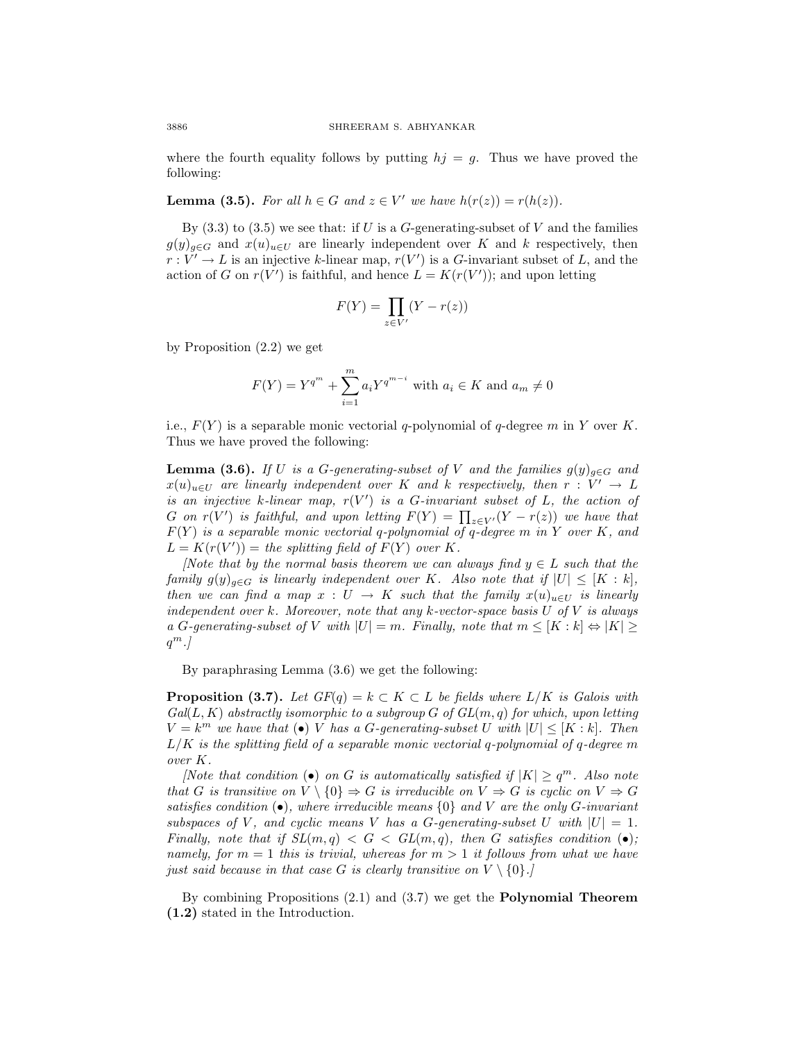where the fourth equality follows by putting  $hj = g$ . Thus we have proved the following:

**Lemma (3.5).** For all  $h \in G$  and  $z \in V'$  we have  $h(r(z)) = r(h(z))$ .

By  $(3.3)$  to  $(3.5)$  we see that: if U is a G-generating-subset of V and the families  $g(y)_{g\in G}$  and  $x(u)_{u\in U}$  are linearly independent over K and k respectively, then  $r: V' \to L$  is an injective k-linear map,  $r(V')$  is a G-invariant subset of L, and the action of G on  $r(V')$  is faithful, and hence  $L = K(r(V'))$ ; and upon letting

$$
F(Y) = \prod_{z \in V'} (Y - r(z))
$$

by Proposition (2.2) we get

$$
F(Y) = Y^{q^{m}} + \sum_{i=1}^{m} a_{i} Y^{q^{m-i}} \text{ with } a_{i} \in K \text{ and } a_{m} \neq 0
$$

i.e.,  $F(Y)$  is a separable monic vectorial q-polynomial of q-degree m in Y over K. Thus we have proved the following:

**Lemma (3.6).** If U is a G-generating-subset of V and the families  $g(y)_{g \in G}$  and  $x(u)_{u\in U}$  are linearly independent over K and k respectively, then  $r: V' \to L$ is an injective k-linear map,  $r(V')$  is a G-invariant subset of L, the action of G on  $r(V')$  is faithful, and upon letting  $F(Y) = \prod_{z \in V'} (Y - r(z))$  we have that  $F(Y)$  is a separable monic vectorial q-polynomial of q-degree m in Y over K, and  $L = K(r(V')) =$  the splitting field of  $F(Y)$  over K.

[Note that by the normal basis theorem we can always find  $y \in L$  such that the family  $g(y)_{g\in G}$  is linearly independent over K. Also note that if  $|U| \leq [K : k]$ , then we can find a map  $x : U \to K$  such that the family  $x(u)_{u \in U}$  is linearly independent over k. Moreover, note that any k-vector-space basis  $U$  of  $V$  is always a G-generating-subset of V with  $|U| = m$ . Finally, note that  $m \leq [K : k] \Leftrightarrow |K| \geq$  $q^m$ .]

By paraphrasing Lemma (3.6) we get the following:

**Proposition (3.7).** Let  $GF(q) = k \subset K \subset L$  be fields where  $L/K$  is Galois with  $Gal(L, K)$  abstractly isomorphic to a subgroup G of  $GL(m, q)$  for which, upon letting  $V = k^m$  we have that  $\bullet$  V has a G-generating-subset U with  $|U| \leq [K : k]$ . Then  $L/K$  is the splitting field of a separable monic vectorial q-polynomial of q-degree m over K.

[Note that condition (•) on G is automatically satisfied if  $|K| > q^m$ . Also note that G is transitive on  $V \setminus \{0\} \Rightarrow G$  is irreducible on  $V \Rightarrow G$  is cyclic on  $V \Rightarrow G$ satisfies condition  $\left(\bullet\right)$ , where irreducible means  $\{0\}$  and V are the only G-invariant subspaces of V, and cyclic means V has a G-generating-subset U with  $|U| = 1$ . Finally, note that if  $SL(m, q) < G < GL(m, q)$ , then G satisfies condition (•); namely, for  $m = 1$  this is trivial, whereas for  $m > 1$  it follows from what we have just said because in that case G is clearly transitive on  $V \setminus \{0\}$ .

By combining Propositions (2.1) and (3.7) we get the **Polynomial Theorem (1.2)** stated in the Introduction.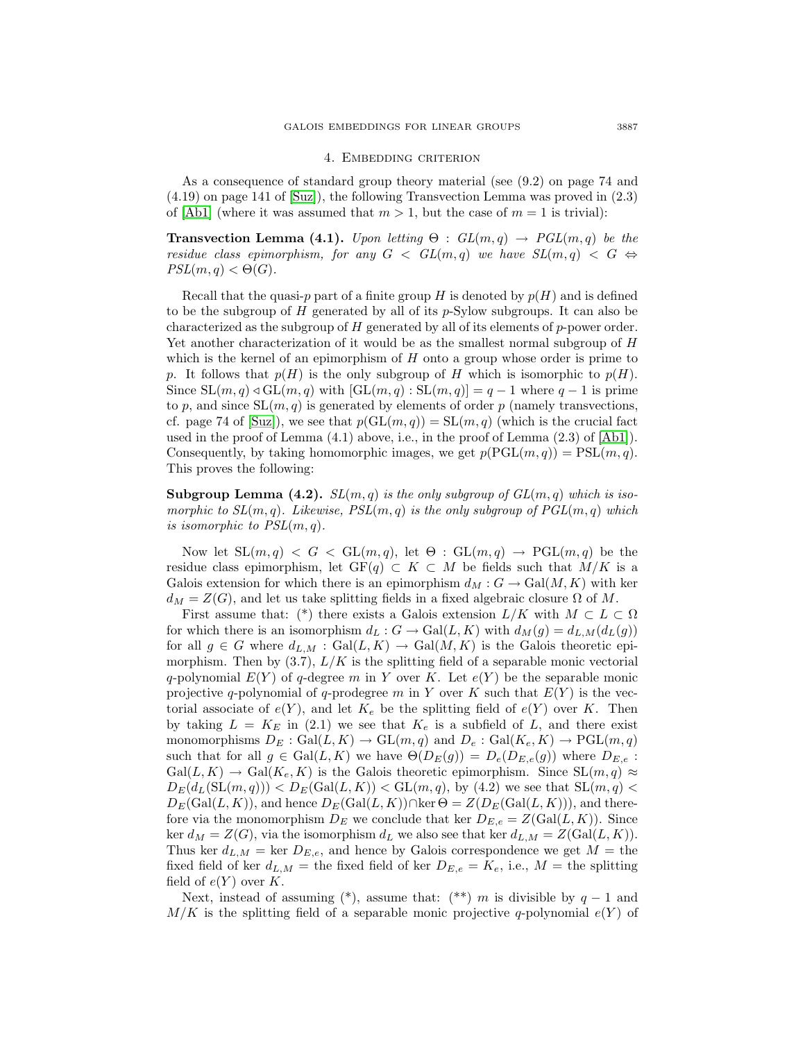#### 4. Embedding criterion

As a consequence of standard group theory material (see (9.2) on page 74 and  $(4.19)$  on page 141 of [\[Suz\]](#page-31-0)), the following Transvection Lemma was proved in  $(2.3)$ of [\[Ab1\]](#page-31-11) (where it was assumed that  $m > 1$ , but the case of  $m = 1$  is trivial):

**Transvection Lemma (4.1).** Upon letting  $\Theta$  :  $GL(m,q) \rightarrow PGL(m,q)$  be the residue class epimorphism, for any  $G < GL(m, q)$  we have  $SL(m, q) < G \Leftrightarrow$  $PSL(m, q) < \Theta(G)$ .

Recall that the quasi-p part of a finite group H is denoted by  $p(H)$  and is defined to be the subgroup of  $H$  generated by all of its  $p$ -Sylow subgroups. It can also be characterized as the subgroup of H generated by all of its elements of p-power order. Yet another characterization of it would be as the smallest normal subgroup of H which is the kernel of an epimorphism of  $H$  onto a group whose order is prime to p. It follows that  $p(H)$  is the only subgroup of H which is isomorphic to  $p(H)$ . Since  $SL(m, q) \triangleleft GL(m, q)$  with  $[GL(m, q) : SL(m, q)] = q - 1$  where  $q - 1$  is prime to p, and since  $SL(m, q)$  is generated by elements of order p (namely transvections, cf. page 74 of [\[Suz\]](#page-31-0)), we see that  $p(GL(m, q)) = SL(m, q)$  (which is the crucial fact used in the proof of Lemma  $(4.1)$  above, i.e., in the proof of Lemma  $(2.3)$  of  $[Ab1]$ . Consequently, by taking homomorphic images, we get  $p(PGL(m, q)) = PSL(m, q)$ . This proves the following:

**Subgroup Lemma (4.2).**  $SL(m,q)$  is the only subgroup of  $GL(m,q)$  which is isomorphic to  $SL(m, q)$ . Likewise,  $PSL(m, q)$  is the only subgroup of  $PGL(m, q)$  which is isomorphic to  $PSL(m, q)$ .

Now let  $SL(m, q) < G < GL(m, q)$ , let  $\Theta : GL(m, q) \rightarrow \text{PGL}(m, q)$  be the residue class epimorphism, let  $GF(q) \subset K \subset M$  be fields such that  $M/K$  is a Galois extension for which there is an epimorphism  $d_M : G \to \text{Gal}(M, K)$  with ker  $d_M = Z(G)$ , and let us take splitting fields in a fixed algebraic closure  $\Omega$  of M.

First assume that: (\*) there exists a Galois extension  $L/K$  with  $M \subset L \subset \Omega$ for which there is an isomorphism  $d_L : G \to \text{Gal}(L, K)$  with  $d_M(g) = d_{L,M}(d_L(g))$ for all  $g \in G$  where  $d_{L,M} : \text{Gal}(L,K) \to \text{Gal}(M,K)$  is the Galois theoretic epimorphism. Then by  $(3.7)$ ,  $L/K$  is the splitting field of a separable monic vectorial q-polynomial  $E(Y)$  of q-degree m in Y over K. Let  $e(Y)$  be the separable monic projective q-polynomial of q-prodegree m in Y over K such that  $E(Y)$  is the vectorial associate of  $e(Y)$ , and let  $K_e$  be the splitting field of  $e(Y)$  over K. Then by taking  $L = K_E$  in (2.1) we see that  $K_e$  is a subfield of L, and there exist monomorphisms  $D_E : \text{Gal}(L, K) \to \text{GL}(m, q)$  and  $D_e : \text{Gal}(K_e, K) \to \text{PGL}(m, q)$ such that for all  $g \in \text{Gal}(L, K)$  we have  $\Theta(D_E(g)) = D_e(D_{E,e}(g))$  where  $D_{E,e}$ :  $Gal(L, K) \rightarrow Gal(K_e, K)$  is the Galois theoretic epimorphism. Since  $SL(m, q) \approx$  $D_E(d_L(\mathrm{SL}(m, q))) < D_E(\mathrm{Gal}(L, K)) < \mathrm{GL}(m, q)$ , by (4.2) we see that  $\mathrm{SL}(m, q) <$  $D_E(\text{Gal}(L, K))$ , and hence  $D_E(\text{Gal}(L, K)) \cap \text{ker } \Theta = Z(D_E(\text{Gal}(L, K)))$ , and therefore via the monomorphism  $D_E$  we conclude that ker  $D_{E,e} = Z(\text{Gal}(L, K))$ . Since ker  $d_M = Z(G)$ , via the isomorphism  $d_L$  we also see that ker  $d_{L,M} = Z(\text{Gal}(L, K))$ . Thus ker  $d_{L,M}$  = ker  $D_{E,e}$ , and hence by Galois correspondence we get  $M =$  the fixed field of ker  $d_{L,M}$  = the fixed field of ker  $D_{E,e} = K_e$ , i.e.,  $M =$  the splitting field of  $e(Y)$  over K.

Next, instead of assuming (\*), assume that:  $(**)$  m is divisible by  $q-1$  and  $M/K$  is the splitting field of a separable monic projective q-polynomial  $e(Y)$  of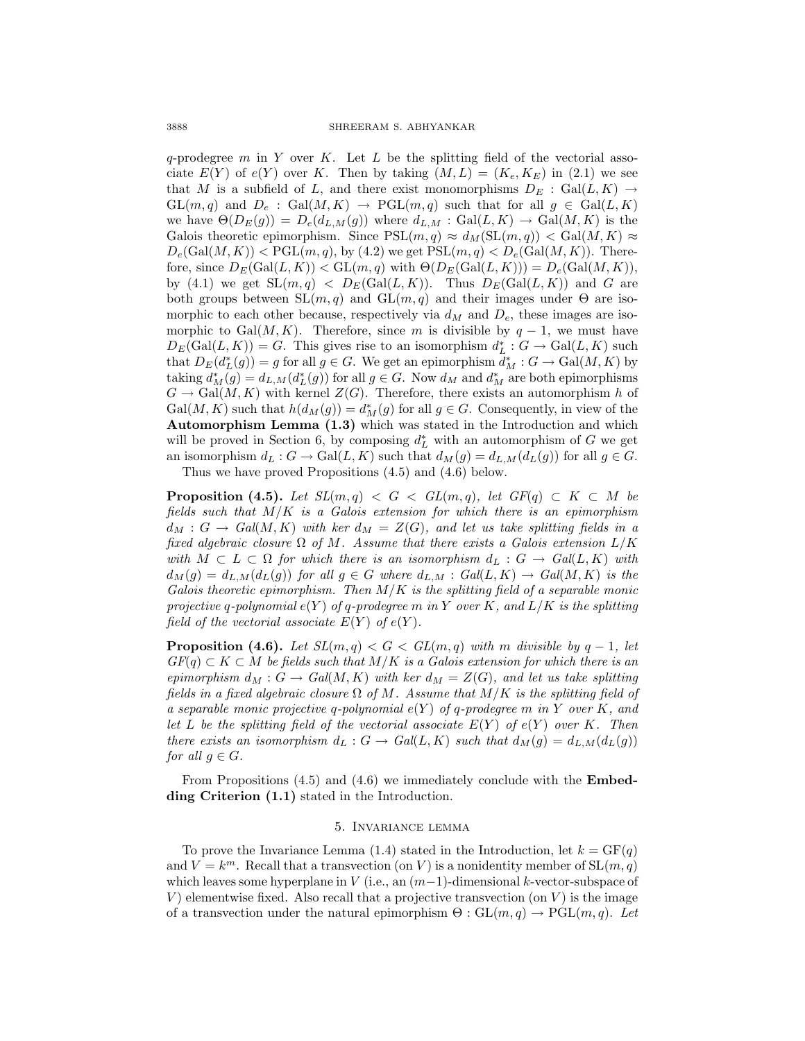$q$ -prodegree  $m$  in  $Y$  over  $K$ . Let  $L$  be the splitting field of the vectorial associate  $E(Y)$  of  $e(Y)$  over K. Then by taking  $(M, L) = (K_e, K_E)$  in (2.1) we see that M is a subfield of L, and there exist monomorphisms  $D_E$ : Gal $(L, K) \rightarrow$  $GL(m, q)$  and  $D_e$ :  $Gal(M, K) \rightarrow PGL(m, q)$  such that for all  $g \in Gal(L, K)$ we have  $\Theta(D_E(g)) = D_e(d_{L,M}(g))$  where  $d_{L,M} : \text{Gal}(L,K) \to \text{Gal}(M,K)$  is the Galois theoretic epimorphism. Since  $PSL(m, q) \approx d_M(SL(m, q)) < Gal(M, K) \approx$  $D_e(\text{Gal}(M,K)) < \text{PGL}(m,q)$ , by (4.2) we get  $\text{PSL}(m,q) < D_e(\text{Gal}(M,K))$ . Therefore, since  $D_E(\text{Gal}(L, K)) < \text{GL}(m, q)$  with  $\Theta(D_E(\text{Gal}(L, K))) = D_e(\text{Gal}(M, K)),$ by (4.1) we get  $SL(m, q) < D_E(Gal(L, K))$ . Thus  $D_E(Gal(L, K))$  and G are both groups between  $SL(m, q)$  and  $GL(m, q)$  and their images under  $\Theta$  are isomorphic to each other because, respectively via  $d_M$  and  $D_e$ , these images are isomorphic to Gal $(M, K)$ . Therefore, since m is divisible by  $q - 1$ , we must have  $D_E(\text{Gal}(L, K)) = G$ . This gives rise to an isomorphism  $d_L^* : G \to \text{Gal}(L, K)$  such that  $D_E(d^*_L(g)) = g$  for all  $g \in G$ . We get an epimorphism  $d^*_M : G \to \text{Gal}(M, K)$  by taking  $d_M^*(g) = d_{L,M}(d_L^*(g))$  for all  $g \in G$ . Now  $d_M$  and  $d_M^*$  are both epimorphisms  $G \to \text{Gal}(M,K)$  with kernel  $Z(G)$ . Therefore, there exists an automorphism h of  $Gal(M, K)$  such that  $h(d_M(g)) = d_M^*(g)$  for all  $g \in G$ . Consequently, in view of the **Automorphism Lemma (1.3)** which was stated in the Introduction and which will be proved in Section 6, by composing  $d<sub>L</sub><sup>*</sup>$  with an automorphism of G we get an isomorphism  $d_L : G \to \text{Gal}(L, K)$  such that  $d_M(g) = d_{L,M}(d_L(g))$  for all  $g \in G$ .

Thus we have proved Propositions (4.5) and (4.6) below.

**Proposition (4.5).** Let  $SL(m,q) < G < GL(m,q)$ , let  $GF(q) \subset K \subset M$  be fields such that  $M/K$  is a Galois extension for which there is an epimorphism  $d_M : G \to Gal(M, K)$  with ker  $d_M = Z(G)$ , and let us take splitting fields in a fixed algebraic closure  $\Omega$  of M. Assume that there exists a Galois extension  $L/K$ with  $M \subset L \subset \Omega$  for which there is an isomorphism  $d_L : G \to Gal(L, K)$  with  $d_M(g) = d_{L,M}(d_L(g))$  for all  $g \in G$  where  $d_{L,M} : Gal(L, K) \to Gal(M, K)$  is the Galois theoretic epimorphism. Then  $M/K$  is the splitting field of a separable monic projective q-polynomial  $e(Y)$  of q-prodegree m in Y over K, and  $L/K$  is the splitting field of the vectorial associate  $E(Y)$  of  $e(Y)$ .

**Proposition (4.6).** Let  $SL(m, q) < G < GL(m, q)$  with m divisible by  $q - 1$ , let  $GF(q) \subset K \subset M$  be fields such that  $M/K$  is a Galois extension for which there is an epimorphism  $d_M : G \to Gal(M, K)$  with ker  $d_M = Z(G)$ , and let us take splitting fields in a fixed algebraic closure  $\Omega$  of M. Assume that  $M/K$  is the splitting field of a separable monic projective q-polynomial  $e(Y)$  of q-prodegree m in Y over K, and let L be the splitting field of the vectorial associate  $E(Y)$  of  $e(Y)$  over K. Then there exists an isomorphism  $d_L : G \to Gal(L, K)$  such that  $d_M(g) = d_{L,M}(d_L(g))$ for all  $g \in G$ .

From Propositions (4.5) and (4.6) we immediately conclude with the **Embedding Criterion (1.1)** stated in the Introduction.

## 5. Invariance lemma

To prove the Invariance Lemma (1.4) stated in the Introduction, let  $k = GF(q)$ and  $V = k^m$ . Recall that a transvection (on V) is a nonidentity member of  $SL(m, q)$ which leaves some hyperplane in  $V$  (i.e., an  $(m-1)$ -dimensional k-vector-subspace of V) elementwise fixed. Also recall that a projective transvection (on  $V$ ) is the image of a transvection under the natural epimorphism  $\Theta : GL(m, q) \to \mathrm{PGL}(m, q)$ . Let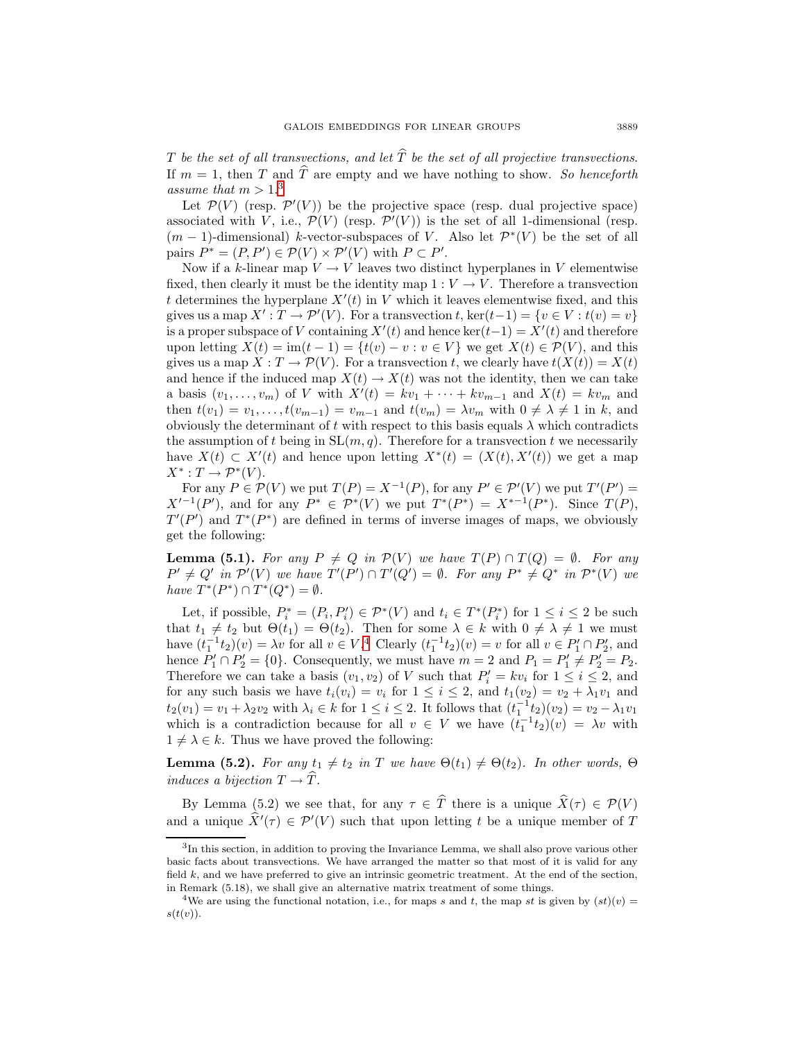T be the set of all transvections, and let  $\widehat{T}$  be the set of all projective transvections. If  $m = 1$ , then T and  $\widehat{T}$  are empty and we have nothing to show. So henceforth assume that  $m > 1.3$  $m > 1.3$ 

Let  $\mathcal{P}(V)$  (resp.  $\mathcal{P}'(V)$ ) be the projective space (resp. dual projective space) associated with V, i.e.,  $\mathcal{P}(V)$  (resp.  $\mathcal{P}'(V)$ ) is the set of all 1-dimensional (resp.  $(m-1)$ -dimensional) k-vector-subspaces of V. Also let  $\mathcal{P}^*(V)$  be the set of all pairs  $P^* = (P, P') \in \mathcal{P}(V) \times \mathcal{P}'(V)$  with  $P \subset P'$ .

Now if a k-linear map  $V \to V$  leaves two distinct hyperplanes in V elementwise fixed, then clearly it must be the identity map  $1: V \to V$ . Therefore a transvection t determines the hyperplane  $X'(t)$  in V which it leaves elementwise fixed, and this gives us a map  $X' : T \to \mathcal{P}'(V)$ . For a transvection t, ker $(t-1) = \{v \in V : t(v) = v\}$ is a proper subspace of V containing  $X'(t)$  and hence ker $(t-1) = X'(t)$  and therefore upon letting  $X(t) = \text{im}(t-1) = \{t(v) - v : v \in V\}$  we get  $X(t) \in \mathcal{P}(V)$ , and this gives us a map  $X: T \to \mathcal{P}(V)$ . For a transvection t, we clearly have  $t(X(t)) = X(t)$ and hence if the induced map  $X(t) \to X(t)$  was not the identity, then we can take a basis  $(v_1, \ldots, v_m)$  of V with  $X'(t) = kv_1 + \cdots + kv_{m-1}$  and  $X(t) = kv_m$  and then  $t(v_1) = v_1, \ldots, t(v_{m-1}) = v_{m-1}$  and  $t(v_m) = \lambda v_m$  with  $0 \neq \lambda \neq 1$  in k, and obviously the determinant of t with respect to this basis equals  $\lambda$  which contradicts the assumption of t being in  $SL(m, q)$ . Therefore for a transvection t we necessarily have  $X(t) \subset X'(t)$  and hence upon letting  $X^*(t) = (X(t), X'(t))$  we get a map  $X^*: T \to \mathcal{P}^*(V).$ 

For any  $P \in \mathcal{P}(V)$  we put  $T(P) = X^{-1}(P)$ , for any  $P' \in \mathcal{P}'(V)$  we put  $T'(P') =$  $X'^{-1}(P')$ , and for any  $P^* \in \mathcal{P}^*(V)$  we put  $T^*(P^*) = X^{*-1}(P^*)$ . Since  $T(P)$ ,  $T'(P')$  and  $T^*(P^*)$  are defined in terms of inverse images of maps, we obviously get the following:

**Lemma (5.1).** For any  $P \neq Q$  in  $\mathcal{P}(V)$  we have  $T(P) \cap T(Q) = \emptyset$ . For any  $P' \neq Q'$  in  $\mathcal{P}'(V)$  we have  $T'(P') \cap T'(Q') = \emptyset$ . For any  $P^* \neq Q^*$  in  $\mathcal{P}^*(V)$  we have  $T^*(P^*) \cap T^*(Q^*) = \emptyset$ .

Let, if possible,  $P_i^* = (P_i, P_i') \in \mathcal{P}^*(V)$  and  $t_i \in T^*(P_i^*)$  for  $1 \leq i \leq 2$  be such that  $t_1 \neq t_2$  but  $\Theta(t_1) = \Theta(t_2)$ . Then for some  $\lambda \in k$  with  $0 \neq \lambda \neq 1$  we must have  $(t_1^{-1}t_2)(v) = \lambda v$  for all  $v \in V^4$  $v \in V^4$  Clearly  $(t_1^{-1}t_2)(v) = v$  for all  $v \in P'_1 \cap P'_2$ , and hence  $P'_1 \cap P'_2 = \{0\}$ . Consequently, we must have  $m = 2$  and  $P_1 = P'_1 \neq P'_2 = P_2$ . Therefore we can take a basis  $(v_1, v_2)$  of V such that  $P'_i = kv_i$  for  $1 \leq i \leq 2$ , and for any such basis we have  $t_i(v_i) = v_i$  for  $1 \leq i \leq 2$ , and  $t_1(v_2) = v_2 + \lambda_1v_1$  and  $t_2(v_1) = v_1 + \lambda_2 v_2$  with  $\lambda_i \in k$  for  $1 \leq i \leq 2$ . It follows that  $(t_1^{-1}t_2)(v_2) = v_2 - \lambda_1 v_1$ which is a contradiction because for all  $v \in V$  we have  $(t_1^{-1}t_2)(v) = \lambda v$  with  $1 \neq \lambda \in k$ . Thus we have proved the following:

**Lemma (5.2).** For any  $t_1 \neq t_2$  in T we have  $\Theta(t_1) \neq \Theta(t_2)$ . In other words,  $\Theta$ induces a bijection  $T \to \widehat{T}$ .

By Lemma (5.2) we see that, for any  $\tau \in \hat{T}$  there is a unique  $\hat{X}(\tau) \in \mathcal{P}(V)$ and a unique  $X'(\tau) \in \mathcal{P}'(V)$  such that upon letting t be a unique member of T

<span id="page-8-0"></span><sup>3</sup>In this section, in addition to proving the Invariance Lemma, we shall also prove various other basic facts about transvections. We have arranged the matter so that most of it is valid for any field  $k$ , and we have preferred to give an intrinsic geometric treatment. At the end of the section, in Remark (5.18), we shall give an alternative matrix treatment of some things.

<span id="page-8-1"></span><sup>&</sup>lt;sup>4</sup>We are using the functional notation, i.e., for maps s and t, the map st is given by  $(st)(v)$  =  $s(t(v))$ .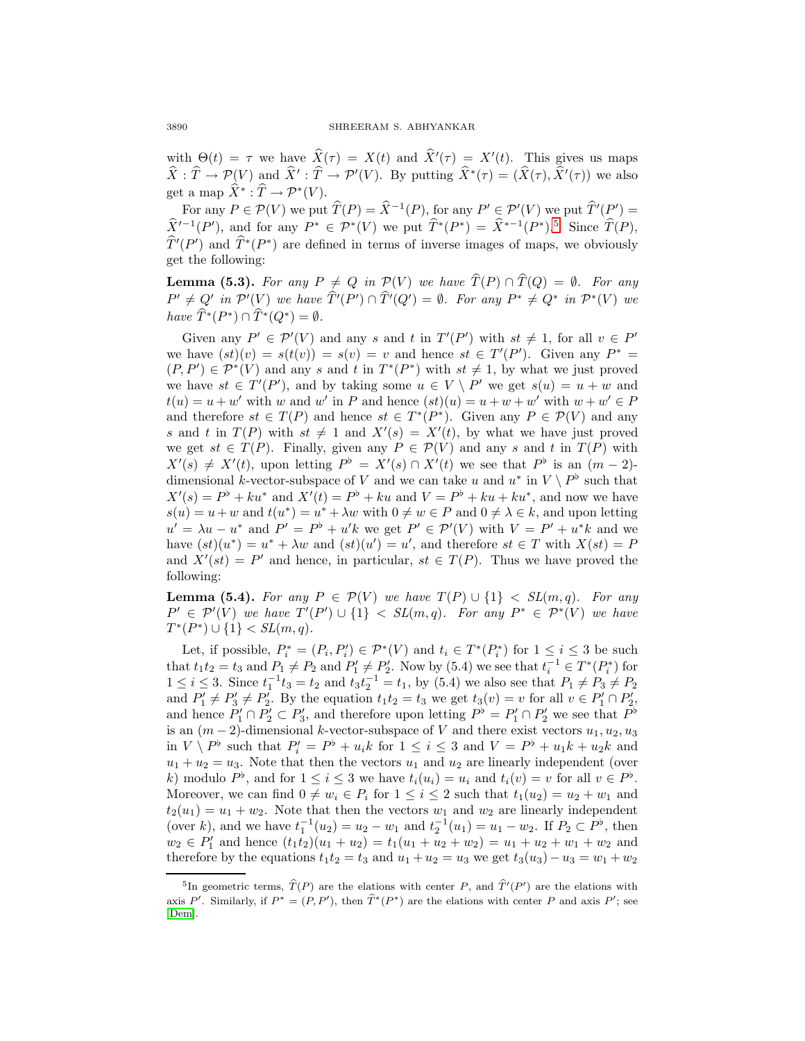with  $\Theta(t) = \tau$  we have  $X(\tau) = X(t)$  and  $X'(\tau) = X'(t)$ . This gives us maps  $X: T \to \mathcal{P}(V)$  and  $X': T \to \mathcal{P}'(V)$ . By putting  $X^*(\tau)=(X(\tau), X'(\tau))$  we also get a map  $\widehat{X}^* : \widehat{T} \to \mathcal{P}^*(V)$ .

For any  $P \in \mathcal{P}(V)$  we put  $\widehat{T}(P) = \widehat{X}^{-1}(P)$ , for any  $P' \in \mathcal{P}'(V)$  we put  $\widehat{T}'(P') =$  $\hat{X}^{I-1}(P')$ , and for any  $P^* \in \mathcal{P}^*(V)$  we put  $\hat{T}^*(P^*) = \hat{X}^{*-1}(P^*)$ .<sup>[5](#page-9-0)</sup> Since  $\hat{T}(P)$ ,  $T'(P')$  and  $T^*(P^*)$  are defined in terms of inverse images of maps, we obviously get the following:

**Lemma (5.3).** For any  $P \neq Q$  in  $\mathcal{P}(V)$  we have  $\widehat{T}(P) \cap \widehat{T}(Q) = \emptyset$ . For any  $P' \neq Q'$  in  $\mathcal{P}'(V)$  we have  $T'(P') \cap T'(Q') = \emptyset$ . For any  $P^* \neq Q^*$  in  $\mathcal{P}^*(V)$  we have  $\widehat{T}^*(P^*) \cap \widehat{T}^*(Q^*) = \emptyset$ .

Given any  $P' \in \mathcal{P}'(V)$  and any s and t in  $T'(P')$  with  $st \neq 1$ , for all  $v \in P'$ we have  $(st)(v) = s(t(v)) = s(v) = v$  and hence  $st \in T'(P')$ . Given any  $P^* =$  $(P, P') \in \mathcal{P}^*(V)$  and any s and t in  $T^*(P^*)$  with  $st \neq 1$ , by what we just proved we have  $st \in T'(P')$ , and by taking some  $u \in V \setminus P'$  we get  $s(u) = u + w$  and  $t(u) = u + w'$  with w and w' in P and hence  $(st)(u) = u + w + w'$  with  $w + w' \in P$ and therefore  $st \in T(P)$  and hence  $st \in T^*(P^*)$ . Given any  $P \in \mathcal{P}(V)$  and any s and t in  $T(P)$  with  $st \neq 1$  and  $X'(s) = X'(t)$ , by what we have just proved we get  $st \in T(P)$ . Finally, given any  $P \in \mathcal{P}(V)$  and any s and t in  $T(P)$  with  $X'(s) \neq X'(t)$ , upon letting  $P^{\flat} = X'(s) \cap X'(t)$  we see that  $P^{\flat}$  is an  $(m-2)$ dimensional k-vector-subspace of V and we can take u and  $u^*$  in  $V \setminus P^{\flat}$  such that  $X'(s) = P^{\dagger} + k u^*$  and  $X'(t) = P^{\dagger} + k u$  and  $V = P^{\dagger} + k u + k u^*$ , and now we have  $s(u) = u + w$  and  $t(u^*) = u^* + \lambda w$  with  $0 \neq w \in P$  and  $0 \neq \lambda \in k$ , and upon letting  $u' = \lambda u - u^*$  and  $P' = P^{\dagger} + u'k$  we get  $P' \in \mathcal{P}'(V)$  with  $V = P' + u^*k$  and we have  $(st)(u^*) = u^* + \lambda w$  and  $(st)(u') = u'$ , and therefore  $st \in T$  with  $X(st) = F$ and  $X'(st) = P'$  and hence, in particular,  $st \in T(P)$ . Thus we have proved the following:

**Lemma (5.4).** For any  $P \in \mathcal{P}(V)$  we have  $T(P) \cup \{1\} < SL(m,q)$ . For any  $P' \in \mathcal{P}'(V)$  we have  $T'(P') \cup \{1\} < SL(m,q)$ . For any  $P^* \in \mathcal{P}^*(V)$  we have  $T^*(P^*) \cup \{1\} < SL(m,q).$ 

Let, if possible,  $P_i^* = (P_i, P_i') \in \mathcal{P}^*(V)$  and  $t_i \in T^*(P_i^*)$  for  $1 \leq i \leq 3$  be such that  $t_1t_2 = t_3$  and  $P_1 \neq P_2$  and  $P_1 \neq P_2'$ . Now by (5.4) we see that  $t_i^{-1} \in T^*(P_i^*)$  for  $1 \le i \le 3$ . Since  $t_1^{-1}t_3 = t_2$  and  $t_3t_2^{-1} = t_1$ , by (5.4) we also see that  $P_1 \ne P_3 \ne P_2$ and  $P'_1 \neq P'_3 \neq P'_2$ . By the equation  $t_1t_2 = t_3$  we get  $t_3(v) = v$  for all  $v \in P'_1 \cap P'_2$ , and hence  $P'_1 \cap P'_2 \subset P'_3$ , and therefore upon letting  $P^{\flat} = P'_1 \cap P'_2$  we see that  $P^{\flat}$ is an  $(m-2)$ -dimensional k-vector-subspace of V and there exist vectors  $u_1, u_2, u_3$ in  $V \setminus P^{\flat}$  such that  $P_i' = P^{\flat} + u_i k$  for  $1 \leq i \leq 3$  and  $V = P^{\flat} + u_1 k + u_2 k$  and  $u_1 + u_2 = u_3$ . Note that then the vectors  $u_1$  and  $u_2$  are linearly independent (over k) modulo  $P^{\flat}$ , and for  $1 \leq i \leq 3$  we have  $t_i(u_i) = u_i$  and  $t_i(v) = v$  for all  $v \in P^{\flat}$ . Moreover, we can find  $0 \neq w_i \in P_i$  for  $1 \leq i \leq 2$  such that  $t_1(u_2) = u_2 + w_1$  and  $t_2(u_1) = u_1 + w_2$ . Note that then the vectors  $w_1$  and  $w_2$  are linearly independent (over k), and we have  $t_1^{-1}(u_2) = u_2 - w_1$  and  $t_2^{-1}(u_1) = u_1 - w_2$ . If  $P_2 \subset P^{\flat}$ , then  $w_2 \in P'_1$  and hence  $(t_1t_2)(u_1 + u_2) = t_1(u_1 + u_2 + w_2) = u_1 + u_2 + w_1 + w_2$  and therefore by the equations  $t_1t_2 = t_3$  and  $u_1 + u_2 = u_3$  we get  $t_3(u_3) - u_3 = w_1 + w_2$ 

<span id="page-9-0"></span><sup>&</sup>lt;sup>5</sup>In geometric terms,  $\hat{T}(P)$  are the elations with center P, and  $\hat{T}'(P')$  are the elations with axis P'. Similarly, if  $P^* = (P, P')$ , then  $T^*(P^*)$  are the elations with center P and axis P'; see [\[Dem\]](#page-31-10).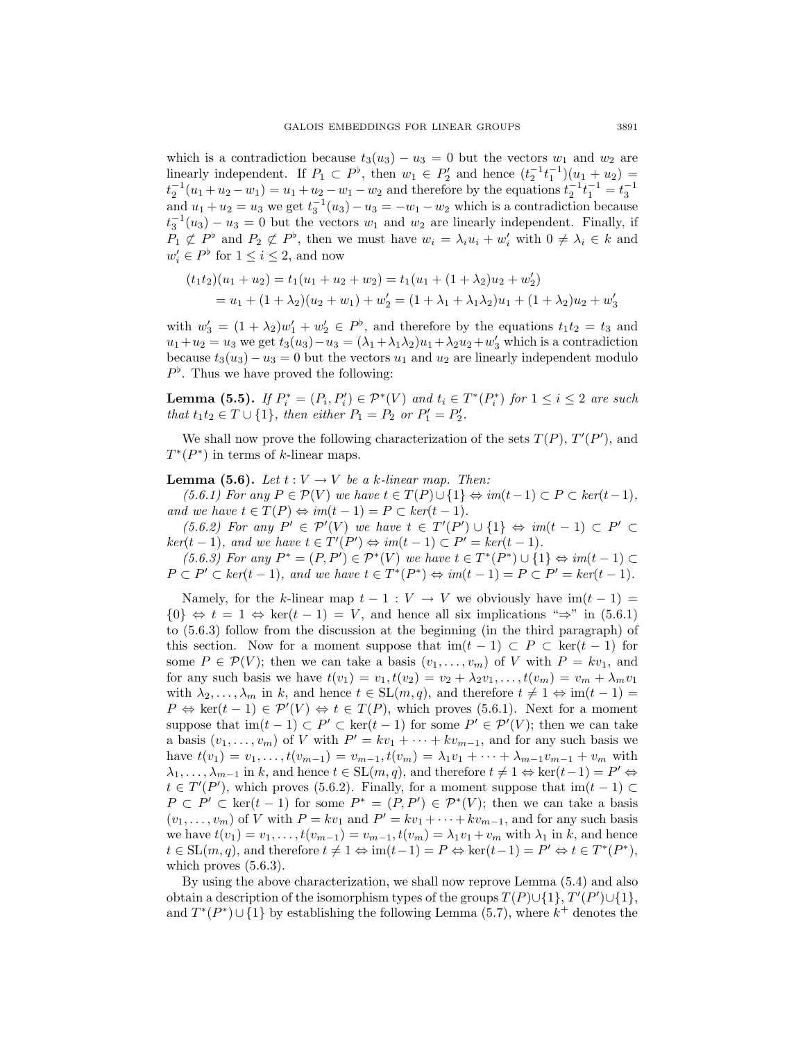which is a contradiction because  $t_3(u_3) - u_3 = 0$  but the vectors  $w_1$  and  $w_2$  are linearly independent. If  $P_1 \subset P^{\flat}$ , then  $w_1 \in P'_2$  and hence  $(t_2^{-1}t_1^{-1})(u_1 + u_2) =$  $t_2^{-1}(u_1 + u_2 - w_1) = u_1 + u_2 - w_1 - w_2$  and therefore by the equations  $t_2^{-1}t_1^{-1} = t_3^{-1}$ and  $u_1 + u_2 = u_3$  we get  $t_3^{-1}(u_3) - u_3 = -w_1 - w_2$  which is a contradiction because  $t_3^{-1}(u_3) - u_3 = 0$  but the vectors  $w_1$  and  $w_2$  are linearly independent. Finally, if  $P_1 \not\subset P^{\flat}$  and  $P_2 \not\subset P^{\flat}$ , then we must have  $w_i = \lambda_i u_i + w'_i$  with  $0 \neq \lambda_i \in k$  and  $w'_i \in P^{\flat}$  for  $1 \leq i \leq 2$ , and now

$$
(t_1t_2)(u_1 + u_2) = t_1(u_1 + u_2 + w_2) = t_1(u_1 + (1 + \lambda_2)u_2 + w'_2)
$$
  
=  $u_1 + (1 + \lambda_2)(u_2 + w_1) + w'_2 = (1 + \lambda_1 + \lambda_1\lambda_2)u_1 + (1 + \lambda_2)u_2 + w'_3$ 

with  $w'_3 = (1 + \lambda_2)w'_1 + w'_2 \in P^{\flat}$ , and therefore by the equations  $t_1t_2 = t_3$  and  $u_1+u_2=u_3$  we get  $t_3(u_3)-u_3=(\lambda_1+\lambda_1\lambda_2)u_1+\lambda_2u_2+w'_3$  which is a contradiction because  $t_3(u_3)-u_3=0$  but the vectors  $u_1$  and  $u_2$  are linearly independent modulo  $P^{\flat}$ . Thus we have proved the following:

**Lemma (5.5).** If  $P_i^* = (P_i, P_i') \in \mathcal{P}^*(V)$  and  $t_i \in T^*(P_i^*)$  for  $1 \leq i \leq 2$  are such *that*  $t_1 t_2 \in T \cup \{1\}$ *, then either*  $P_1 = P_2$  *or*  $P'_1 = P'_2$ *.* 

We shall now prove the following characterization of the sets  $T(P)$ ,  $T'(P')$ , and  $T^*(P^*)$  in terms of k-linear maps.

### **Lemma (5.6).** Let  $t: V \to V$  be a k-linear map. Then:

(5.6.1) For any  $P \in \mathcal{P}(V)$  we have  $t \in T(P) \cup \{1\} \Leftrightarrow im(t-1) \subset P \subset ker(t-1)$ , and we have  $t \in T(P) \Leftrightarrow im(t-1) = P \subset ker(t-1)$ .

 $(5.6.2)$  For any  $P' \in \mathcal{P}'(V)$  we have  $t \in T'(P') \cup \{1\} \Leftrightarrow im(t-1) \subset P' \subset$  $ker(t-1)$ , and we have  $t \in T'(P') \Leftrightarrow im(t-1) \subset P' = ker(t-1)$ .

 $(5.6.3)$  For any  $P^* = (P, P') \in P^*(V)$  we have  $t \in T^*(P^*) \cup \{1\} \Leftrightarrow im(t-1) \subset$  $P \subset P' \subset ker(t-1)$ , and we have  $t \in T^*(P^*) \Leftrightarrow im(t-1) = P \subset P' = ker(t-1)$ .

Namely, for the k-linear map  $t - 1 : V \to V$  we obviously have  $\text{im}(t - 1) =$  $\{0\} \Leftrightarrow t = 1 \Leftrightarrow \ker(t-1) = V$ , and hence all six implications " $\Rightarrow$ " in (5.6.1) to (5.6.3) follow from the discussion at the beginning (in the third paragraph) of this section. Now for a moment suppose that  $\text{im}(t-1) \subset P \subset \text{ker}(t-1)$  for some  $P \in \mathcal{P}(V)$ ; then we can take a basis  $(v_1,\ldots,v_m)$  of V with  $P = kv_1$ , and for any such basis we have  $t(v_1) = v_1, t(v_2) = v_2 + \lambda_2 v_1, \ldots, t(v_m) = v_m + \lambda_m v_1$ with  $\lambda_2, \ldots, \lambda_m$  in k, and hence  $t \in SL(m, q)$ , and therefore  $t \neq 1 \Leftrightarrow im(t-1) =$  $P \Leftrightarrow \text{ker}(t-1) \in \mathcal{P}'(V) \Leftrightarrow t \in T(P)$ , which proves (5.6.1). Next for a moment suppose that  $\text{im}(t-1) \subset P' \subset \text{ker}(t-1)$  for some  $P' \in \mathcal{P}'(V)$ ; then we can take a basis  $(v_1, \ldots, v_m)$  of V with  $P' = kv_1 + \cdots + kv_{m-1}$ , and for any such basis we have  $t(v_1) = v_1, \ldots, t(v_{m-1}) = v_{m-1}, t(v_m) = \lambda_1 v_1 + \cdots + \lambda_{m-1} v_{m-1} + v_m$  with  $\lambda_1, \ldots, \lambda_{m-1}$  in k, and hence  $t \in SL(m, q)$ , and therefore  $t \neq 1 \Leftrightarrow \ker(t-1) = P' \Leftrightarrow$  $t \in T'(P')$ , which proves (5.6.2). Finally, for a moment suppose that  $\text{im}(t-1) \subset$  $P \subset P' \subset \text{ker}(t-1)$  for some  $P^* = (P, P') \in \mathcal{P}^*(V)$ ; then we can take a basis  $(v_1,\ldots,v_m)$  of V with  $P = kv_1$  and  $P' = kv_1 + \cdots + kv_{m-1}$ , and for any such basis we have  $t(v_1) = v_1, \ldots, t(v_{m-1}) = v_{m-1}, t(v_m) = \lambda_1 v_1 + v_m$  with  $\lambda_1$  in k, and hence  $t \in SL(m, q)$ , and therefore  $t \neq 1 \Leftrightarrow im(t-1) = P \Leftrightarrow ker(t-1) = P' \Leftrightarrow t \in T^*(P^*),$ which proves  $(5.6.3)$ .

By using the above characterization, we shall now reprove Lemma (5.4) and also obtain a description of the isomorphism types of the groups  $T(P) \cup \{1\}$ ,  $T'(P') \cup \{1\}$ , and  $T^*(P^*) \cup \{1\}$  by establishing the following Lemma (5.7), where  $k^+$  denotes the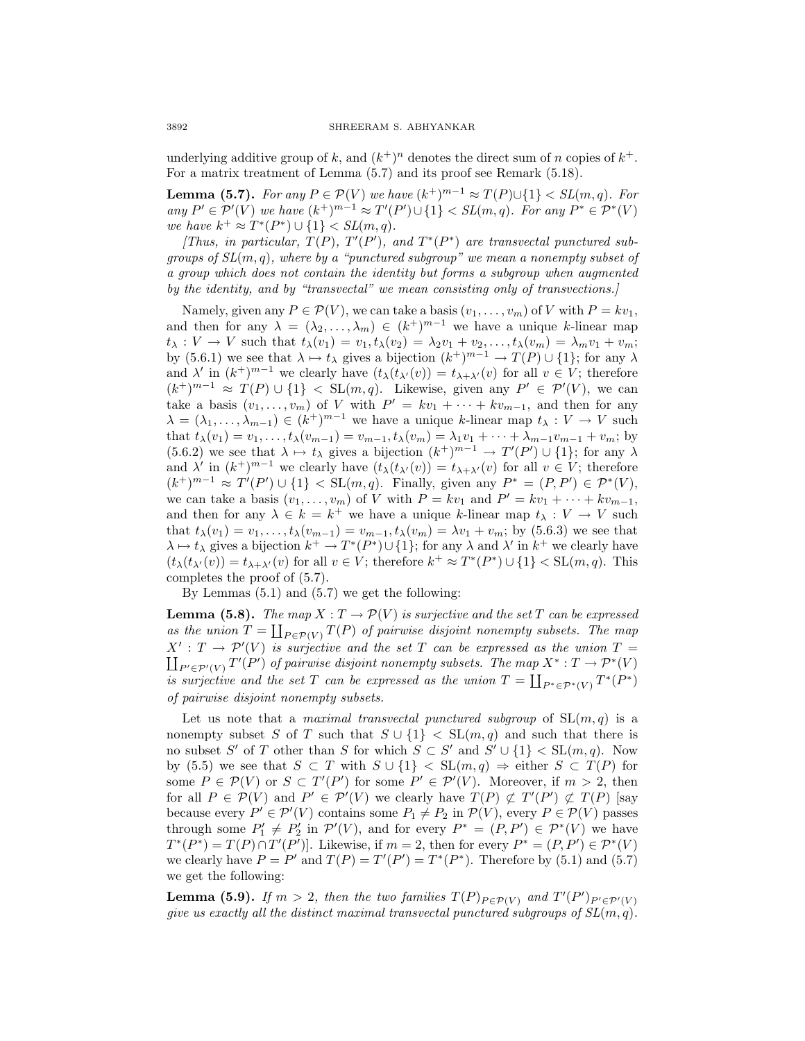underlying additive group of k, and  $(k^+)^n$  denotes the direct sum of n copies of  $k^+$ . For a matrix treatment of Lemma (5.7) and its proof see Remark (5.18).

**Lemma (5.7).** For any  $P \in \mathcal{P}(V)$  we have  $(k^+)^{m-1} \approx T(P) \cup \{1\} < SL(m, q)$ . For any  $P' \in \mathcal{P}'(V)$  we have  $(k^+)^{m-1} \approx T'(P') \cup \{1\} < SL(m, q)$ . For any  $P^* \in \mathcal{P}^*(V)$ we have  $k^+ \approx T^*(P^*) \cup \{1\} < SL(m, q)$ .

[Thus, in particular,  $T(P)$ ,  $T'(P')$ , and  $T^*(P^*)$  are transvectal punctured subgroups of  $SL(m, q)$ , where by a "punctured subgroup" we mean a nonempty subset of a group which does not contain the identity but forms a subgroup when augmented by the identity, and by "transvectal" we mean consisting only of transvections.]

Namely, given any  $P \in \mathcal{P}(V)$ , we can take a basis  $(v_1, \ldots, v_m)$  of V with  $P = kv_1$ , and then for any  $\lambda = (\lambda_2, \ldots, \lambda_m) \in (k^+)^{m-1}$  we have a unique k-linear map  $t_{\lambda}: V \to V$  such that  $t_{\lambda}(v_1) = v_1, t_{\lambda}(v_2) = \lambda_2 v_1 + v_2, \ldots, t_{\lambda}(v_m) = \lambda_m v_1 + v_m;$ by (5.6.1) we see that  $\lambda \mapsto t_{\lambda}$  gives a bijection  $(k^+)^{m-1} \to T(P) \cup \{1\}$ ; for any  $\lambda$ and  $\lambda'$  in  $(k^+)^{m-1}$  we clearly have  $(t_\lambda(t_{\lambda'}(v)) = t_{\lambda+\lambda'}(v)$  for all  $v \in V$ ; therefore  $(k^+)^{m-1} \approx T(P) \cup \{1\} < SL(m, q)$ . Likewise, given any  $P' \in \mathcal{P}'(V)$ , we can take a basis  $(v_1,\ldots,v_m)$  of V with  $P' = kv_1 + \cdots + kv_{m-1}$ , and then for any  $\lambda = (\lambda_1, \ldots, \lambda_{m-1}) \in (k^+)^{m-1}$  we have a unique k-linear map  $t_\lambda : V \to V$  such that  $t_{\lambda}(v_1) = v_1, \ldots, t_{\lambda}(v_{m-1}) = v_{m-1}, t_{\lambda}(v_m) = \lambda_1 v_1 + \cdots + \lambda_{m-1} v_{m-1} + v_m$ ; by (5.6.2) we see that  $\lambda \mapsto t_{\lambda}$  gives a bijection  $(k^+)^{m-1} \to T'(P') \cup \{1\}$ ; for any  $\lambda$ and  $\lambda'$  in  $(k^+)^{m-1}$  we clearly have  $(t_\lambda(t_{\lambda'}(v)) = t_{\lambda+\lambda'}(v)$  for all  $v \in V$ ; therefore  $(k^+)^{m-1} \approx T'(P') \cup \{1\} < SL(m, q)$ . Finally, given any  $P^* = (P, P') \in \mathcal{P}^*(V)$ , we can take a basis  $(v_1, \ldots, v_m)$  of V with  $P = kv_1$  and  $P' = kv_1 + \cdots + kv_{m-1}$ , and then for any  $\lambda \in k = k^+$  we have a unique k-linear map  $t_\lambda : V \to V$  such that  $t_{\lambda}(v_1) = v_1, \ldots, t_{\lambda}(v_{m-1}) = v_{m-1}, t_{\lambda}(v_m) = \lambda v_1 + v_m$ ; by (5.6.3) we see that  $\lambda \mapsto t_{\lambda}$  gives a bijection  $k^+ \to T^*(P^*) \cup \{1\}$ ; for any  $\lambda$  and  $\lambda'$  in  $k^+$  we clearly have  $(t_\lambda(t_{\lambda'}(v)) = t_{\lambda+\lambda'}(v)$  for all  $v \in V$ ; therefore  $k^+ \approx T^*(P^*) \cup \{1\} < SL(m,q)$ . This completes the proof of (5.7).

By Lemmas (5.1) and (5.7) we get the following:

**Lemma (5.8).** The map  $X: T \to \mathcal{P}(V)$  is surjective and the set T can be expressed as the union  $T = \coprod_{P \in \mathcal{P}(V)} T(P)$  of pairwise disjoint nonempty subsets. The map  $X' : T \longrightarrow \mathcal{P}'(V)$  is surjective and the set T can be expressed as the union  $T =$  $\coprod_{P' \in \mathcal{P}'(V)} T'(P')$  of pairwise disjoint nonempty subsets. The map  $X^* : T \to \mathcal{P}^*(V)$ is surjective and the set T can be expressed as the union  $T = \coprod_{P^* \in \mathcal{P}^*(V)} T^*(P^*)$ of pairwise disjoint nonempty subsets.

Let us note that a *maximal transvectal punctured subgroup* of  $SL(m, q)$  is a nonempty subset S of T such that  $S \cup \{1\} < SL(m,q)$  and such that there is no subset S' of T other than S for which  $S \subset S'$  and  $S' \cup \{1\} \subset SL(m, q)$ . Now by (5.5) we see that  $S \subset T$  with  $S \cup \{1\} \subset SL(m,q) \Rightarrow$  either  $S \subset T(P)$  for some  $P \in \mathcal{P}(V)$  or  $S \subset T'(P')$  for some  $P' \in \mathcal{P}'(V)$ . Moreover, if  $m > 2$ , then for all  $P \in \mathcal{P}(V)$  and  $P' \in \mathcal{P}'(V)$  we clearly have  $T(P) \not\subset T'(P') \not\subset T(P)$  [say because every  $P' \in \mathcal{P}'(V)$  contains some  $P_1 \neq P_2$  in  $\mathcal{P}(V)$ , every  $P \in \mathcal{P}(V)$  passes through some  $P'_1 \neq P'_2$  in  $\mathcal{P}'(V)$ , and for every  $P^* = (P, P') \in \mathcal{P}^*(V)$  we have  $T^*(P^*) = T(P) \cap T'(P')$ . Likewise, if  $m = 2$ , then for every  $P^* = (P, P') \in \mathcal{P}^*(V)$ we clearly have  $P = P'$  and  $T(P) = T'(P') = T^*(P^*)$ . Therefore by (5.1) and (5.7) we get the following:

**Lemma (5.9).** If  $m > 2$ , then the two families  $T(P)_{P \in \mathcal{P}(V)}$  and  $T'(P')_{P' \in \mathcal{P}'(V)}$ give us exactly all the distinct maximal transvectal punctured subgroups of  $SL(m, q)$ .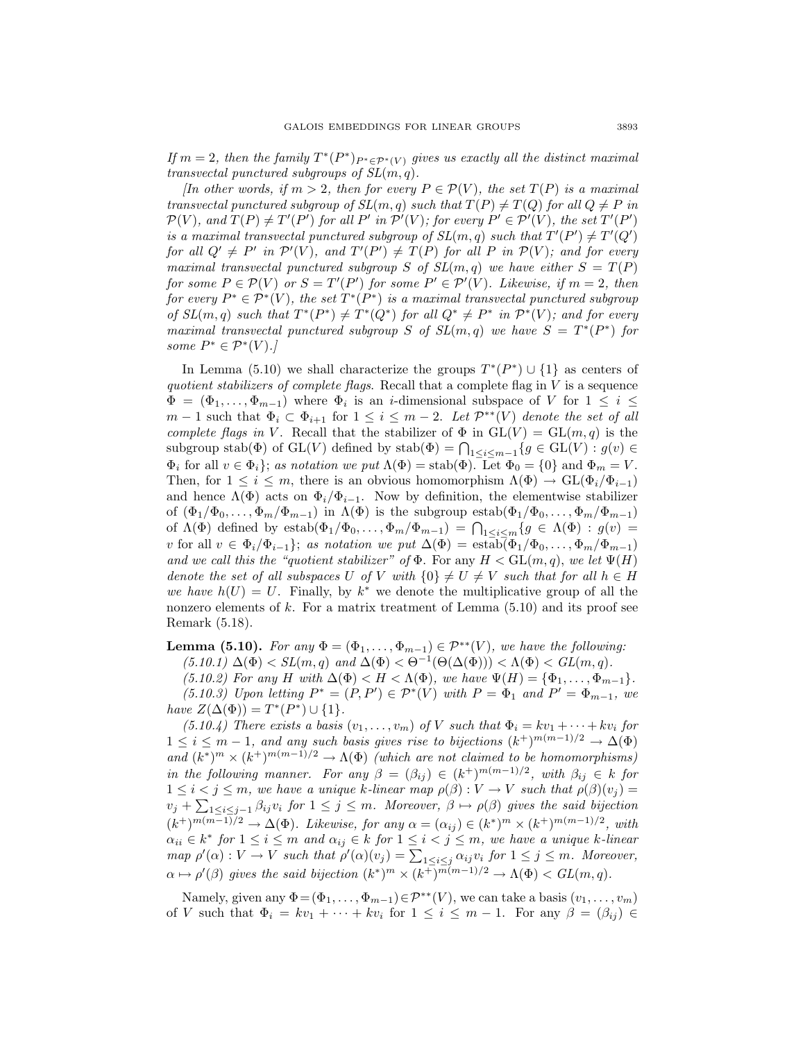If  $m = 2$ , then the family  $T^*(P^*)_{P^* \in \mathcal{P}^*(V)}$  gives us exactly all the distinct maximal transvectal punctured subgroups of  $SL(m, q)$ .

[In other words, if  $m > 2$ , then for every  $P \in \mathcal{P}(V)$ , the set  $T(P)$  is a maximal transvectal punctured subgroup of  $SL(m, q)$  such that  $T(P) \neq T(Q)$  for all  $Q \neq P$  in  $\mathcal{P}(V)$ , and  $T(P) \neq T'(P')$  for all P' in  $\mathcal{P}'(V)$ ; for every  $P' \in \mathcal{P}'(V)$ , the set  $T'(P')$ is a maximal transvectal punctured subgroup of  $SL(m, q)$  such that  $T'(P') \neq T'(Q')$ for all  $Q' \neq P'$  in  $\mathcal{P}'(V)$ , and  $T'(P') \neq T(P)$  for all P in  $\mathcal{P}(V)$ ; and for every maximal transvectal punctured subgroup S of  $SL(m, q)$  we have either  $S = T(P)$ for some  $P \in \mathcal{P}(V)$  or  $S = T'(P')$  for some  $P' \in \mathcal{P}'(V)$ . Likewise, if  $m = 2$ , then for every  $P^* \in \mathcal{P}^*(V)$ , the set  $T^*(P^*)$  is a maximal transvectal punctured subgroup of  $SL(m, q)$  such that  $T^*(P^*) \neq T^*(Q^*)$  for all  $Q^* \neq P^*$  in  $\mathcal{P}^*(V)$ ; and for every maximal transvectal punctured subgroup S of  $SL(m, q)$  we have  $S = T^*(P^*)$  for some  $P^* \in \mathcal{P}^*(V)$ .]

In Lemma (5.10) we shall characterize the groups  $T^*(P^*) \cup \{1\}$  as centers of quotient stabilizers of complete flags. Recall that a complete flag in  $V$  is a sequence  $\Phi = (\Phi_1, \ldots, \Phi_{m-1})$  where  $\Phi_i$  is an *i*-dimensional subspace of V for  $1 \leq i \leq$  $m-1$  such that  $\Phi_i \subset \Phi_{i+1}$  for  $1 \leq i \leq m-2$ . Let  $\mathcal{P}^{**}(V)$  denote the set of all complete flags in V. Recall that the stabilizer of  $\Phi$  in  $GL(V) = GL(m, q)$  is the subgroup stab $(\Phi)$  of  $GL(V)$  defined by  $stab(\Phi) = \bigcap_{1 \leq i \leq m-1} \{g \in GL(V) : g(v) \in$  $\Phi_i$  for all  $v \in \Phi_i$ ; as notation we put  $\Lambda(\Phi) = \text{stab}(\Phi)$ . Let  $\Phi_0 = \{0\}$  and  $\Phi_m = V$ . Then, for  $1 \leq i \leq m$ , there is an obvious homomorphism  $\Lambda(\Phi) \to GL(\Phi_i/\Phi_{i-1})$ and hence  $\Lambda(\Phi)$  acts on  $\Phi_i/\Phi_{i-1}$ . Now by definition, the elementwise stabilizer of  $(\Phi_1/\Phi_0,\ldots,\Phi_m/\Phi_{m-1})$  in  $\Lambda(\Phi)$  is the subgroup estab $(\Phi_1/\Phi_0,\ldots,\Phi_m/\Phi_{m-1})$ of  $\Lambda(\Phi)$  defined by estab $(\Phi_1/\Phi_0,\ldots,\Phi_m/\Phi_{m-1}) = \bigcap_{1 \leq i \leq m} \{g \in \Lambda(\Phi) : g(v) =$ v for all  $v \in \Phi_i/\Phi_{i-1}$ ; as notation we put  $\Delta(\Phi) = \text{estab}(\Phi_1/\Phi_0,\ldots,\Phi_m/\Phi_{m-1})$ and we call this the "quotient stabilizer" of  $\Phi$ . For any  $H < GL(m, q)$ , we let  $\Psi(H)$ denote the set of all subspaces U of V with  $\{0\} \neq U \neq V$  such that for all  $h \in H$ we have  $h(U) = U$ . Finally, by k<sup>\*</sup> we denote the multiplicative group of all the nonzero elements of  $k$ . For a matrix treatment of Lemma  $(5.10)$  and its proof see Remark (5.18).

**Lemma (5.10).** For any  $\Phi = (\Phi_1, \ldots, \Phi_{m-1}) \in \mathcal{P}^{**}(V)$ , we have the following: (5.10.1)  $\Delta(\Phi) < SL(m, q)$  and  $\Delta(\Phi) < \Theta^{-1}(\Theta(\Delta(\Phi))) < \Lambda(\Phi) < GL(m, q)$ .

(5.10.2) For any H with  $\Delta(\Phi) < H < \Lambda(\Phi)$ , we have  $\Psi(H) = {\Phi_1, \ldots, \Phi_{m-1}}$ . (5.10.3) Upon letting  $P^* = (P, P') \in \mathcal{P}^*(V)$  with  $P = \Phi_1$  and  $P' = \Phi_{m-1}$ , we have  $Z(\Delta(\Phi)) = T^*(P^*) \cup \{1\}.$ 

(5.10.4) There exists a basis  $(v_1,\ldots,v_m)$  of V such that  $\Phi_i = kv_1 + \cdots + kv_i$  for  $1 \leq i \leq m-1$ , and any such basis gives rise to bijections  $(k^+)^{m(m-1)/2} \to \Delta(\Phi)$ and  $(k^*)^m \times (k^+)^{m(m-1)/2} \to \Lambda(\Phi)$  (which are not claimed to be homomorphisms) in the following manner. For any  $\beta = (\beta_{ij}) \in (k^+)^{m(m-1)/2}$ , with  $\beta_{ij} \in k$  for  $1 \leq i < j \leq m$ , we have a unique k-linear map  $\rho(\beta): V \to V$  such that  $\rho(\beta)(v_j) =$  $v_j + \sum_{1 \leq i \leq j-1} \beta_{ij} v_i$  for  $1 \leq j \leq m$ . Moreover,  $\beta \mapsto \rho(\beta)$  gives the said bijection  $(k^+)^{m(m-1)/2} \to \Delta(\Phi)$ . Likewise, for any  $\alpha = (\alpha_{ij}) \in (k^*)^m \times (k^+)^{m(m-1)/2}$ , with  $\alpha_{ii} \in k^*$  for  $1 \leq i \leq m$  and  $\alpha_{ij} \in k$  for  $1 \leq i < j \leq m$ , we have a unique k-linear map  $\rho'(\alpha): V \to V$  such that  $\rho'(\alpha)(v_j) = \sum_{1 \leq i \leq j} \alpha_{ij} v_i$  for  $1 \leq j \leq m$ . Moreover,  $\alpha \mapsto \rho'(\beta)$  gives the said bijection  $(k^*)^m \times (k^+)^{m(m-1)/2} \to \Lambda(\Phi) < GL(m, q)$ .

Namely, given any  $\Phi = (\Phi_1, \ldots, \Phi_{m-1}) \in \mathcal{P}^{**}(V)$ , we can take a basis  $(v_1, \ldots, v_m)$ of V such that  $\Phi_i = kv_1 + \cdots + kv_i$  for  $1 \leq i \leq m-1$ . For any  $\beta = (\beta_{ij}) \in$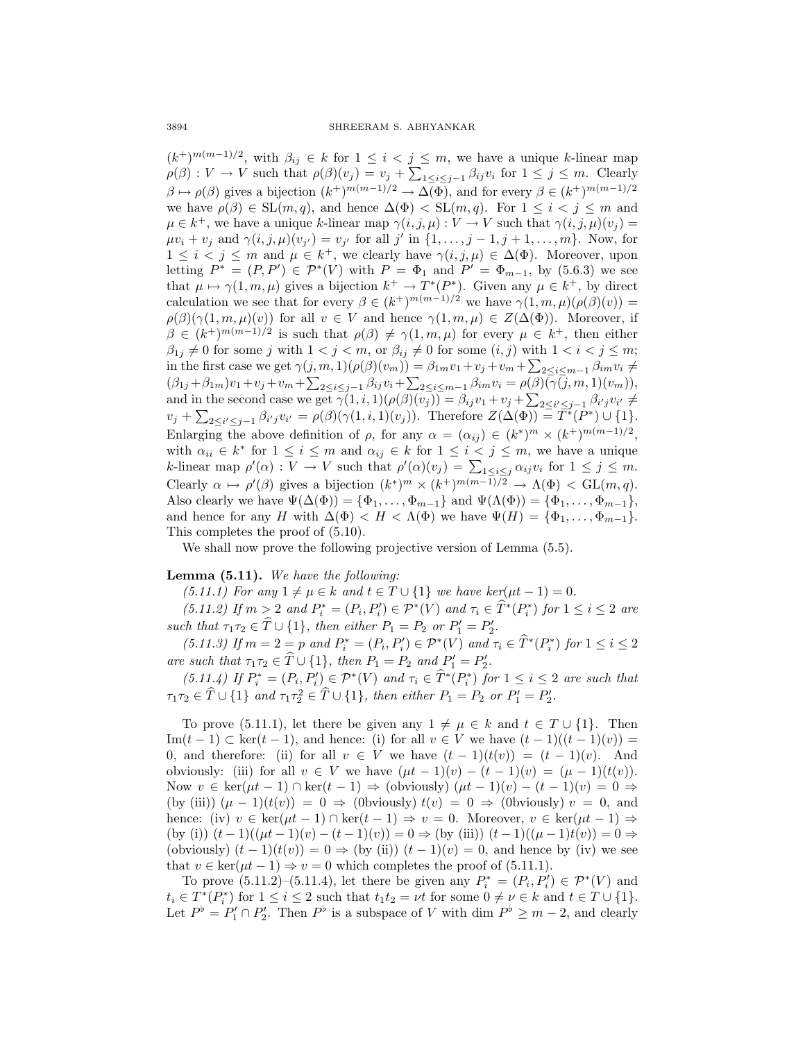$(k^+)^{m(m-1)/2}$ , with  $\beta_{ij} \in k$  for  $1 \leq i < j \leq m$ , we have a unique k-linear map  $\rho(\beta): V \to V$  such that  $\rho(\beta)(v_j) = v_j + \sum_{1 \leq i \leq j-1} \beta_{ij} v_i$  for  $1 \leq j \leq m$ . Clearly  $\beta \mapsto \rho(\beta)$  gives a bijection  $(k^+)^{m(m-1)/2} \to \Delta(\Phi)$ , and for every  $\beta \in (k^+)^{m(m-1)/2}$ we have  $\rho(\beta) \in SL(m, q)$ , and hence  $\Delta(\Phi) < SL(m, q)$ . For  $1 \leq i < j \leq m$  and  $\mu \in k^+$ , we have a unique k-linear map  $\gamma(i, j, \mu) : V \to V$  such that  $\gamma(i, j, \mu)(v_j) =$  $\mu v_i + v_j$  and  $\gamma(i, j, \mu)(v_{j'}) = v_{j'}$  for all j' in  $\{1, \ldots, j-1, j+1, \ldots, m\}$ . Now, for  $1 \leq i < j \leq m$  and  $\mu \in k^+$ , we clearly have  $\gamma(i, j, \mu) \in \Delta(\Phi)$ . Moreover, upon letting  $P^* = (P, P') \in \mathcal{P}^*(V)$  with  $P = \Phi_1$  and  $P' = \Phi_{m-1}$ , by (5.6.3) we see that  $\mu \mapsto \gamma(1, m, \mu)$  gives a bijection  $k^+ \to T^*(P^*)$ . Given any  $\mu \in k^+$ , by direct calculation we see that for every  $\beta \in (k^+)^{m(m-1)/2}$  we have  $\gamma(1, m, \mu)(\rho(\beta)(v)) =$  $\rho(\beta)(\gamma(1,m,\mu)(v))$  for all  $v \in V$  and hence  $\gamma(1,m,\mu) \in Z(\Delta(\Phi))$ . Moreover, if  $\beta \in (k^+)^{m(m-1)/2}$  is such that  $\rho(\beta) \neq \gamma(1, m, \mu)$  for every  $\mu \in k^+$ , then either  $\beta_{1j} \neq 0$  for some j with  $1 < j < m$ , or  $\beta_{ij} \neq 0$  for some  $(i, j)$  with  $1 < i < j \leq m$ ; in the first case we get  $\gamma(j, m, 1)(\rho(\beta)(v_m)) = \beta_{1m}v_1 + v_j + v_m + \sum_{i=2}^{n} \leq i \leq m-1} \beta_{im}v_i \neq$  $(\beta_{1j} + \beta_{1m})v_1 + v_j + v_m + \sum_{2 \le i \le j-1} \beta_{ij}v_i + \sum_{2 \le i \le m-1} \beta_{im}v_i = \rho(\beta)(\gamma(j,m,1)(v_m)),$ and in the second case we get  $\gamma(1, i, 1)(\rho(\beta)(v_j)) = \beta_{ij}v_1 + v_j + \sum_{2 \leq i' \leq j-1} \beta_{i'j}v_{i'} \neq$  $v_j + \sum_{2 \le i' \le j-1} \beta_{i'j} v_{i'} = \rho(\beta)(\gamma(1,i,1)(v_j)).$  Therefore  $Z(\Delta(\Phi)) = T^*(P^*) \cup \{1\}.$ Enlarging the above definition of  $\rho$ , for any  $\alpha = (\alpha_{ij}) \in (k^*)^m \times (k^+)^{m(m-1)/2}$ , with  $\alpha_{ii} \in k^*$  for  $1 \le i \le m$  and  $\alpha_{ij} \in k$  for  $1 \le i \le j \le m$ , we have a unique k-linear map  $\rho'(\alpha) : V \to V$  such that  $\rho'(\alpha)(v_j) = \sum_{1 \leq i \leq j} \alpha_{ij} v_i$  for  $1 \leq j \leq m$ . Clearly  $\alpha \mapsto \rho'(\beta)$  gives a bijection  $(k^*)^m \times (k^+)^{m(m-1)/2} \to \Lambda(\Phi) < \text{GL}(m, q)$ . Also clearly we have  $\Psi(\Delta(\Phi)) = {\Phi_1, \ldots, \Phi_{m-1}}$  and  $\Psi(\Lambda(\Phi)) = {\Phi_1, \ldots, \Phi_{m-1}}$ , and hence for any H with  $\Delta(\Phi) < H < \Lambda(\Phi)$  we have  $\Psi(H) = {\Phi_1, \ldots, \Phi_{m-1}}$ . This completes the proof of (5.10).

We shall now prove the following projective version of Lemma (5.5).

## **Lemma (5.11).** We have the following:

(5.11.1) For any  $1 \neq \mu \in k$  and  $t \in T \cup \{1\}$  we have ker( $\mu t - 1$ ) = 0.

(5.11.2) If  $m > 2$  and  $P_i^* = (P_i, P_i') \in \mathcal{P}^*(V)$  and  $\tau_i \in T^*(P_i^*)$  for  $1 \le i \le 2$  are such that  $\tau_1\tau_2 \in T \cup \{1\}$ , then either  $P_1 = P_2$  or  $P'_1 = P'_2$ .

(5.11.3) If  $m = 2 = p$  and  $P_i^* = (P_i, P_i') \in \mathcal{P}^*(V)$  and  $\tau_i \in T^*(P_i^*)$  for  $1 \le i \le 2$ are such that  $\tau_1\tau_2 \in T \cup \{1\}$ , then  $P_1 = P_2$  and  $P'_1 = P'_2$ .

(5.11.4) If  $P_i^* = (P_i, P_i') \in \mathcal{P}^*(V)$  and  $\tau_i \in T^*(P_i^*)$  for  $1 \leq i \leq 2$  are such that  $\tau_1 \tau_2 \in \hat{T} \cup \{1\}$  and  $\tau_1 \tau_2^2 \in \hat{T} \cup \{1\}$ , then either  $P_1 = P_2$  or  $P'_1 = P'_2$ .

To prove (5.11.1), let there be given any  $1 \neq \mu \in k$  and  $t \in T \cup \{1\}$ . Then Im $(t-1)$  ⊂ ker $(t-1)$ , and hence: (i) for all  $v \in V$  we have  $(t-1)((t-1)(v)) =$ 0, and therefore: (ii) for all  $v \in V$  we have  $(t-1)(t(v)) = (t-1)(v)$ . And obviously: (iii) for all  $v \in V$  we have  $(\mu t - 1)(v) - (t - 1)(v) = (\mu - 1)(t(v))$ . Now  $v \in \ker(\mu t - 1) \cap \ker(t - 1) \Rightarrow$  (obviously)  $(\mu t - 1)(v) - (t - 1)(v) = 0 \Rightarrow$ (by (iii))  $(\mu - 1)(t(v)) = 0 \Rightarrow$  (0bviously)  $t(v) = 0 \Rightarrow$  (0bviously)  $v = 0$ , and hence: (iv)  $v \in \ker(\mu t - 1) \cap \ker(t - 1) \Rightarrow v = 0$ . Moreover,  $v \in \ker(\mu t - 1) \Rightarrow$ (by (i))  $(t-1)((\mu t-1)(v) - (t-1)(v)) = 0 \Rightarrow$  (by (iii))  $(t-1)((\mu-1)t(v)) = 0 \Rightarrow$ (obviously)  $(t-1)(t(v)) = 0 \Rightarrow$  (by (ii))  $(t-1)(v) = 0$ , and hence by (iv) we see that  $v \in \text{ker}(\mu t - 1) \Rightarrow v = 0$  which completes the proof of (5.11.1).

To prove  $(5.11.2)$ – $(5.11.4)$ , let there be given any  $P_i^* = (P_i, P_i') \in \mathcal{P}^*(V)$  and  $t_i \in T^*(P_i^*)$  for  $1 \leq i \leq 2$  such that  $t_1t_2 = \nu t$  for some  $0 \neq \nu \in k$  and  $t \in T \cup \{1\}$ . Let  $P^{\flat} = P'_1 \cap P'_2$ . Then  $P^{\flat}$  is a subspace of V with dim  $P^{\flat} \geq m-2$ , and clearly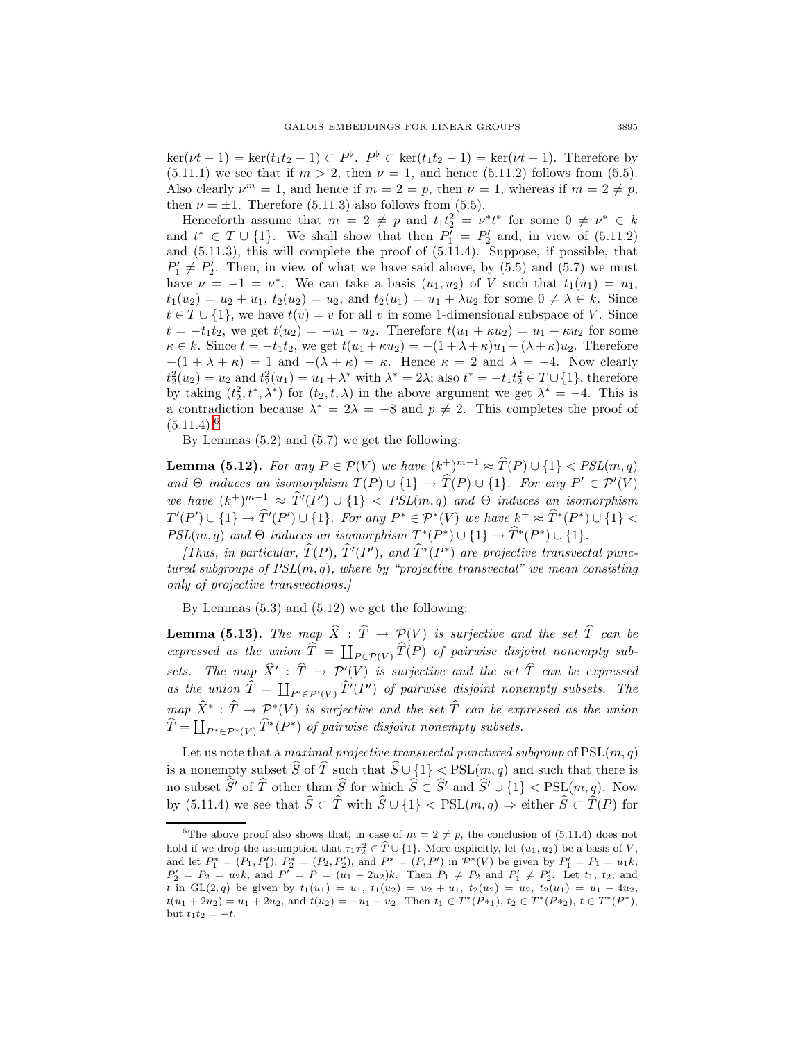$\ker(\nu t - 1) = \ker(t_1 t_2 - 1) \subset P^{\flat}$ .  $P^{\flat} \subset \ker(t_1 t_2 - 1) = \ker(\nu t - 1)$ . Therefore by (5.11.1) we see that if  $m > 2$ , then  $\nu = 1$ , and hence (5.11.2) follows from (5.5). Also clearly  $\nu^m = 1$ , and hence if  $m = 2 = p$ , then  $\nu = 1$ , whereas if  $m = 2 \neq p$ , then  $\nu = \pm 1$ . Therefore (5.11.3) also follows from (5.5).

Henceforth assume that  $m = 2 \neq p$  and  $t_1 t_2^2 = v^* t^*$  for some  $0 \neq v^* \in k$ and  $t^* \in T \cup \{1\}$ . We shall show that then  $P'_1 = P'_2$  and, in view of  $(5.11.2)$ and (5.11.3), this will complete the proof of (5.11.4). Suppose, if possible, that  $P'_1 \neq P'_2$ . Then, in view of what we have said above, by (5.5) and (5.7) we must have  $\nu = -1 = \nu^*$ . We can take a basis  $(u_1, u_2)$  of V such that  $t_1(u_1) = u_1$ ,  $t_1(u_2) = u_2 + u_1, t_2(u_2) = u_2$ , and  $t_2(u_1) = u_1 + \lambda u_2$  for some  $0 \neq \lambda \in k$ . Since  $t \in T \cup \{1\}$ , we have  $t(v) = v$  for all v in some 1-dimensional subspace of V. Since  $t = -t_1t_2$ , we get  $t(u_2) = -u_1 - u_2$ . Therefore  $t(u_1 + \kappa u_2) = u_1 + \kappa u_2$  for some  $\kappa \in k$ . Since  $t = -t_1t_2$ , we get  $t(u_1 + \kappa u_2) = -(1 + \lambda + \kappa)u_1 - (\lambda + \kappa)u_2$ . Therefore  $-(1 + \lambda + \kappa) = 1$  and  $-(\lambda + \kappa) = \kappa$ . Hence  $\kappa = 2$  and  $\lambda = -4$ . Now clearly  $t_2^2(u_2) = u_2$  and  $t_2^2(u_1) = u_1 + \lambda^*$  with  $\lambda^* = 2\lambda$ ; also  $t^* = -t_1 t_2^2 \in T \cup \{1\}$ , therefore by taking  $(t_2^2, t^*, \lambda^*)$  for  $(t_2, t, \lambda)$  in the above argument we get  $\lambda^* = -4$ . This is a contradiction because  $\lambda^* = 2\lambda = -8$  and  $p \neq 2$ . This completes the proof of  $(5.11.4).<sup>6</sup>$  $(5.11.4).<sup>6</sup>$  $(5.11.4).<sup>6</sup>$ 

By Lemmas (5.2) and (5.7) we get the following:

**Lemma (5.12).** For any  $P \in \mathcal{P}(V)$  we have  $(k^+)^{m-1} \approx \hat{T}(P) \cup \{1\} < PSL(m, q)$ and  $\Theta$  induces an isomorphism  $T(P) \cup \{1\} \rightarrow T(P) \cup \{1\}$ . For any  $P' \in \mathcal{P}'(V)$ we have  $(k^+)^{m-1} \approx \hat{T}'(P') \cup \{1\} < PSL(m, q)$  and  $\Theta$  induces an isomorphism  $T'(P') \cup \{1\} \rightarrow \hat{T}'(P') \cup \{1\}$ . For any  $P^* \in \mathcal{P}^*(V)$  we have  $k^+ \approx \hat{T}^*(P^*) \cup \{1\} <$  $PSL(m, q)$  and  $\Theta$  induces an isomorphism  $T^*(P^*) \cup \{1\} \rightarrow \hat{T}^*(P^*) \cup \{1\}.$ 

[Thus, in particular,  $T(P)$ ,  $T'(P')$ , and  $T^*(P^*)$  are projective transvectal punctured subgroups of  $PSL(m, q)$ , where by "projective transvectal" we mean consisting only of projective transvections.]

By Lemmas (5.3) and (5.12) we get the following:

**Lemma (5.13).** The map  $\hat{X}$  :  $\hat{T} \rightarrow \mathcal{P}(V)$  is surjective and the set  $\hat{T}$  can be expressed as the union  $T = \prod_{P \in \mathcal{P}(V)} T(P)$  of pairwise disjoint nonempty subsets. The map  $X' : T \to \mathcal{P}'(V)$  is surjective and the set T can be expressed as the union  $T = \coprod_{P' \in \mathcal{P}'(V)} T'(P')$  of pairwise disjoint nonempty subsets. The map  $\widehat{X}^* : \widehat{T} \to \mathcal{P}^*(V)$  is surjective and the set  $\widehat{T}$  can be expressed as the union  $T = \coprod_{P^* \in \mathcal{P}^*(V)} T^*(P^*)$  of pairwise disjoint nonempty subsets.

Let us note that a maximal projective transvectal punctured subgroup of  $PSL(m, q)$ is a nonempty subset  $\widehat{S}$  of  $\widehat{T}$  such that  $\widehat{S} \cup \{1\} < PSL(m, q)$  and such that there is no subset  $\hat{S}$ <sup>f</sup> of  $\hat{T}$  other than  $\hat{S}$  for which  $\hat{S} \subset \hat{S}$ <sup>f</sup> and  $\hat{S}$ <sup>f</sup>  $\cup$  {1} < PSL $(m, q)$ . Now by (5.11.4) we see that  $\widehat{S} \subset \widehat{T}$  with  $\widehat{S} \cup \{1\} < PSL(m, q) \Rightarrow$  either  $\widehat{S} \subset \widehat{T}(P)$  for

<span id="page-14-0"></span><sup>&</sup>lt;sup>6</sup>The above proof also shows that, in case of  $m = 2 \neq p$ , the conclusion of (5.11.4) does not hold if we drop the assumption that  $\tau_1 \tau_2^2 \in \hat{T} \cup \{1\}$ . More explicitly, let  $(u_1, u_2)$  be a basis of V, and let  $P_1^* = (P_1, P_1'), P_2^* = (P_2, P_2'),$  and  $P^* = (P, P')$  in  $\mathcal{P}^*(V)$  be given by  $P_1' = P_1 = u_1 k$ ,  $P_2' = P_2 = u_2k$ , and  $P' = P = (u_1 - 2u_2)k$ . Then  $P_1 \neq P_2$  and  $P_1' \neq P_2'$ . Let  $t_1, t_2$ , and t in GL(2,q) be given by  $t_1(u_1) = u_1$ ,  $t_1(u_2) = u_2 + u_1$ ,  $t_2(u_2) = u_2$ ,  $t_2(u_1) = u_1 - 4u_2$ ,  $t(u_1 + 2u_2) = u_1 + 2u_2$ , and  $t(u_2) = -u_1 - u_2$ . Then  $t_1 \in T^*(P^*), t_2 \in T^*(P^*), t \in T^*(P^*),$ but  $t_1t_2 = -t$ .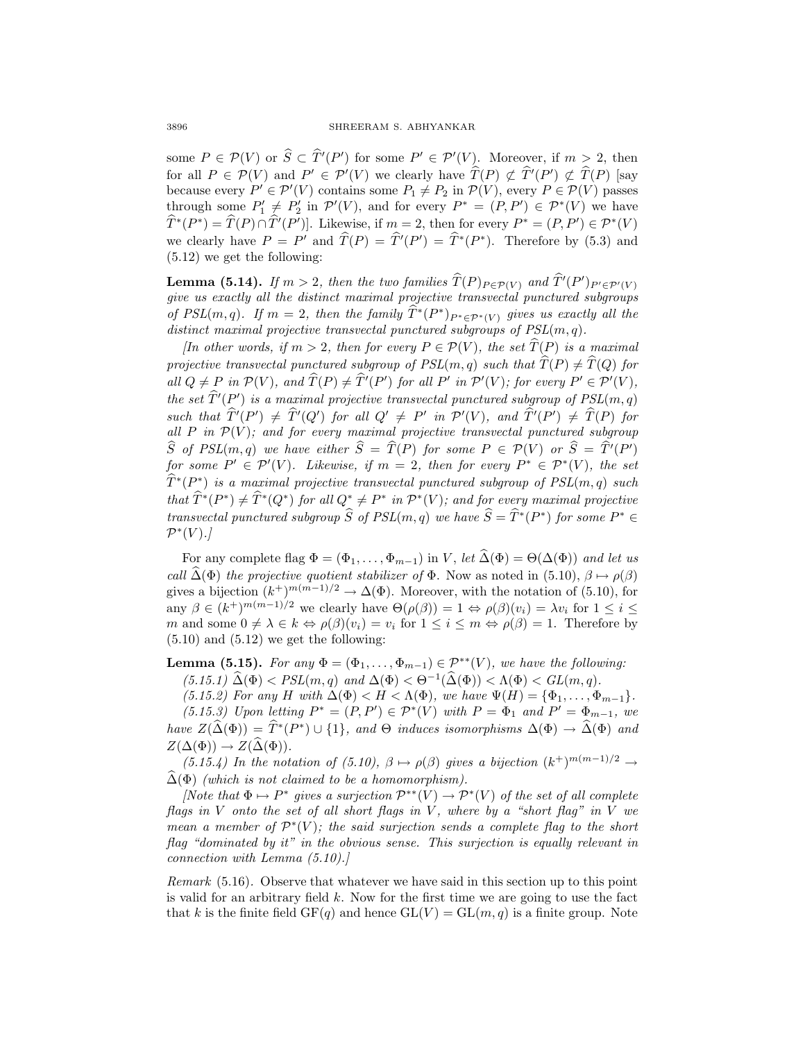some  $P \in \mathcal{P}(V)$  or  $S \subset T'(P')$  for some  $P' \in \mathcal{P}'(V)$ . Moreover, if  $m > 2$ , then for all  $P \in \mathcal{P}(V)$  and  $P' \in \mathcal{P}'(V)$  we clearly have  $T(P) \not\subset T'(P') \not\subset T(P)$  [say because every  $P' \in \mathcal{P}'(V)$  contains some  $P_1 \neq P_2$  in  $\mathcal{P}(V)$ , every  $P \in \mathcal{P}(V)$  passes through some  $P'_1 \neq P'_2$  in  $\mathcal{P}'(V)$ , and for every  $P^* = (P, P') \in \mathcal{P}^*(V)$  we have  $T^*(P^*) = T(P) \cap T'(P')$ . Likewise, if  $m = 2$ , then for every  $P^* = (P, P') \in \mathcal{P}^*(V)$ we clearly have  $P = P'$  and  $T(P) = T'(P') = T^*(P^*)$ . Therefore by (5.3) and (5.12) we get the following:

**Lemma (5.14).** If  $m > 2$ , then the two families  $T(P)_{P \in \mathcal{P}(V)}$  and  $T'(P')_{P' \in \mathcal{P}'(V)}$ give us exactly all the distinct maximal projective transvectal punctured subgroups of PSL(m, q). If  $m = 2$ , then the family  $\widehat{T}^*(P^*)_{P^* \in \mathcal{P}^*(V)}$  gives us exactly all the distinct maximal projective transvectal punctured subgroups of  $PSL(m, q)$ .

[In other words, if  $m > 2$ , then for every  $P \in \mathcal{P}(V)$ , the set  $T(P)$  is a maximal projective transvectal punctured subgroup of  $PSL(m, q)$  such that  $\widehat{T}(P) \neq \widehat{T}(Q)$  for all  $Q \neq P$  in  $\mathcal{P}(V)$ , and  $T(P) \neq T'(P')$  for all P' in  $\mathcal{P}'(V)$ ; for every  $P' \in \mathcal{P}'(V)$ , the set  $T'(P')$  is a maximal projective transvectal punctured subgroup of  $PSL(m, q)$ such that  $T'(P') \neq T'(Q')$  for all  $Q' \neq P'$  in  $\mathcal{P}'(V)$ , and  $T'(P') \neq T(P)$  for all P in  $\mathcal{P}(V)$ ; and for every maximal projective transvectal punctured subgroup S of PSL(m, q) we have either  $S = T(P)$  for some  $P \in \mathcal{P}(V)$  or  $S = T'(P')$ for some  $P' \in \mathcal{P}'(V)$ . Likewise, if  $m = 2$ , then for every  $P^* \in \mathcal{P}^*(V)$ , the set  $\widehat{T}^{*}(P^{*})$  is a maximal projective transvectal punctured subgroup of  $PSL(m, q)$  such that  $\widehat{T}^{*}(P^{*}) \neq \widehat{T}^{*}(Q^{*})$  for all  $Q^{*} \neq P^{*}$  in  $\mathcal{P}^{*}(V)$ ; and for every maximal projective transvectal punctured subgroup  $\widehat{S}$  of  $PSL(m, q)$  we have  $\widehat{S} = \widehat{T}*(P^*)$  for some  $P^* \in$  $\mathcal{P}^*(V)$ .]

For any complete flag  $\Phi = (\Phi_1, \ldots, \Phi_{m-1})$  in V, let  $\widehat{\Delta}(\Phi) = \Theta(\Delta(\Phi))$  and let us call  $\widehat{\Delta}(\Phi)$  the projective quotient stabilizer of  $\Phi$ . Now as noted in (5.10),  $\beta \mapsto \rho(\beta)$ gives a bijection  $(k^+)^{m(m-1)/2} \to \Delta(\Phi)$ . Moreover, with the notation of (5.10), for any  $\beta \in (k^+)^{m(m-1)/2}$  we clearly have  $\Theta(\rho(\beta)) = 1 \Leftrightarrow \rho(\beta)(v_i) = \lambda v_i$  for  $1 \leq i \leq$ m and some  $0 \neq \lambda \in k \Leftrightarrow \rho(\beta)(v_i) = v_i$  for  $1 \leq i \leq m \Leftrightarrow \rho(\beta) = 1$ . Therefore by  $(5.10)$  and  $(5.12)$  we get the following:

**Lemma (5.15).** For any  $\Phi = (\Phi_1, \ldots, \Phi_{m-1}) \in \mathcal{P}^{**}(V)$ , we have the following:  $(5.15.1) \widehat{\Delta}(\Phi) < PSL(m, q)$  and  $\Delta(\Phi) < \Theta^{-1}(\widehat{\Delta}(\Phi)) < \Lambda(\Phi) < GL(m, q)$ .

(5.15.2) For any H with  $\Delta(\Phi) < H < \Lambda(\Phi)$ , we have  $\Psi(H) = {\Phi_1, \ldots, \Phi_{m-1}}$ .

(5.15.3) Upon letting  $P^* = (P, P') \in \mathcal{P}^*(V)$  with  $P = \Phi_1$  and  $P' = \Phi_{m-1}$ , we have  $Z(\widehat{\Delta}(\Phi)) = \widehat{T}^*(P^*) \cup \{1\}$ , and  $\Theta$  induces isomorphisms  $\Delta(\Phi) \to \widehat{\Delta}(\Phi)$  and  $Z(\Delta(\Phi)) \to Z(\widehat{\Delta}(\Phi)).$ 

(5.15.4) In the notation of (5.10),  $\beta \mapsto \rho(\beta)$  gives a bijection  $(k^+)^{m(m-1)/2} \rightarrow$  $\widehat{\Delta}(\Phi)$  (which is not claimed to be a homomorphism).

[Note that  $\Phi \mapsto P^*$  gives a surjection  $\mathcal{P}^{*}(V) \to \mathcal{P}^{*}(V)$  of the set of all complete flags in V onto the set of all short flags in V, where by a "short flag" in V we mean a member of  $\mathcal{P}^*(V)$ ; the said surjection sends a complete flag to the short flag "dominated by it" in the obvious sense. This surjection is equally relevant in connection with Lemma (5.10).]

Remark (5.16). Observe that whatever we have said in this section up to this point is valid for an arbitrary field  $k$ . Now for the first time we are going to use the fact that k is the finite field  $GF(q)$  and hence  $GL(V) = GL(m, q)$  is a finite group. Note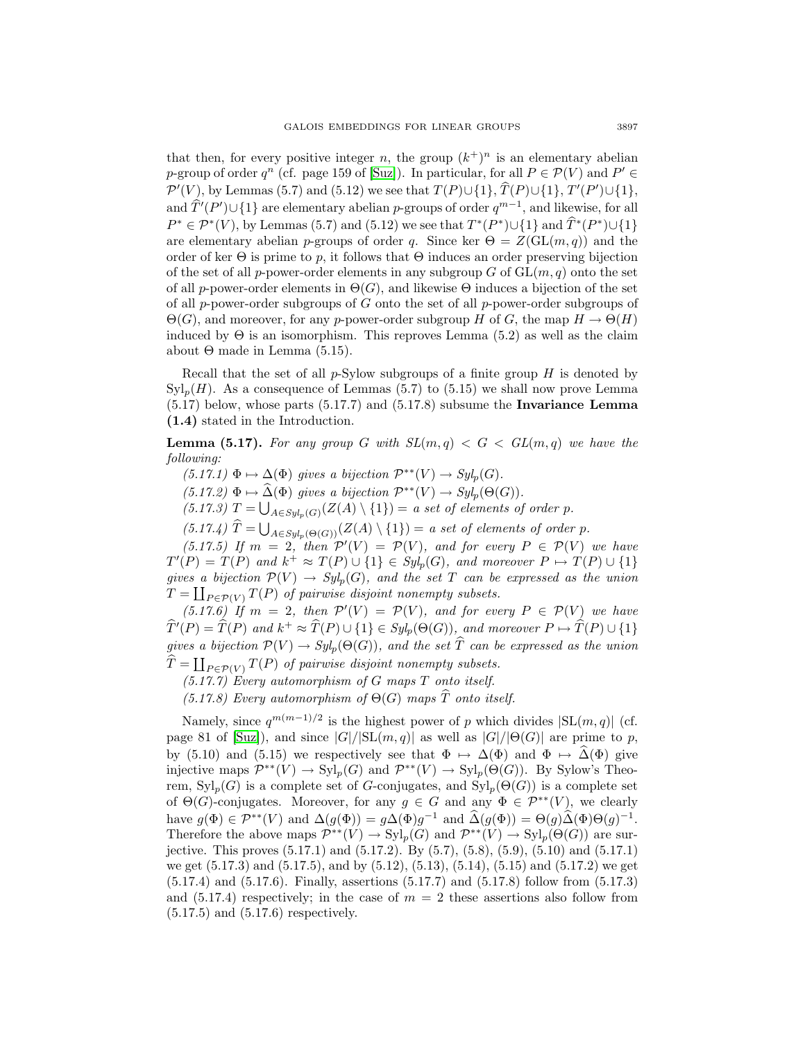that then, for every positive integer n, the group  $(k^+)^n$  is an elementary abelian p-group of order  $q^n$  (cf. page 159 of [\[Suz\]](#page-31-0)). In particular, for all  $P \in \mathcal{P}(V)$  and  $P' \in$  $\mathcal{P}'(V)$ , by Lemmas (5.7) and (5.12) we see that  $T(P) \cup \{1\}$ ,  $T(P) \cup \{1\}$ ,  $T'(P') \cup \{1\}$ , and  $\hat{T}'(P') \cup \{1\}$  are elementary abelian p-groups of order  $q^{m-1}$ , and likewise, for all  $P^* \in \mathcal{P}^*(V)$ , by Lemmas (5.7) and (5.12) we see that  $T^*(P^*) \cup \{1\}$  and  $\widehat{T}^*(P^*) \cup \{1\}$ are elementary abelian p-groups of order q. Since ker  $\Theta = Z(\mathrm{GL}(m, q))$  and the order of ker  $\Theta$  is prime to p, it follows that  $\Theta$  induces an order preserving bijection of the set of all p-power-order elements in any subgroup G of  $GL(m, q)$  onto the set of all p-power-order elements in  $\Theta(G)$ , and likewise  $\Theta$  induces a bijection of the set of all  $p$ -power-order subgroups of  $G$  onto the set of all  $p$ -power-order subgroups of  $\Theta(G)$ , and moreover, for any p-power-order subgroup H of G, the map  $H \to \Theta(H)$ induced by  $\Theta$  is an isomorphism. This reproves Lemma (5.2) as well as the claim about  $\Theta$  made in Lemma (5.15).

Recall that the set of all  $p\text{-Sylow subgroups of a finite group }H$  is denoted by  $\text{Syl}_p(H)$ . As a consequence of Lemmas (5.7) to (5.15) we shall now prove Lemma (5.17) below, whose parts (5.17.7) and (5.17.8) subsume the **Invariance Lemma (1.4)** stated in the Introduction.

**Lemma (5.17).** For any group G with  $SL(m,q) < G < GL(m,q)$  we have the following:

 $(5.17.1) \Phi \mapsto \Delta(\Phi)$  gives a bijection  $\mathcal{P}^{**}(V) \to Syl_p(G)$ .

 $(5.17.2)$   $\Phi \mapsto \widehat{\Delta}(\Phi)$  gives a bijection  $\mathcal{P}^{**}(V) \to Syl_p(\Theta(G)).$ 

(5.17.3)  $T = \bigcup_{A \in Syl_p(G)} (Z(A) \setminus \{1\}) = a$  set of elements of order p.

 $(5.17.4)$   $T = \bigcup_{A \in Syl_p(\Theta(G))} (Z(A) \setminus \{1\}) = a$  set of elements of order p.

(5.17.5) If  $m = 2$ , then  $\mathcal{P}'(V) = \mathcal{P}(V)$ , and for every  $P \in \mathcal{P}(V)$  we have  $T'(P) = T(P)$  and  $k^+ \approx T(P) \cup \{1\} \in Syl_p(G)$ , and moreover  $P \mapsto T(P) \cup \{1\}$ gives a bijection  $\mathcal{P}(V) \to Syl_p(G)$ , and the set T can be expressed as the union  $T = \coprod_{P \in \mathcal{P}(V)} T(P)$  of pairwise disjoint nonempty subsets.

(5.17.6) If  $m = 2$ , then  $\mathcal{P}'(V) = \mathcal{P}(V)$ , and for every  $P \in \mathcal{P}(V)$  we have  $\widehat{T}'(P) = \widehat{T}(P)$  and  $k^+ \approx \widehat{T}(P) \cup \{1\} \in Syl_p(\Theta(G)),$  and moreover  $P \mapsto \widehat{T}(P) \cup \{1\}$ gives a bijection  $\mathcal{P}(V) \to Syl_n(\Theta(G))$ , and the set  $\hat{T}$  can be expressed as the union  $T = \coprod_{P \in \mathcal{P}(V)} T(P)$  of pairwise disjoint nonempty subsets.

 $(5.17.7)$  Every automorphism of G maps T onto itself.

(5.17.8) Every automorphism of  $\Theta(G)$  maps  $\widehat{T}$  onto itself.

Namely, since  $q^{m(m-1)/2}$  is the highest power of p which divides  $|SL(m, q)|$  (cf. page 81 of [\[Suz\]](#page-31-0)), and since  $|G|/|\text{SL}(m, q)|$  as well as  $|G|/|\Theta(G)|$  are prime to p, by (5.10) and (5.15) we respectively see that  $\Phi \mapsto \Delta(\Phi)$  and  $\Phi \mapsto \widehat{\Delta}(\Phi)$  give injective maps  $\mathcal{P}^{**}(V) \to \mathrm{Syl}_p(G)$  and  $\mathcal{P}^{**}(V) \to \mathrm{Syl}_p(\Theta(G))$ . By Sylow's Theorem,  $Syl_n(G)$  is a complete set of G-conjugates, and  $Syl_n(\Theta(G))$  is a complete set of  $\Theta(G)$ -conjugates. Moreover, for any  $g \in G$  and any  $\Phi \in \mathcal{P}^{**}(V)$ , we clearly have  $g(\Phi) \in \mathcal{P}^{**}(V)$  and  $\Delta(g(\Phi)) = g\Delta(\Phi)g^{-1}$  and  $\widehat{\Delta}(g(\Phi)) = \Theta(g)\widehat{\Delta}(\Phi)\Theta(g)^{-1}$ . Therefore the above maps  $\mathcal{P}^{**}(V) \to \mathrm{Syl}_p(G)$  and  $\mathcal{P}^{**}(V) \to \mathrm{Syl}_p(\Theta(G))$  are surjective. This proves (5.17.1) and (5.17.2). By (5.7), (5.8), (5.9), (5.10) and (5.17.1) we get (5.17.3) and (5.17.5), and by (5.12), (5.13), (5.14), (5.15) and (5.17.2) we get (5.17.4) and (5.17.6). Finally, assertions (5.17.7) and (5.17.8) follow from (5.17.3) and  $(5.17.4)$  respectively; in the case of  $m = 2$  these assertions also follow from (5.17.5) and (5.17.6) respectively.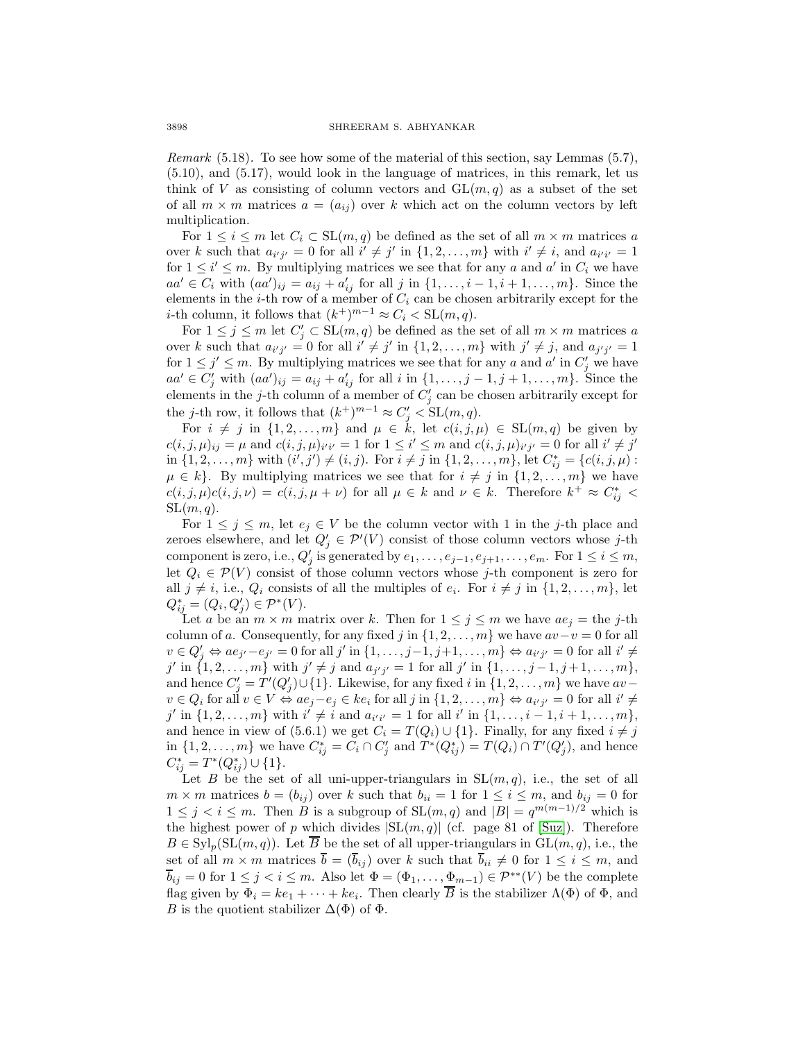Remark (5.18). To see how some of the material of this section, say Lemmas (5.7), (5.10), and (5.17), would look in the language of matrices, in this remark, let us think of V as consisting of column vectors and  $GL(m, q)$  as a subset of the set of all  $m \times m$  matrices  $a = (a_{ij})$  over k which act on the column vectors by left multiplication.

For  $1 \leq i \leq m$  let  $C_i \subset SL(m, q)$  be defined as the set of all  $m \times m$  matrices a over k such that  $a_{i'j'} = 0$  for all  $i' \neq j'$  in  $\{1, 2, ..., m\}$  with  $i' \neq i$ , and  $a_{i'i'} = 1$ for  $1 \leq i' \leq m$ . By multiplying matrices we see that for any a and a' in  $C_i$  we have  $aa' \in C_i$  with  $(aa')_{ij} = a_{ij} + a'_{ij}$  for all j in {1,..., *i* − 1, *i* + 1,..., *m*}. Since the elements in the  $i$ -th row of a member of  $C_i$  can be chosen arbitrarily except for the *i*-th column, it follows that  $(k^+)^{m-1} \approx C_i < SL(m, q)$ .

For  $1 \leq j \leq m$  let  $C'_j \subset SL(m, q)$  be defined as the set of all  $m \times m$  matrices a over k such that  $a_{i'j'} = 0$  for all  $i' \neq j'$  in  $\{1, 2, ..., m\}$  with  $j' \neq j$ , and  $a_{j'j'} = 1$ for  $1 \leq j' \leq m$ . By multiplying matrices we see that for any a and a' in  $C'_j$  we have  $aa' \in C'_j$  with  $(aa')_{ij} = a_{ij} + a'_{ij}$  for all i in  $\{1, \ldots, j-1, j+1, \ldots, m\}$ . Since the elements in the *j*-th column of a member of  $C'_{j}$  can be chosen arbitrarily except for the *j*-th row, it follows that  $(k^+)^{m-1} \approx C'_j < SL(m, q)$ .

For  $i \neq j$  in  $\{1, 2, ..., m\}$  and  $\mu \in k$ , let  $c(i, j, \mu) \in SL(m, q)$  be given by  $c(i, j, \mu)_{ij} = \mu$  and  $c(i, j, \mu)_{i'i'} = 1$  for  $1 \leq i' \leq m$  and  $c(i, j, \mu)_{i'j'} = 0$  for all  $i' \neq j'$ in  $\{1, 2, \ldots, m\}$  with  $(i', j') \neq (i, j)$ . For  $i \neq j$  in  $\{1, 2, \ldots, m\}$ , let  $C_{ij}^* = \{c(i, j, \mu) :$  $\mu \in k$ . By multiplying matrices we see that for  $i \neq j$  in  $\{1, 2, \ldots, m\}$  we have  $c(i, j, \mu)c(i, j, \nu) = c(i, j, \mu + \nu)$  for all  $\mu \in k$  and  $\nu \in k$ . Therefore  $k^+ \approx C_{ij}^*$  $SL(m, q)$ .

For  $1 \leq j \leq m$ , let  $e_j \in V$  be the column vector with 1 in the j-th place and zeroes elsewhere, and let  $Q'_j \in \mathcal{P}'(V)$  consist of those column vectors whose j-th component is zero, i.e.,  $Q'_{j}$  is generated by  $e_1, \ldots, e_{j-1}, e_{j+1}, \ldots, e_m$ . For  $1 \leq i \leq m$ , let  $Q_i \in \mathcal{P}(V)$  consist of those column vectors whose j-th component is zero for all  $j \neq i$ , i.e.,  $Q_i$  consists of all the multiples of  $e_i$ . For  $i \neq j$  in  $\{1, 2, \ldots, m\}$ , let  $Q_{ij}^* = (Q_i, Q_j') \in \mathcal{P}^*(V).$ 

Let a be an  $m \times m$  matrix over k. Then for  $1 \leq j \leq m$  we have  $ae_j =$  the j-th column of a. Consequently, for any fixed j in  $\{1, 2, \ldots, m\}$  we have  $av-v=0$  for all  $v \in Q'_j \Leftrightarrow ae_{j'}-e_{j'} = 0$  for all  $j'$  in  $\{1,\ldots,j-1,j+1,\ldots,m\} \Leftrightarrow a_{i'j'} = 0$  for all  $i' \neq j$ j' in  $\{1, 2, ..., m\}$  with  $j' \neq j$  and  $a_{j'j'} = 1$  for all j' in  $\{1, ..., j-1, j+1, ..., m\}$ , and hence  $C'_j = T'(Q'_j) \cup \{1\}$ . Likewise, for any fixed i in  $\{1, 2, ..., m\}$  we have  $av$  $v \in Q_i$  for all  $v \in V \Leftrightarrow ae_j - e_j \in ke_i$  for all  $j$  in  $\{1, 2, ..., m\} \Leftrightarrow ae_{i'j'} = 0$  for all  $i' \neq j$ j' in  $\{1, 2, ..., m\}$  with  $i' \neq i$  and  $a_{i'i'} = 1$  for all i' in  $\{1, ..., i - 1, i + 1, ..., m\}$ , and hence in view of (5.6.1) we get  $C_i = T(Q_i) \cup \{1\}$ . Finally, for any fixed  $i \neq j$ in  $\{1,2,\ldots,m\}$  we have  $C_{ij}^* = C_i \cap C_j'$  and  $T^*(Q_{ij}^*) = T(Q_i) \cap T'(Q_j')$ , and hence  $C_{ij}^* = T^*(Q_{ij}^*) \cup \{1\}.$ 

Let B be the set of all uni-upper-triangulars in  $SL(m, q)$ , i.e., the set of all  $m \times m$  matrices  $b = (b_{ij})$  over k such that  $b_{ii} = 1$  for  $1 \le i \le m$ , and  $b_{ij} = 0$  for  $1 \leq j \leq i \leq m$ . Then B is a subgroup of  $SL(m, q)$  and  $|B| = q^{m(m-1)/2}$  which is the highest power of p which divides  $|\text{SL}(m, q)|$  (cf. page 81 of [\[Suz\]](#page-31-0)). Therefore  $B \in \mathrm{Syl}_p(\mathrm{SL}(m, q))$ . Let  $\overline{B}$  be the set of all upper-triangulars in  $\mathrm{GL}(m, q)$ , i.e., the set of all  $m \times m$  matrices  $\overline{b} = (\overline{b}_{ij})$  over k such that  $\overline{b}_{ii} \neq 0$  for  $1 \leq i \leq m$ , and  $\overline{b}_{ij} = 0$  for  $1 \leq j < i \leq m$ . Also let  $\Phi = (\Phi_1, \ldots, \Phi_{m-1}) \in \mathcal{P}^{**}(V)$  be the complete flag given by  $\Phi_i = ke_1 + \cdots + ke_i$ . Then clearly  $\overline{B}$  is the stabilizer  $\Lambda(\Phi)$  of  $\Phi$ , and B is the quotient stabilizer  $\Delta(\Phi)$  of  $\Phi$ .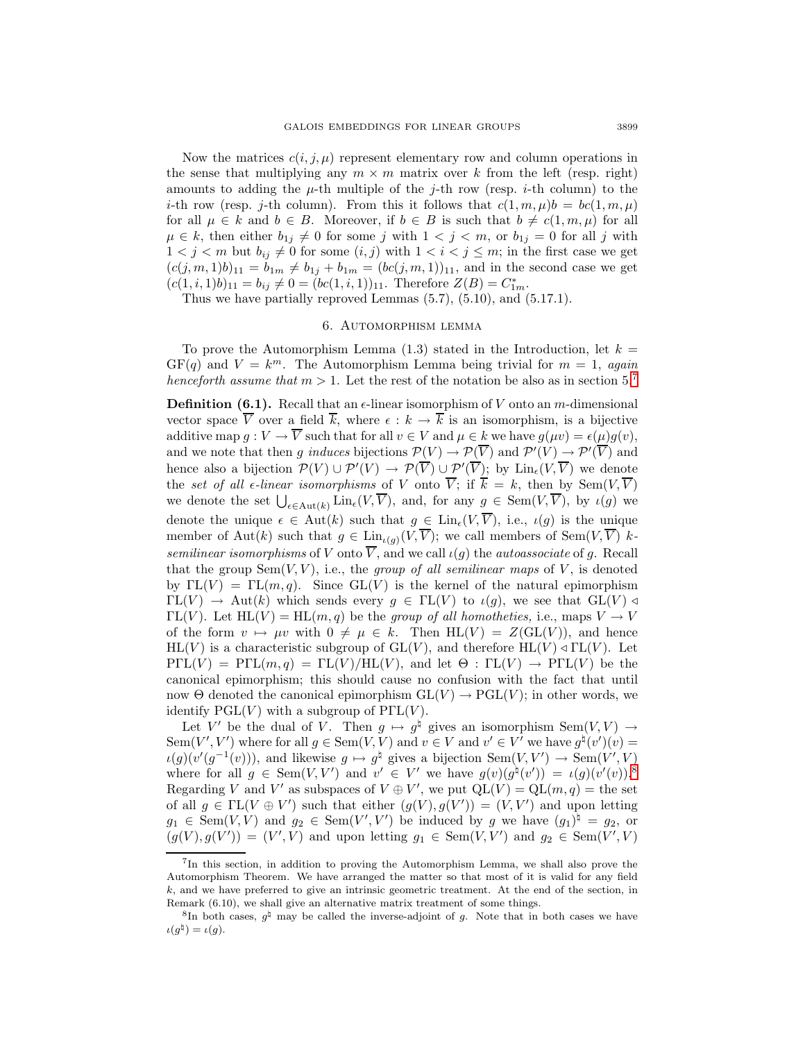Now the matrices  $c(i, j, \mu)$  represent elementary row and column operations in the sense that multiplying any  $m \times m$  matrix over k from the left (resp. right) amounts to adding the  $\mu$ -th multiple of the j-th row (resp. *i*-th column) to the *i*-th row (resp. *j*-th column). From this it follows that  $c(1, m, \mu)b = bc(1, m, \mu)$ for all  $\mu \in k$  and  $b \in B$ . Moreover, if  $b \in B$  is such that  $b \neq c(1, m, \mu)$  for all  $\mu \in k$ , then either  $b_{1j} \neq 0$  for some j with  $1 < j < m$ , or  $b_{1j} = 0$  for all j with  $1 < j < m$  but  $b_{ij} \neq 0$  for some  $(i, j)$  with  $1 < i < j \leq m$ ; in the first case we get  $(c(j, m, 1)b)_{11} = b_{1m} \neq b_{1j} + b_{1m} = (bc(j, m, 1))_{11}$ , and in the second case we get  $(c(1, i, 1)b)_{11} = b_{ij} \neq 0 = (bc(1, i, 1))_{11}$ . Therefore  $Z(B) = C_{1m}^*$ .

Thus we have partially reproved Lemmas (5.7), (5.10), and (5.17.1).

## 6. Automorphism lemma

To prove the Automorphism Lemma  $(1.3)$  stated in the Introduction, let  $k =$  $GF(q)$  and  $V = k^m$ . The Automorphism Lemma being trivial for  $m = 1$ , again henceforth assume that  $m > 1$ . Let the rest of the notation be also as in section 5.<sup>[7](#page-18-0)</sup>

**Definition (6.1).** Recall that an  $\epsilon$ -linear isomorphism of V onto an m-dimensional vector space  $\overline{V}$  over a field  $\overline{k}$ , where  $\epsilon : k \to \overline{k}$  is an isomorphism, is a bijective additive map  $q: V \to \overline{V}$  such that for all  $v \in V$  and  $\mu \in k$  we have  $q(\mu v) = \epsilon(\mu)q(v)$ , and we note that then g induces bijections  $\mathcal{P}(V) \to \mathcal{P}(V)$  and  $\mathcal{P}'(V) \to \mathcal{P}'(V)$  and hence also a bijection  $\mathcal{P}(V) \cup \mathcal{P}'(V) \to \mathcal{P}(V) \cup \mathcal{P}'(V)$ ; by  $\text{Lin}_{\epsilon}(V, V)$  we denote the set of all  $\epsilon$ -linear isomorphisms of V onto  $\overline{V}$ ; if  $\overline{k} = k$ , then by Sem $(V, \overline{V})$ we denote the set  $\bigcup_{\epsilon \in \text{Aut}(k)} \text{Lin}_{\epsilon}(V, V)$ , and, for any  $g \in \text{Sem}(V, V)$ , by  $\iota(g)$  we denote the unique  $\epsilon \in Aut(k)$  such that  $g \in Lin_{\epsilon}(V, \overline{V}),$  i.e.,  $\iota(g)$  is the unique member of Aut(k) such that  $g \in \text{Lin}_{\iota(g)}(\tilde{V}, \overline{V});$  we call members of Sem $(V, \overline{V})$  ksemilinear isomorphisms of V onto  $\overline{V}$ , and we call  $\iota(g)$  the *autoassociate* of g. Recall that the group  $Sem(V, V)$ , i.e., the group of all semilinear maps of V, is denoted by  $\Gamma L(V) = \Gamma L(m,q)$ . Since  $GL(V)$  is the kernel of the natural epimorphism  $\Gamma\mathcal{L}(V) \to \text{Aut}(k)$  which sends every  $g \in \Gamma\mathcal{L}(V)$  to  $\iota(g)$ , we see that  $\text{GL}(V) \triangleleft$  $\Gamma L(V)$ . Let  $HL(V) = HL(m, q)$  be the group of all homotheties, i.e., maps  $V \to V$ of the form  $v \mapsto \mu v$  with  $0 \neq \mu \in k$ . Then  $HL(V) = Z(GL(V))$ , and hence  $HL(V)$  is a characteristic subgroup of  $GL(V)$ , and therefore  $HL(V) \triangleleft FL(V)$ . Let  $P\Gamma L(V) = P\Gamma L(m,q) = \Gamma L(V)/H\Gamma(V)$ , and let  $\Theta : \Gamma L(V) \to P\Gamma L(V)$  be the canonical epimorphism; this should cause no confusion with the fact that until now  $\Theta$  denoted the canonical epimorphism  $GL(V) \to PGL(V)$ ; in other words, we identify  $PGL(V)$  with a subgroup of  $PFL(V)$ .

Let V' be the dual of V. Then  $g \mapsto g^{\dagger}$  gives an isomorphism Sem $(V, V) \rightarrow$ Sem(V', V') where for all  $g \in \text{Sem}(V, V)$  and  $v \in V$  and  $v' \in V'$  we have  $g^{\natural}(v')(v)$  =  $\iota(g)(v'(g^{-1}(v)))$ , and likewise  $g \mapsto g^{\natural}$  gives a bijection Sem $(V, V') \to \text{Sem}(V', V)$ where for all  $g \in \text{Sem}(V, V')$  and  $v' \in V'$  we have  $g(v)(g^{\natural}(v')) = \iota(g)(v'(v))$ .<sup>[8](#page-18-1)</sup> Regarding V and V' as subspaces of  $V \oplus V'$ , we put  $QL(V) = QL(m, q) =$  the set of all  $g \in \Gamma\mathcal{L}(V \oplus V')$  such that either  $(g(V), g(V')) = (V, V')$  and upon letting  $g_1 \in \text{Sem}(V, V)$  and  $g_2 \in \text{Sem}(V', V')$  be induced by g we have  $(g_1)^\sharp = g_2$ , or  $(g(V), g(V')) = (V', V)$  and upon letting  $g_1 \in \text{Sem}(V, V')$  and  $g_2 \in \text{Sem}(V', V)$ 

<span id="page-18-0"></span><sup>7</sup>In this section, in addition to proving the Automorphism Lemma, we shall also prove the Automorphism Theorem. We have arranged the matter so that most of it is valid for any field k, and we have preferred to give an intrinsic geometric treatment. At the end of the section, in Remark (6.10), we shall give an alternative matrix treatment of some things.

<span id="page-18-1"></span><sup>&</sup>lt;sup>8</sup>In both cases,  $q^{\sharp}$  may be called the inverse-adjoint of q. Note that in both cases we have  $\iota(g^{\natural}) = \iota(g).$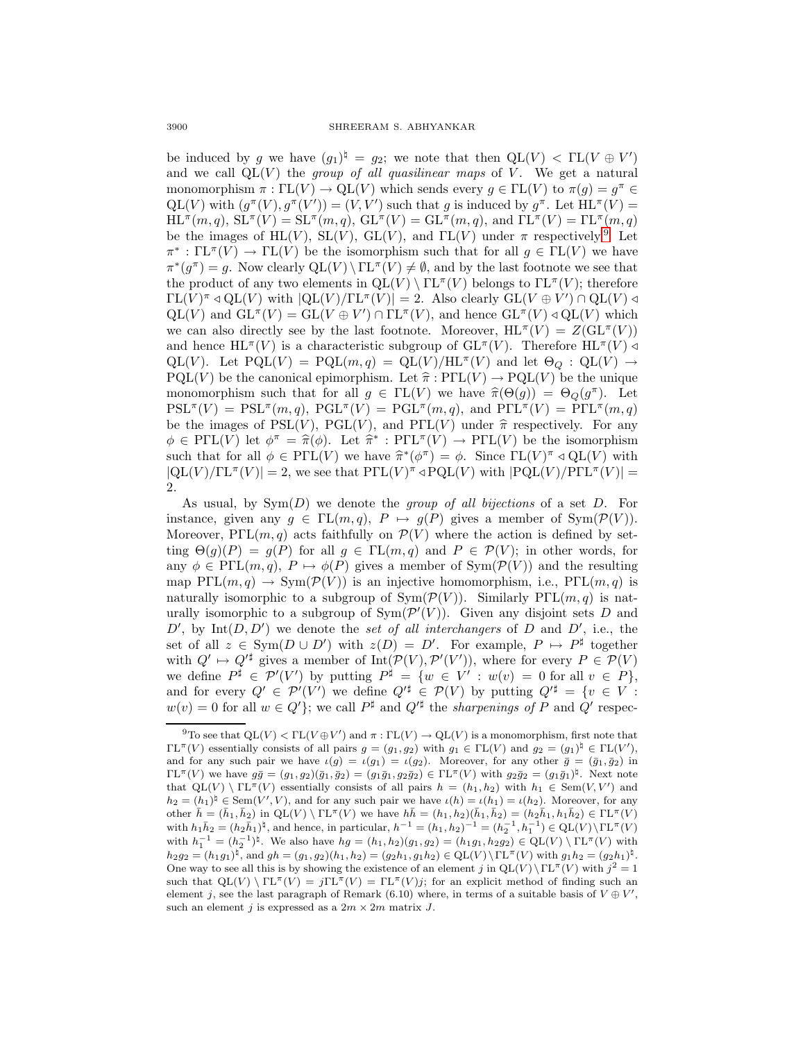be induced by g we have  $(g_1)^{\natural} = g_2$ ; we note that then  $QL(V) < FL(V \oplus V')$ and we call  $QL(V)$  the group of all quasilinear maps of V. We get a natural monomorphism  $\pi : \Gamma L(V) \to Q L(V)$  which sends every  $g \in \Gamma L(V)$  to  $\pi(g) = g^{\pi} \in$  $QL(V)$  with  $(g^{\pi}(V), g^{\pi}(V')) = (V, V')$  such that g is induced by  $g^{\pi}$ . Let  $HL^{\pi}(V)$  =  $HL^{\pi}(m, q)$ ,  $SL^{\pi}(V) = SL^{\pi}(m, q)$ ,  $GL^{\pi}(V) = GL^{\pi}(m, q)$ , and  $\Gamma L^{\pi}(V) = \Gamma L^{\pi}(m, q)$ be the images of HL(V), SL(V), GL(V), and  $\Gamma L(V)$  under  $\pi$  respectively.<sup>[9](#page-19-0)</sup> Let  $\pi^*: \Gamma L^{\pi}(V) \to \Gamma L(V)$  be the isomorphism such that for all  $g \in \Gamma L(V)$  we have  $\pi^*(g^{\pi}) = g$ . Now clearly  $QL(V) \setminus \Gamma L^{\pi}(V) \neq \emptyset$ , and by the last footnote we see that the product of any two elements in  $QL(V) \setminus \Gamma\mathbb{L}^{\pi}(V)$  belongs to  $\Gamma\mathbb{L}^{\pi}(V)$ ; therefore  $\Gamma L(V)^{\pi} \triangleleft \mathcal{Q}L(V)$  with  $|\mathcal{Q}L(V)/\Gamma L^{\pi}(V)| = 2$ . Also clearly  $\mathcal{G}L(V \oplus V') \cap \mathcal{Q}L(V) \triangleleft$  $QL(V)$  and  $GL^{\pi}(V) = GL(V \oplus V') \cap FL^{\pi}(V)$ , and hence  $GL^{\pi}(V) \triangleleft QL(V)$  which we can also directly see by the last footnote. Moreover,  $HL^{\pi}(V) = Z(GL^{\pi}(V))$ and hence  $HL^{\pi}(V)$  is a characteristic subgroup of  $GL^{\pi}(V)$ . Therefore  $HL^{\pi}(V) \triangleleft$ QL(V). Let  $PQL(V) = PQL(m, q) = QL(V)/HL^{\pi}(V)$  and let  $\Theta_Q : QL(V) \rightarrow$  $PQL(V)$  be the canonical epimorphism. Let  $\hat{\pi} : PFL(V) \to PQL(V)$  be the unique monomorphism such that for all  $g \in \Gamma\mathbb{L}(V)$  we have  $\hat{\pi}(\Theta(g)) = \Theta_{Q}(g^{\pi})$ . Let  $PSL^{\pi}(V) = PSL^{\pi}(m,q), PGL^{\pi}(V) = PGL^{\pi}(m,q),$  and  $PSL^{\pi}(V) = PSL^{\pi}(m,q)$ be the images of  $PSL(V)$ ,  $PGL(V)$ , and  $PFL(V)$  under  $\hat{\pi}$  respectively. For any  $\phi \in \mathrm{P}\Gamma\mathrm{L}(V)$  let  $\phi^{\pi} = \hat{\pi}(\phi)$ . Let  $\hat{\pi}^* : \mathrm{P}\Gamma\mathrm{L}^{\pi}(V) \to \mathrm{P}\Gamma\mathrm{L}(V)$  be the isomorphism such that for all  $\phi \in \text{P}\Gamma\text{L}(V)$  we have  $\hat{\pi}^*(\phi^{\pi}) = \phi$ . Since  $\Gamma\text{L}(V)^{\pi} \triangleleft \text{QL}(V)$  with  $|QL(V)/TL^{\pi}(V)| = 2$ , we see that  $PTL(V)^{\pi} \triangleleft PQL(V)$  with  $|PQL(V)/PTL^{\pi}(V)| =$ 2.

As usual, by  $Sym(D)$  we denote the *group of all bijections* of a set  $D$ . For instance, given any  $g \in \Gamma\mathcal{L}(m, q)$ ,  $P \mapsto g(P)$  gives a member of Sym $(\mathcal{P}(V))$ . Moreover,  $P\Gamma\mathrm{L}(m,q)$  acts faithfully on  $\mathcal{P}(V)$  where the action is defined by setting  $\Theta(g)(P) = g(P)$  for all  $g \in \Gamma\mathcal{L}(m, q)$  and  $P \in \mathcal{P}(V)$ ; in other words, for any  $\phi \in \text{P}\Gamma\llcorner (m, q), P \mapsto \phi(P)$  gives a member of  $\text{Sym}(\mathcal{P}(V))$  and the resulting map  $P\Gamma\mathrm{L}(m,q) \to \mathrm{Sym}(\mathcal{P}(V))$  is an injective homomorphism, i.e.,  $P\Gamma\mathrm{L}(m,q)$  is naturally isomorphic to a subgroup of  $Sym(\mathcal{P}(V))$ . Similarly PΓL $(m, q)$  is naturally isomorphic to a subgroup of  $Sym(\mathcal{P}'(V))$ . Given any disjoint sets D and  $D'$ , by Int $(D, D')$  we denote the set of all interchangers of D and D', i.e., the set of all  $z \in \text{Sym}(D \cup D')$  with  $z(D) = D'$ . For example,  $P \mapsto P^{\sharp}$  together with  $Q' \mapsto Q'^{\sharp}$  gives a member of  $Int(\mathcal{P}(V), \mathcal{P}'(V'))$ , where for every  $P \in \mathcal{P}(V)$ we define  $P^{\sharp} \in \mathcal{P}'(V')$  by putting  $P^{\sharp} = \{w \in V' : w(v) = 0 \text{ for all } v \in P\},\$ and for every  $Q' \in \mathcal{P}'(V')$  we define  $Q'^{\sharp} \in \mathcal{P}(V)$  by putting  $Q'^{\sharp} = \{v \in V :$  $w(v) = 0$  for all  $w \in Q'$ ; we call  $P^{\sharp}$  and  $Q'^{\sharp}$  the *sharpenings of* P and Q' respec-

<span id="page-19-0"></span><sup>&</sup>lt;sup>9</sup>To see that  $QL(V) < FL(V \oplus V')$  and  $\pi : FL(V) \to QL(V)$  is a monomorphism, first note that  $\Gamma\mathrm{L}^{\pi}(V)$  essentially consists of all pairs  $g = (g_1, g_2)$  with  $g_1 \in \Gamma\mathrm{L}(V)$  and  $g_2 = (g_1)^{\natural} \in \Gamma\mathrm{L}(V')$ , and for any such pair we have  $\iota(g) = \iota(g_1) = \iota(g_2)$ . Moreover, for any other  $\bar{g} = (\bar{g}_1, \bar{g}_2)$  in  $\Gamma\mathrm{L}^{\pi}(V)$  we have  $g\bar{g}=(g_1,g_2)(\bar{g}_1,\bar{g}_2)=(g_1\bar{g}_1,g_2\bar{g}_2)\in\Gamma\mathrm{L}^{\pi}(V)$  with  $g_2\bar{g}_2=(g_1\bar{g}_1)^{\natural}$ . Next note that  $QL(V) \setminus \Gamma L^{\pi}(V)$  essentially consists of all pairs  $h = (h_1, h_2)$  with  $h_1 \in \text{Sem}(V, V')$  and  $h_2 = (h_1)^{\natural} \in \text{Sem}(V', V)$ , and for any such pair we have  $\iota(h) = \iota(h_1) = \iota(h_2)$ . Moreover, for any other  $\bar{h} = (\bar{h}_1, \bar{h}_2)$  in  $QL(V) \setminus \Gamma L^{\pi}(V)$  we have  $h\bar{h} = (h_1, h_2)(\bar{h}_1, \bar{h}_2) = (h_2\bar{h}_1, h_1\bar{h}_2) \in \Gamma L^{\pi}(V)$ with  $h_1\bar{h}_2 = (h_2\bar{h}_1)^{\sharp}$ , and hence, in particular,  $h^{-1} = (h_1, h_2)^{-1} = (h_2^{-1}, h_1^{-1}) \in \mathrm{QL}(V) \backslash \mathrm{TL}^{\pi}(V)$ with  $h_1^{-1} = (h_2^{-1})^{\natural}$ . We also have  $hg = (h_1, h_2)(g_1, g_2) = (h_1g_1, h_2g_2) \in \text{QL}(V) \setminus \text{TL}^{\pi}(V)$  with  $h_2g_2 = (h_1g_1)^{\natural}$ , and  $gh = (g_1, g_2)(h_1, h_2) = (g_2h_1, g_1h_2) \in \mathrm{QL}(V) \setminus \mathrm{TL}^{\pi}(V)$  with  $g_1h_2 = (g_2h_1)^{\natural}$ . One way to see all this is by showing the existence of an element j in  $QL(V)\Gamma^{\pi}(V)$  with  $j^2 = 1$ such that  $QL(V) \n\Gamma^{\pi}(V) = j \Gamma^{\pi}(V) = \Gamma^{\pi}(V)j$ ; for an explicit method of finding such an element j, see the last paragraph of Remark (6.10) where, in terms of a suitable basis of  $V \oplus V'$ , such an element j is expressed as a  $2m \times 2m$  matrix J.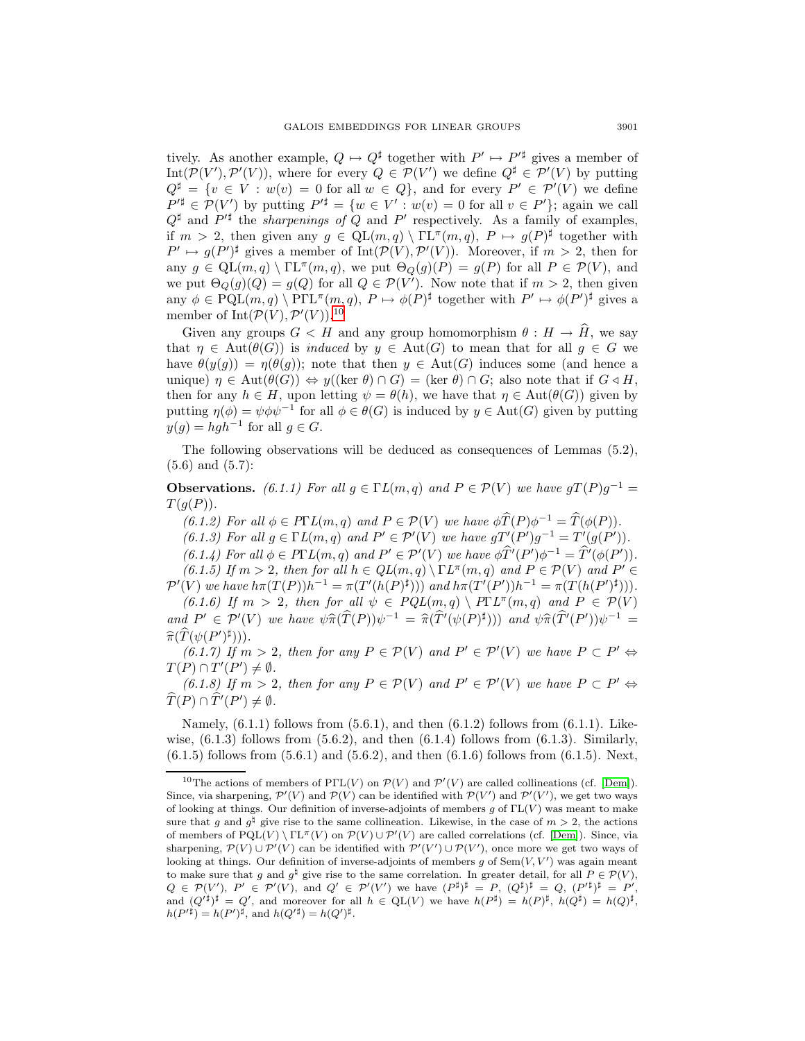tively. As another example,  $Q \mapsto Q^{\sharp}$  together with  $P' \mapsto P'^{\sharp}$  gives a member of Int $(\mathcal{P}(V'), \mathcal{P}'(V))$ , where for every  $Q \in \mathcal{P}(V')$  we define  $Q^{\sharp} \in \mathcal{P}'(V)$  by putting  $Q^{\sharp} = \{v \in V : w(v) = 0 \text{ for all } w \in Q\},\$ and for every  $P' \in \mathcal{P}'(V)$  we define  $P'^{\sharp} \in \mathcal{P}(V')$  by putting  $P'^{\sharp} = \{w \in V' : w(v) = 0 \text{ for all } v \in P'\};$  again we call  $Q^{\sharp}$  and  $P'^{\sharp}$  the *sharpenings of*  $Q$  and  $P'$  respectively. As a family of examples, if  $m > 2$ , then given any  $g \in \text{QL}(m, q) \setminus \text{TL}^{\pi}(m, q)$ ,  $P \mapsto g(P)^{\sharp}$  together with  $P' \mapsto g(P')^{\sharp}$  gives a member of Int $(\mathcal{P}(V), \mathcal{P}'(V))$ . Moreover, if  $m > 2$ , then for any  $g \in \text{QL}(m, q) \setminus \text{TL}^{\pi}(m, q)$ , we put  $\Theta_{Q}(g)(P) = g(P)$  for all  $P \in \mathcal{P}(V)$ , and we put  $\Theta_Q(g)(Q) = g(Q)$  for all  $Q \in \mathcal{P}(V')$ . Now note that if  $m > 2$ , then given any  $\phi \in \text{PQL}(m, q) \setminus \text{PTL}^{\pi}(m, q), P \mapsto \phi(P)^{\sharp}$  together with  $P' \mapsto \phi(P')^{\sharp}$  gives a member of  $Int(\mathcal{P}(V), \mathcal{P}'(V))$ .<sup>[10](#page-20-0)</sup>

Given any groups  $G < H$  and any group homomorphism  $\theta : H \to \widehat{H}$ , we say that  $\eta \in \text{Aut}(\theta(G))$  is *induced* by  $y \in \text{Aut}(G)$  to mean that for all  $g \in G$  we have  $\theta(y(g)) = \eta(\theta(g))$ ; note that then  $y \in Aut(G)$  induces some (and hence a unique)  $\eta \in \text{Aut}(\theta(G)) \Leftrightarrow y((\ker \theta) \cap G) = (\ker \theta) \cap G$ ; also note that if  $G \triangleleft H$ , then for any  $h \in H$ , upon letting  $\psi = \theta(h)$ , we have that  $\eta \in \text{Aut}(\theta(G))$  given by putting  $\eta(\phi) = \psi \phi \psi^{-1}$  for all  $\phi \in \theta(G)$  is induced by  $y \in \text{Aut}(G)$  given by putting  $y(q) = hgh^{-1}$  for all  $g \in G$ .

The following observations will be deduced as consequences of Lemmas (5.2),  $(5.6)$  and  $(5.7)$ :

**Observations.** (6.1.1) For all  $q \in \Gamma L(m, q)$  and  $P \in \mathcal{P}(V)$  we have  $qT(P)q^{-1} =$  $T(g(P)).$ 

(6.1.2) For all  $\phi \in P\Gamma L(m, q)$  and  $P \in \mathcal{P}(V)$  we have  $\phi \widehat{T}(P)\phi^{-1} = \widehat{T}(\phi(P)).$ 

(6.1.3) For all  $g \in \Gamma L(m, q)$  and  $P' \in \mathcal{P}'(V)$  we have  $gT'(P')g^{-1} = T'(g(P'))$ .

 $(6.1.4)$  For all  $\phi \in P\Gamma L(m, q)$  and  $P' \in \mathcal{P}'(V)$  we have  $\phi \hat{T}'(P')\phi^{-1} = \hat{T}'(\phi(P'))$ . (6.1.5) If  $m > 2$ , then for all  $h \in QL(m, q) \setminus \Gamma L^{\pi}(m, q)$  and  $P \in \mathcal{P}(V)$  and  $P' \in$  $\mathcal{P}'(V)$  we have  $h\pi(T(P))h^{-1} = \pi(T'(h(P)^{\sharp})))$  and  $h\pi(T'(P'))h^{-1} = \pi(T(h(P')^{\sharp})))$ .

(6.1.6) If  $m > 2$ , then for all  $\psi \in \mathcal{PQL}(m, q) \setminus \mathcal{P}\Gamma\mathcal{L}^{\pi}(m, q)$  and  $P \in \mathcal{P}(V)$ and  $P' \in \mathcal{P}'(V)$  we have  $\psi \widehat{\pi}(\widehat{T}(P)) \psi^{-1} = \widehat{\pi}(\widehat{T}'(\psi(P)^{\sharp})))$  and  $\psi \widehat{\pi}(\widehat{T}'(P')) \psi^{-1} = \widehat{\pi}(\widehat{T}(\psi(P)^{\sharp})))$  $\widehat{\pi}(\widehat{T}(\psi(P')^{\sharp}))). \ \widehat{\kappa}(\widehat{t},\widehat{t},\widehat{\gamma}) \ \mathop{\rm If}\, \mathop{\rm m}\limits_{\mathop{\longrightarrow}}$ 

(6.1.7) If  $m > 2$ , then for any  $P \in \mathcal{P}(V)$  and  $P' \in \mathcal{P}'(V)$  we have  $P \subset P' \Leftrightarrow$  $T(P) \cap T'(P') \neq \emptyset.$ 

(6.1.8) If  $m > 2$ , then for any  $P \in \mathcal{P}(V)$  and  $P' \in \mathcal{P}'(V)$  we have  $P \subset P' \Leftrightarrow$  $T(P) \cap T'(P') \neq \emptyset.$ 

Namely,  $(6.1.1)$  follows from  $(5.6.1)$ , and then  $(6.1.2)$  follows from  $(6.1.1)$ . Likewise,  $(6.1.3)$  follows from  $(5.6.2)$ , and then  $(6.1.4)$  follows from  $(6.1.3)$ . Similarly,  $(6.1.5)$  follows from  $(5.6.1)$  and  $(5.6.2)$ , and then  $(6.1.6)$  follows from  $(6.1.5)$ . Next,

<span id="page-20-0"></span><sup>&</sup>lt;sup>10</sup>The actions of members of PΓL(V) on  $\mathcal{P}(V)$  and  $\mathcal{P}'(V)$  are called collineations (cf. [\[Dem\]](#page-31-10)). Since, via sharpening,  $\mathcal{P}'(V)$  and  $\mathcal{P}(V)$  can be identified with  $\mathcal{P}(V')$  and  $\mathcal{P}'(V')$ , we get two ways of looking at things. Our definition of inverse-adjoints of members g of  $\mathrm{TL}(V)$  was meant to make sure that g and  $g^{\dagger}$  give rise to the same collineation. Likewise, in the case of  $m > 2$ , the actions of members of  $\text{PQL}(V) \setminus \text{TL}^{\pi}(V)$  on  $\mathcal{P}(V) \cup \mathcal{P}'(V)$  are called correlations (cf. [\[Dem\]](#page-31-10)). Since, via sharpening,  $\mathcal{P}(V) \cup \mathcal{P}'(V)$  can be identified with  $\mathcal{P}'(V') \cup \mathcal{P}(V')$ , once more we get two ways of looking at things. Our definition of inverse-adjoints of members g of  $Sem(V, V')$  was again meant to make sure that q and  $q^{\natural}$  give rise to the same correlation. In greater detail, for all  $P \in \mathcal{P}(V)$ ,  $Q \in \mathcal{P}(V')$ ,  $P' \in \mathcal{P}'(V)$ , and  $Q' \in \mathcal{P}'(V')$  we have  $(P^{\sharp})^{\sharp} = P$ ,  $(Q^{\sharp})^{\sharp} = Q$ ,  $(P'^{\sharp})^{\sharp} = P'$ , and  $(Q'^{\sharp})^{\sharp} = Q'$ , and moreover for all  $h \in \mathrm{QL}(V)$  we have  $h(P^{\sharp}) = h(P)^{\sharp}$ ,  $h(Q^{\sharp}) = h(Q)^{\sharp}$ ,  $h(P'^{\sharp}) = h(P')^{\sharp}$ , and  $h(Q'^{\sharp}) = h(Q')^{\sharp}$ .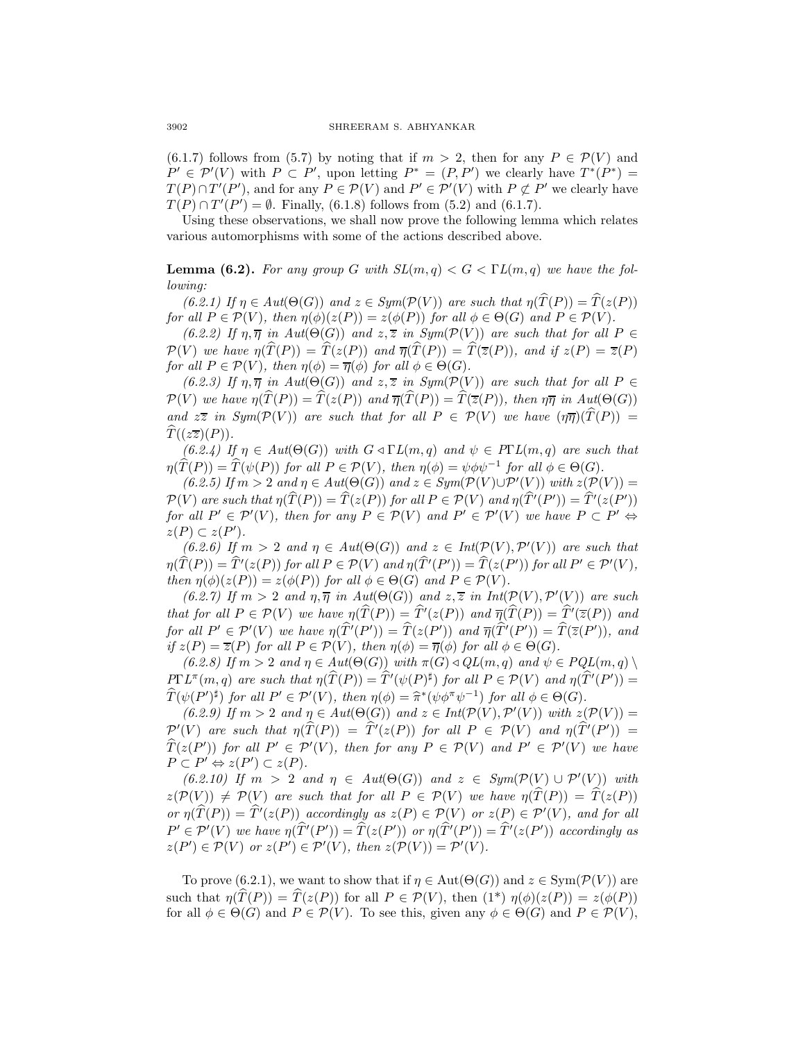(6.1.7) follows from (5.7) by noting that if  $m > 2$ , then for any  $P \in \mathcal{P}(V)$  and  $P' \in \mathcal{P}'(V)$  with  $P \subset P'$ , upon letting  $P^* = (P, P')$  we clearly have  $T^*(P^*) =$  $T(P) \cap T'(P')$ , and for any  $P \in \mathcal{P}(V)$  and  $P' \in \mathcal{P}'(V)$  with  $P \not\subset P'$  we clearly have  $T(P) \cap T'(P') = \emptyset$ . Finally, (6.1.8) follows from (5.2) and (6.1.7).

Using these observations, we shall now prove the following lemma which relates various automorphisms with some of the actions described above.

**Lemma (6.2).** For any group G with  $SL(m,q) < G < \Gamma L(m,q)$  we have the following:

(6.2.1) If  $\eta \in Aut(\Theta(G))$  and  $z \in Sym(\mathcal{P}(V))$  are such that  $\eta(T(P)) = T(z(P))$ for all  $P \in \mathcal{P}(V)$ , then  $\eta(\phi)(z(P)) = z(\phi(P))$  for all  $\phi \in \Theta(G)$  and  $P \in \mathcal{P}(V)$ .

(6.2.2) If  $\eta, \overline{\eta}$  in  $Aut(\Theta(G))$  and  $z, \overline{z}$  in  $Sym(\mathcal{P}(V))$  are such that for all  $P \in$  $\mathcal{P}(V)$  we have  $\eta(T(P)) = T(z(P))$  and  $\overline{\eta}(T(P)) = T(\overline{z}(P))$ , and if  $z(P) = \overline{z}(P)$ for all  $P \in \mathcal{P}(V)$ , then  $\eta(\phi) = \overline{\eta}(\phi)$  for all  $\phi \in \Theta(G)$ .

(6.2.3) If  $\eta, \overline{\eta}$  in  $Aut(\Theta(G))$  and  $z, \overline{z}$  in  $Sym(\mathcal{P}(V))$  are such that for all  $P \in$  $\mathcal{P}(V)$  we have  $\eta(T(P)) = T(z(P))$  and  $\overline{\eta}(T(P)) = T(\overline{z}(P))$ , then  $\eta\overline{\eta}$  in Aut( $\Theta(G)$ ) and  $z\overline{z}$  in Sym( $\mathcal{P}(V)$ ) are such that for all  $P \in \mathcal{P}(V)$  we have  $(\eta \overline{\eta})(T(P)) =$  $\widehat{T}((z\overline{z})(P)).$ 

 $(6.2.4)$  If  $\eta \in Aut(\Theta(G))$  with  $G \triangleleft \Gamma L(m, q)$  and  $\psi \in P\Gamma L(m, q)$  are such that  $\eta(T(P)) = T(\psi(P))$  for all  $P \in \mathcal{P}(V)$ , then  $\eta(\phi) = \psi \phi \psi^{-1}$  for all  $\phi \in \Theta(G)$ .

 $(6.2.5)$  If  $m > 2$  and  $\eta \in Aut(\Theta(G))$  and  $z \in Sym(\mathcal{P}(V) \cup \mathcal{P}'(V))$  with  $z(\mathcal{P}(V)) =$  $P(V)$  are such that  $\eta(T(P)) = T(z(P))$  for all  $P \in P(V)$  and  $\eta(T'(P')) = T'(z(P'))$ for all  $P' \in \mathcal{P}'(V)$ , then for any  $P \in \mathcal{P}(V)$  and  $P' \in \mathcal{P}'(V)$  we have  $P \subset P' \Leftrightarrow$  $z(P) \subset z(P')$ .

(6.2.6) If  $m > 2$  and  $\eta \in Aut(\Theta(G))$  and  $z \in Int(\mathcal{P}(V), \mathcal{P}'(V))$  are such that  $\eta(T(P)) = T'(z(P))$  for all  $P \in \mathcal{P}(V)$  and  $\eta(T'(P')) = T(z(P'))$  for all  $P' \in \mathcal{P}'(V)$ , then  $\eta(\phi)(z(P)) = z(\phi(P))$  for all  $\phi \in \Theta(G)$  and  $P \in \mathcal{P}(V)$ .

(6.2.7) If  $m > 2$  and  $\eta, \overline{\eta}$  in  $Aut(\Theta(G))$  and  $z, \overline{z}$  in  $Int(\mathcal{P}(V), \mathcal{P}'(V))$  are such that for all  $P \in \mathcal{P}(V)$  we have  $\eta(T(P)) = T'(z(P))$  and  $\overline{\eta}(T(P)) = T'(\overline{z}(P))$  and for all  $P' \in \mathcal{P}'(V)$  we have  $\eta(T'(P')) = T(z(P'))$  and  $\overline{\eta}(T'(P')) = T(\overline{z}(P'))$ , and if  $z(P) = \overline{z}(P)$  for all  $P \in \mathcal{P}(V)$ , then  $\eta(\phi) = \overline{\eta}(\phi)$  for all  $\phi \in \Theta(G)$ .

 $(6.2.8)$  If  $m > 2$  and  $\eta \in Aut(\Theta(G))$  with  $\pi(G) \triangleleft GL(m, q)$  and  $\psi \in PQL(m, q) \setminus$  $P\Gamma L^{\pi}(m,q)$  are such that  $\eta(\widehat{T}(P)) = \widehat{T}'(\psi(P)^{\sharp})$  for all  $P \in \mathcal{P}(V)$  and  $\eta(\widehat{T}'(P')) = \widehat{T}(\psi(P))$  $\widehat{T}(\psi(P')^{\sharp})$  for all  $P' \in \mathcal{P}'(V)$ , then  $\eta(\phi) = \widehat{\pi}^*(\psi \phi^{\pi} \psi^{-1})$  for all  $\phi \in \Theta(G)$ .<br>
(6.9.0) If  $m > 2$  and  $n \in Aut(\Theta(G))$  and  $z \in Int(\mathcal{D}(V), \mathcal{D}'(V))$  with  $z$ 

(6.2.9) If  $m > 2$  and  $\eta \in Aut(\Theta(G))$  and  $z \in Int(\mathcal{P}(V), \mathcal{P}'(V))$  with  $z(\mathcal{P}(V)) =$  $\mathcal{P}'(V)$  are such that  $\eta(T(P)) = T'(z(P))$  for all  $P \in \mathcal{P}(V)$  and  $\eta(T'(P')) = \hat{\mathcal{P}}(Z(P))$  $T(z(P'))$  for all  $P' \in \mathcal{P}'(V)$ , then for any  $P \in \mathcal{P}(V)$  and  $P' \in \mathcal{P}'(V)$  we have  $P \subset P' \Leftrightarrow z(P') \subset z(P).$ 

(6.2.10) If  $m > 2$  and  $\eta \in Aut(\Theta(G))$  and  $z \in Sym(\mathcal{P}(V) \cup \mathcal{P}'(V))$  with  $z(\mathcal{P}(V)) \neq \mathcal{P}(V)$  are such that for all  $P \in \mathcal{P}(V)$  we have  $\eta(T(P)) = T(z(P))$ or  $\eta(T(P)) = T'(z(P))$  accordingly as  $z(P) \in \mathcal{P}(V)$  or  $z(P) \in \mathcal{P}'(V)$ , and for all  $P' \in \mathcal{P}'(V)$  we have  $\eta(T'(P')) = T(z(P'))$  or  $\eta(T'(P')) = T'(z(P'))$  accordingly as  $z(P') \in \mathcal{P}(V)$  or  $z(P') \in \mathcal{P}'(V)$ , then  $z(\mathcal{P}(V)) = \mathcal{P}'(V)$ .

To prove (6.2.1), we want to show that if  $\eta \in \text{Aut}(\Theta(G))$  and  $z \in \text{Sym}(\mathcal{P}(V))$  are such that  $\eta(\widehat{T}(P)) = \widehat{T}(z(P))$  for all  $P \in \mathcal{P}(V)$ , then  $(1^*)$   $\eta(\phi)(z(P)) = z(\phi(P))$ for all  $\phi \in \Theta(G)$  and  $P \in \mathcal{P}(V)$ . To see this, given any  $\phi \in \Theta(G)$  and  $P \in \mathcal{P}(V)$ ,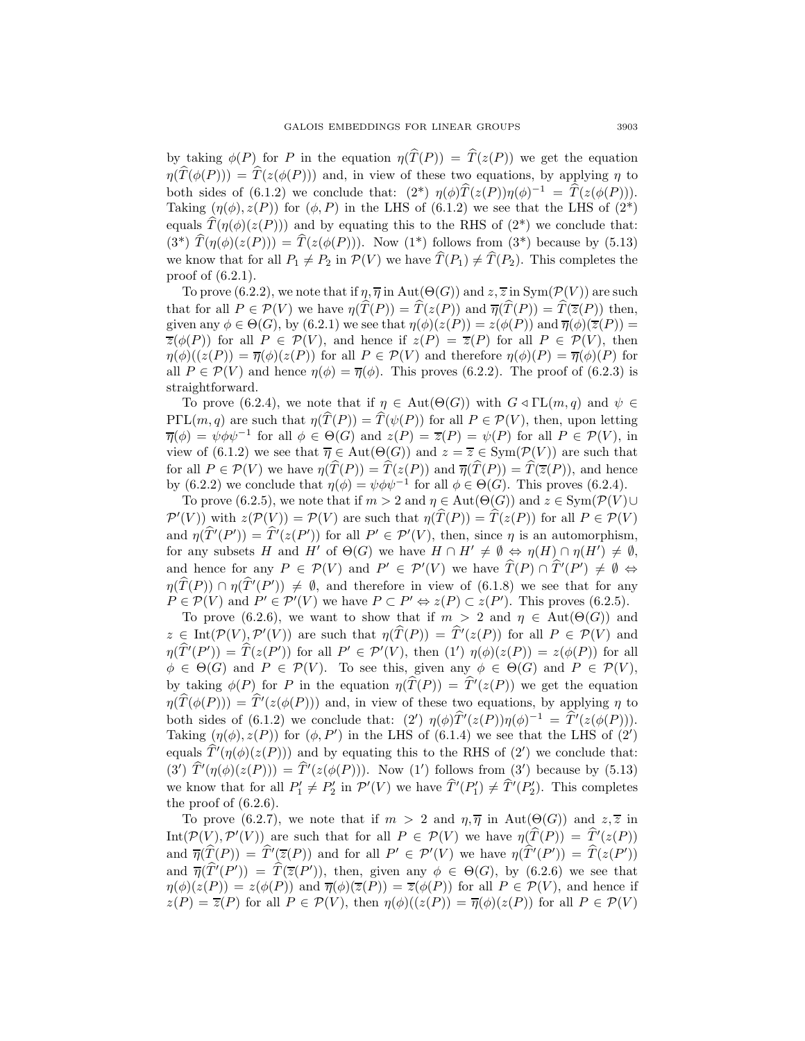by taking  $\phi(P)$  for P in the equation  $\eta(\hat{T}(P)) = \hat{T}(z(P))$  we get the equation  $\eta(\widehat{T}(\phi(P))) = \widehat{T}(z(\phi(P)))$  and, in view of these two equations, by applying  $\eta$  to both sides of (6.1.2) we conclude that:  $(2^*)$   $\eta(\phi)\hat{T}(z(P))\eta(\phi)^{-1} = \hat{T}(z(\phi(P))).$ Taking  $(\eta(\phi), z(P))$  for  $(\phi, P)$  in the LHS of (6.1.2) we see that the LHS of (2<sup>\*</sup>) equals  $\widehat{T}(\eta(\phi)(z(P)))$  and by equating this to the RHS of (2<sup>\*</sup>) we conclude that:  $(3^*) \hat{T}(\eta(\phi)(z(P))) = \hat{T}(z(\phi(P))).$  Now  $(1^*)$  follows from  $(3^*)$  because by  $(5.13)$ we know that for all  $P_1 \neq P_2$  in  $\mathcal{P}(V)$  we have  $\widehat{T}(P_1) \neq \widehat{T}(P_2)$ . This completes the proof of (6.2.1).

To prove (6.2.2), we note that if  $\eta$ ,  $\overline{\eta}$  in Aut( $\Theta(G)$ ) and  $z$ ,  $\overline{z}$  in Sym( $\mathcal{P}(V)$ ) are such that for all  $P \in \mathcal{P}(V)$  we have  $\eta(\hat{T}(P)) = \hat{T}(z(P))$  and  $\overline{\eta}(\hat{T}(P)) = \hat{T}(\overline{z}(P))$  then, given any  $\phi \in \Theta(G)$ , by  $(6.2.1)$  we see that  $\eta(\phi)(z(P)) = z(\phi(P))$  and  $\overline{\eta}(\phi)(\overline{z}(P)) =$  $\overline{z}(\phi(P))$  for all  $P \in \mathcal{P}(V)$ , and hence if  $z(P) = \overline{z}(P)$  for all  $P \in \mathcal{P}(V)$ , then  $\eta(\phi)((z(P)) = \overline{\eta}(\phi)(z(P))$  for all  $P \in \mathcal{P}(V)$  and therefore  $\eta(\phi)(P) = \overline{\eta}(\phi)(P)$  for all  $P \in \mathcal{P}(V)$  and hence  $\eta(\phi) = \overline{\eta}(\phi)$ . This proves (6.2.2). The proof of (6.2.3) is straightforward.

To prove (6.2.4), we note that if  $\eta \in \text{Aut}(\Theta(G))$  with  $G \triangleleft \text{TL}(m, q)$  and  $\psi \in$  $P\Gamma\mathrm{L}(m,q)$  are such that  $\eta(\widehat{T}(P)) = \widehat{T}(\psi(P))$  for all  $P \in \mathcal{P}(V)$ , then, upon letting  $\overline{\eta}(\phi) = \psi \phi \psi^{-1}$  for all  $\phi \in \Theta(G)$  and  $z(P) = \overline{z}(P) = \psi(P)$  for all  $P \in \mathcal{P}(V)$ , in view of (6.1.2) we see that  $\overline{\eta} \in \text{Aut}(\Theta(G))$  and  $z = \overline{z} \in \text{Sym}(\mathcal{P}(V))$  are such that for all  $P \in \mathcal{P}(V)$  we have  $\eta(\widehat{T}(P)) = \widehat{T}(z(P))$  and  $\overline{\eta}(\widehat{T}(P)) = \widehat{T}(\overline{z}(P))$ , and hence by (6.2.2) we conclude that  $\eta(\phi) = \psi \phi \psi^{-1}$  for all  $\phi \in \Theta(G)$ . This proves (6.2.4).

To prove (6.2.5), we note that if  $m > 2$  and  $\eta \in \text{Aut}(\Theta(G))$  and  $z \in \text{Sym}(\mathcal{P}(V) \cup$  $\mathcal{P}'(V)$ ) with  $z(\mathcal{P}(V)) = \mathcal{P}(V)$  are such that  $\eta(T(P)) = T(z(P))$  for all  $P \in \mathcal{P}(V)$ and  $\eta(T'(P')) = T'(z(P'))$  for all  $P' \in \mathcal{P}'(V)$ , then, since  $\eta$  is an automorphism, for any subsets H and H' of  $\Theta(G)$  we have  $H \cap H' \neq \emptyset \Leftrightarrow \eta(H) \cap \eta(H') \neq \emptyset$ , and hence for any  $P \in \mathcal{P}(V)$  and  $P' \in \mathcal{P}'(V)$  we have  $T(P) \cap T'(P') \neq \emptyset \Leftrightarrow (\widehat{\mathcal{P}}(\mathcal{D})) \longrightarrow (\widehat{\mathcal{P}}(\mathcal{D}'))$  $\eta(T(P)) \cap \eta(T'(P')) \neq \emptyset$ , and therefore in view of (6.1.8) we see that for any  $P \in \mathcal{P}(V)$  and  $P' \in \mathcal{P}'(V)$  we have  $P \subset P' \Leftrightarrow z(P) \subset z(P')$ . This proves (6.2.5).

To prove (6.2.6), we want to show that if  $m > 2$  and  $\eta \in Aut(\Theta(G))$  and  $z \in \text{Int}(\mathcal{P}(V), \mathcal{P}'(V))$  are such that  $\eta(T(P)) = T'(z(P))$  for all  $P \in \mathcal{P}(V)$  and  $\eta(T'(P')) = T(z(P'))$  for all  $P' \in \mathcal{P}'(V)$ , then  $(1')$   $\eta(\phi)(z(P)) = z(\phi(P))$  for all  $P \in \mathcal{P}(V)$ .  $\phi \in \Theta(G)$  and  $P \in \mathcal{P}(V)$ . To see this, given any  $\phi \in \Theta(G)$  and  $P \in \mathcal{P}(V)$ , by taking  $\phi(P)$  for P in the equation  $\eta(T(P)) = T'(z(P))$  we get the equation  $\eta(T(\phi(P))) = T'(z(\phi(P)))$  and, in view of these two equations, by applying  $\eta$  to both sides of  $(6.1.2)$  we conclude that:  $(2') \eta(\phi) \hat{T}'(z(P)) \eta(\phi)^{-1} = \hat{T}'(z(\phi(P))).$ Taking  $(\eta(\phi), z(P))$  for  $(\phi, P')$  in the LHS of (6.1.4) we see that the LHS of (2') equals  $T'(\eta(\phi)(z(P)))$  and by equating this to the RHS of (2) we conclude that: (3')  $T'(\eta(\phi)(z(P))) = T'(z(\phi(P))).$  Now (1') follows from (3') because by (5.13) we know that for all  $P'_1 \neq P'_2$  in  $\mathcal{P}'(V)$  we have  $T'(P'_1) \neq T'(P'_2)$ . This completes the proof of  $(6.2.6)$ .

To prove (6.2.7), we note that if  $m > 2$  and  $\eta, \overline{\eta}$  in Aut $(\Theta(G))$  and  $z, \overline{z}$  in  $\text{Int}(\mathcal{P}(V), \mathcal{P}'(V))$  are such that for all  $P \in \mathcal{P}(V)$  we have  $\eta(T(P)) = T'(z(P))$ and  $\overline{\eta}(T(P)) = T'(\overline{z}(P))$  and for all  $P' \in \mathcal{P}'(V)$  we have  $\eta(T'(P')) = T(z(P'))$ and  $\overline{\eta}(T'(P')) = T(\overline{z}(P'))$ , then, given any  $\phi \in \Theta(G)$ , by (6.2.6) we see that  $\eta(\phi)(z(P)) = z(\phi(P))$  and  $\overline{\eta}(\phi)(\overline{z}(P)) = \overline{z}(\phi(P))$  for all  $P \in \mathcal{P}(V)$ , and hence if  $z(P) = \overline{z}(P)$  for all  $P \in \mathcal{P}(V)$ , then  $\eta(\phi)((z(P)) = \overline{\eta}(\phi)(z(P))$  for all  $P \in \mathcal{P}(V)$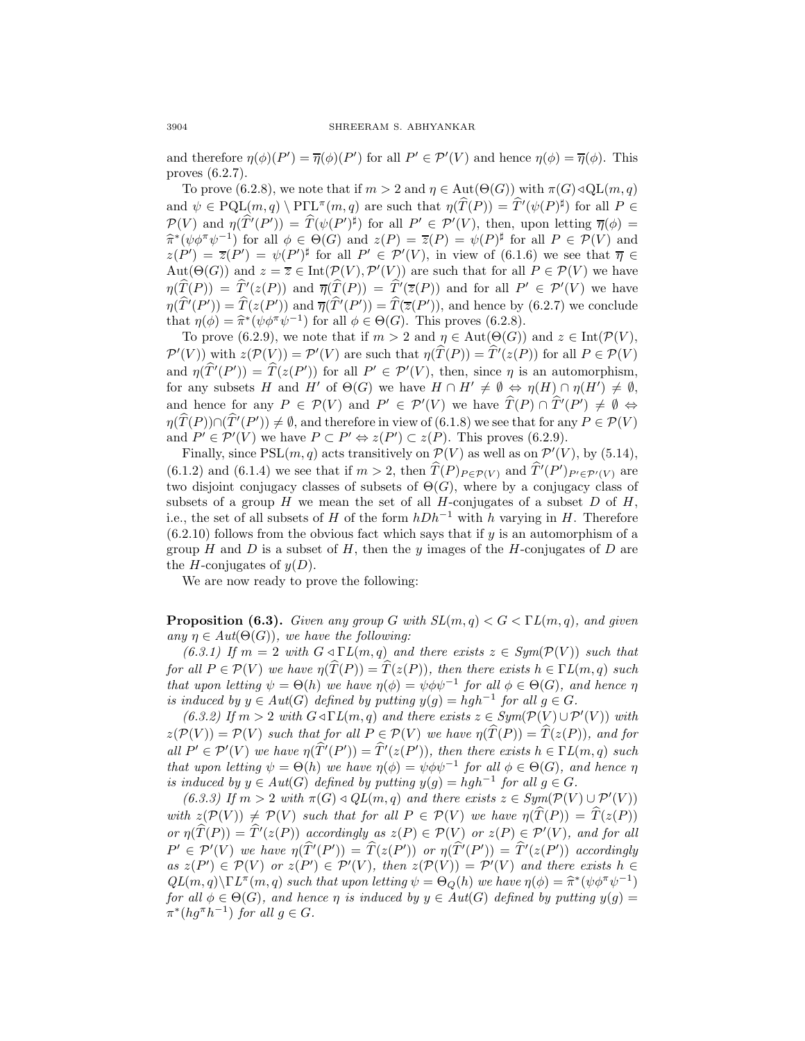and therefore  $\eta(\phi)(P') = \overline{\eta}(\phi)(P')$  for all  $P' \in \mathcal{P}'(V)$  and hence  $\eta(\phi) = \overline{\eta}(\phi)$ . This proves (6.2.7).

To prove (6.2.8), we note that if  $m > 2$  and  $\eta \in \text{Aut}(\Theta(G))$  with  $\pi(G) \triangleleft \text{QL}(m, q)$ and  $\psi \in \text{PQL}(m, q) \setminus \text{PTL}^{\pi}(m, q)$  are such that  $\eta(\hat{T}(P)) = \hat{T}'(\psi(P)^{\sharp})$  for all  $P \in \text{GL}(m, q)$  $\mathcal{P}(V)$  and  $\eta(\hat{T}'(P')) = \hat{T}(\psi(P')^{\sharp})$  for all  $P' \in \mathcal{P}'(V)$ , then, upon letting  $\overline{\eta}(\phi) =$ <br>  $\hat{T}(\psi(P')) = \hat{T}(\psi(P'))$  $\hat{\pi}*(\psi \phi^{\pi} \psi^{-1})$  for all  $\phi \in \Theta(G)$  and  $z(P) = \overline{z}(P) = \psi(P)^{\sharp}$  for all  $P \in \mathcal{P}(V)$  and  $z(P') = \overline{z}(P') = \psi(P')^{\sharp}$  for all  $P' \in \mathcal{P}'(V)$ , in view of (6.1.6) we see that  $\overline{\eta} \in$  $\text{Aut}(\Theta(G))$  and  $z = \overline{z} \in \text{Int}(\mathcal{P}(V), \mathcal{P}'(V))$  are such that for all  $P \in \mathcal{P}(V)$  we have  $\eta(T(P)) = T'(z(P))$  and  $\overline{\eta}(T(P)) = T'(\overline{z}(P))$  and for all  $P' \in \mathcal{P}'(V)$  we have  $\eta(T'(P')) = T(z(P'))$  and  $\overline{\eta}(T'(P')) = T(\overline{z}(P'))$ , and hence by (6.2.7) we conclude that  $\eta(\phi) = \hat{\pi}^*(\psi \phi^{\pi} \psi^{-1})$  for all  $\phi \in \Theta(G)$ . This proves (6.2.8).

To prove (6.2.9), we note that if  $m > 2$  and  $\eta \in \text{Aut}(\Theta(G))$  and  $z \in \text{Int}(\mathcal{P}(V))$ ,  $\mathcal{P}'(V)$  with  $z(\mathcal{P}(V)) = \mathcal{P}'(V)$  are such that  $\eta(T(P)) = T'(z(P))$  for all  $P \in \mathcal{P}(V)$ and  $\eta(T'(P')) = T(z(P'))$  for all  $P' \in \mathcal{P}'(V)$ , then, since  $\eta$  is an automorphism, for any subsets H and H' of  $\Theta(G)$  we have  $H \cap H' \neq \emptyset \Leftrightarrow \eta(H) \cap \eta(H') \neq \emptyset$ , and hence for any  $P \in \mathcal{P}(V)$  and  $P' \in \mathcal{P}'(V)$  we have  $T(P) \cap T'(P') \neq \emptyset \Leftrightarrow (\widehat{\mathcal{P}}(\mathcal{D})) \cup (\widehat{\mathcal{P}}(\mathcal{D})))$  $\eta(T(P)) \cap (T'(P')) \neq \emptyset$ , and therefore in view of (6.1.8) we see that for any  $P \in \mathcal{P}(V)$ and  $P' \in \mathcal{P}'(V)$  we have  $P \subset P' \Leftrightarrow z(P') \subset z(P)$ . This proves (6.2.9).

Finally, since  $PSL(m, q)$  acts transitively on  $\mathcal{P}(V)$  as well as on  $\mathcal{P}'(V)$ , by (5.14), (6.1.2) and (6.1.4) we see that if  $m > 2$ , then  $T(P)_{P \in \mathcal{P}(V)}$  and  $T'(P')_{P' \in \mathcal{P}'(V)}$  are two disjoint conjugacy classes of subsets of  $\Theta(G)$ , where by a conjugacy class of subsets of a group  $H$  we mean the set of all  $H$ -conjugates of a subset  $D$  of  $H$ , i.e., the set of all subsets of H of the form  $hDh^{-1}$  with h varying in H. Therefore  $(6.2.10)$  follows from the obvious fact which says that if y is an automorphism of a group H and D is a subset of H, then the y images of the H-conjugates of D are the H-conjugates of  $y(D)$ .

We are now ready to prove the following:

**Proposition (6.3).** Given any group G with  $SL(m, q) < G < \Gamma L(m, q)$ , and given any  $\eta \in Aut(\Theta(G))$ , we have the following:

(6.3.1) If  $m = 2$  with  $G \triangleleft \Gamma L(m, q)$  and there exists  $z \in Sym(\mathcal{P}(V))$  such that for all  $P \in \mathcal{P}(V)$  we have  $\eta(\hat{T}(P)) = \hat{T}(z(P))$ , then there exists  $h \in \Gamma L(m, q)$  such that upon letting  $\psi = \Theta(h)$  we have  $\eta(\phi) = \psi \phi \psi^{-1}$  for all  $\phi \in \Theta(G)$ , and hence  $\eta$ is induced by  $y \in Aut(G)$  defined by putting  $y(g) = hgh^{-1}$  for all  $g \in G$ .

(6.3.2) If  $m > 2$  with  $G \triangleleft \Gamma L(m, q)$  and there exists  $z \in Sym(\mathcal{P}(V) \cup \mathcal{P}'(V))$  with  $z(\mathcal{P}(V)) = \mathcal{P}(V)$  such that for all  $P \in \mathcal{P}(V)$  we have  $\eta(\widehat{T}(P)) = \widehat{T}(z(P))$ , and for all  $P' \in \mathcal{P}'(V)$  we have  $\eta(T'(P')) = T'(z(P'))$ , then there exists  $h \in \Gamma L(m, q)$  such that upon letting  $\psi = \Theta(h)$  we have  $\eta(\phi) = \psi \phi \psi^{-1}$  for all  $\phi \in \Theta(G)$ , and hence  $\eta$ is induced by  $y \in Aut(G)$  defined by putting  $y(g) = hgh^{-1}$  for all  $g \in G$ .

(6.3.3) If  $m > 2$  with  $\pi(G) \triangleleft QL(m, q)$  and there exists  $z \in Sym(\mathcal{P}(V) \cup \mathcal{P}'(V))$ with  $z(\mathcal{P}(V)) \neq \mathcal{P}(V)$  such that for all  $P \in \mathcal{P}(V)$  we have  $\eta(\hat{T}(P)) = \hat{T}(z(P))$ or  $\eta(T(P)) = T'(z(P))$  accordingly as  $z(P) \in \mathcal{P}(V)$  or  $z(P) \in \mathcal{P}'(V)$ , and for all  $P' \in \mathcal{P}'(V)$  we have  $\eta(T'(P')) = T(z(P'))$  or  $\eta(T'(P')) = T'(z(P'))$  accordingly as  $z(P') \in \mathcal{P}(V)$  or  $z(P') \in \mathcal{P}'(V)$ , then  $z(\mathcal{P}(V)) = \mathcal{P}'(V)$  and there exists  $h \in$  $QL(m, q)\Gamma L^{\pi}(m, q)$  such that upon letting  $\psi = \Theta_Q(h)$  we have  $\eta(\phi) = \hat{\pi}^*(\psi \phi^{\pi} \psi^{-1})$ for all  $\phi \in \Theta(G)$ , and hence  $\eta$  is induced by  $y \in Aut(G)$  defined by putting  $y(g)$  =  $\pi^*(hg^{\pi}h^{-1})$  for all  $g \in G$ .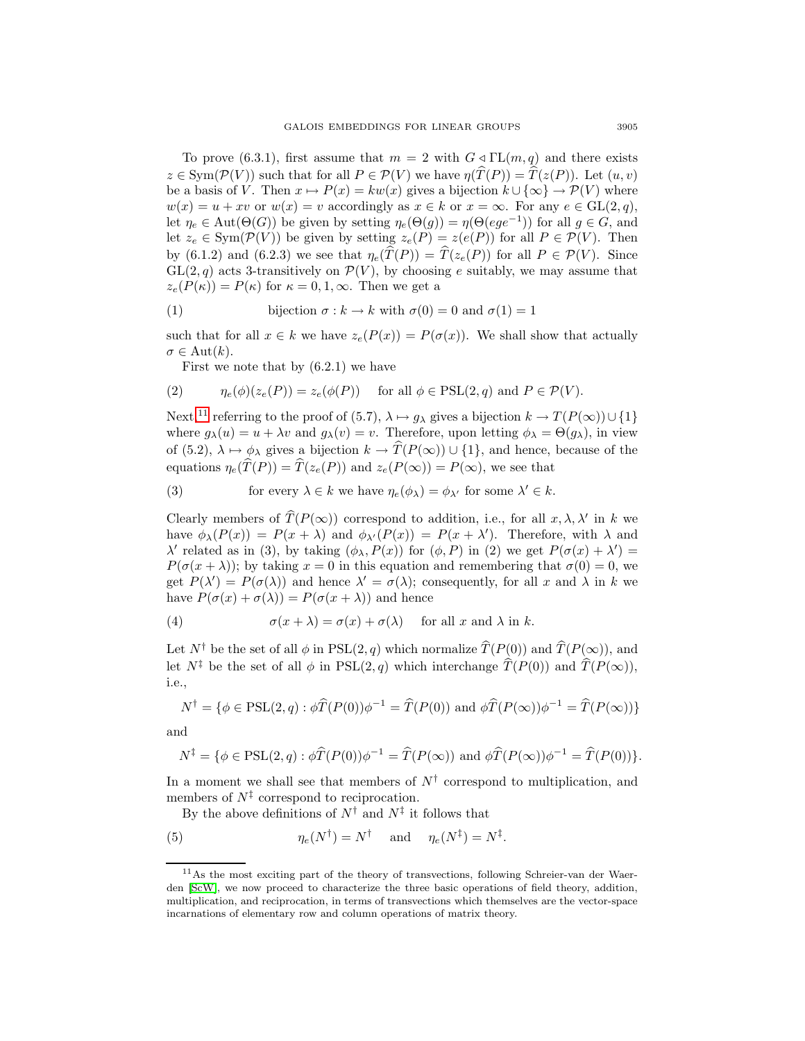To prove (6.3.1), first assume that  $m = 2$  with  $G \triangleleft \Gamma L(m, q)$  and there exists  $z \in \text{Sym}(\mathcal{P}(V))$  such that for all  $P \in \mathcal{P}(V)$  we have  $\eta(\widehat{T}(P)) = \widehat{T}(z(P))$ . Let  $(u, v)$ be a basis of V. Then  $x \mapsto P(x) = kw(x)$  gives a bijection  $k \cup {\infty} \rightarrow \mathcal{P}(V)$  where  $w(x) = u + xv$  or  $w(x) = v$  accordingly as  $x \in k$  or  $x = \infty$ . For any  $e \in GL(2, q)$ , let  $\eta_e \in \text{Aut}(\Theta(G))$  be given by setting  $\eta_e(\Theta(g)) = \eta(\Theta(ege^{-1}))$  for all  $g \in G$ , and let  $z_e \in \text{Sym}(\mathcal{P}(V))$  be given by setting  $z_e(P) = z(e(P))$  for all  $P \in \mathcal{P}(V)$ . Then by (6.1.2) and (6.2.3) we see that  $\eta_e(\widehat{T}(P)) = \widehat{T}(z_e(P))$  for all  $P \in \mathcal{P}(V)$ . Since  $GL(2,q)$  acts 3-transitively on  $\mathcal{P}(V)$ , by choosing e suitably, we may assume that  $z_e(P(\kappa)) = P(\kappa)$  for  $\kappa = 0, 1, \infty$ . Then we get a

(1) bijection 
$$
\sigma : k \to k
$$
 with  $\sigma(0) = 0$  and  $\sigma(1) = 1$ 

such that for all  $x \in k$  we have  $z_e(P(x)) = P(\sigma(x))$ . We shall show that actually  $\sigma \in \mathrm{Aut}(k).$ 

First we note that by (6.2.1) we have

(2) 
$$
\eta_e(\phi)(z_e(P)) = z_e(\phi(P)) \quad \text{for all } \phi \in \text{PSL}(2,q) \text{ and } P \in \mathcal{P}(V).
$$

Next,<sup>[11](#page-24-0)</sup> referring to the proof of (5.7),  $\lambda \mapsto g_{\lambda}$  gives a bijection  $k \to T(P(\infty)) \cup \{1\}$ where  $g_{\lambda}(u) = u + \lambda v$  and  $g_{\lambda}(v) = v$ . Therefore, upon letting  $\phi_{\lambda} = \Theta(g_{\lambda})$ , in view of (5.2),  $\lambda \mapsto \phi_{\lambda}$  gives a bijection  $k \to \hat{T}(P(\infty)) \cup \{1\}$ , and hence, because of the equations  $\eta_e(\widehat{T}(P)) = \widehat{T}(z_e(P))$  and  $z_e(P(\infty)) = P(\infty)$ , we see that

(3) for every 
$$
\lambda \in k
$$
 we have  $\eta_e(\phi_\lambda) = \phi_{\lambda'}$  for some  $\lambda' \in k$ .

Clearly members of  $\widehat{T}(P(\infty))$  correspond to addition, i.e., for all  $x, \lambda, \lambda'$  in k we have  $\phi_{\lambda}(P(x)) = P(x + \lambda)$  and  $\phi_{\lambda}(P(x)) = P(x + \lambda')$ . Therefore, with  $\lambda$  and  $\lambda'$  related as in (3), by taking  $(\phi_{\lambda}, P(x))$  for  $(\phi, P)$  in (2) we get  $P(\sigma(x) + \lambda') =$  $P(\sigma(x + \lambda))$ ; by taking  $x = 0$  in this equation and remembering that  $\sigma(0) = 0$ , we get  $P(\lambda') = P(\sigma(\lambda))$  and hence  $\lambda' = \sigma(\lambda)$ ; consequently, for all x and  $\lambda$  in k we have  $P(\sigma(x) + \sigma(\lambda)) = P(\sigma(x + \lambda))$  and hence

(4) 
$$
\sigma(x + \lambda) = \sigma(x) + \sigma(\lambda) \quad \text{for all } x \text{ and } \lambda \text{ in } k.
$$

Let  $N^{\dagger}$  be the set of all  $\phi$  in PSL(2, q) which normalize  $\widehat{T}(P(0))$  and  $\widehat{T}(P(\infty))$ , and let  $N^{\ddagger}$  be the set of all  $\phi$  in PSL(2, q) which interchange  $\hat{T}(P(0))$  and  $\hat{T}(P(\infty)),$ i.e.,

$$
N^{\dagger} = \{ \phi \in \text{PSL}(2, q) : \phi \widehat{T}(P(0))\phi^{-1} = \widehat{T}(P(0)) \text{ and } \phi \widehat{T}(P(\infty))\phi^{-1} = \widehat{T}(P(\infty)) \}
$$

and

$$
N^{\ddagger} = \{ \phi \in \text{PSL}(2, q) : \phi \widehat{T}(P(0))\phi^{-1} = \widehat{T}(P(\infty)) \text{ and } \phi \widehat{T}(P(\infty))\phi^{-1} = \widehat{T}(P(0)) \}.
$$

In a moment we shall see that members of  $N^{\dagger}$  correspond to multiplication, and members of  $N^{\ddagger}$  correspond to reciprocation.

By the above definitions of  $N^{\dagger}$  and  $N^{\ddagger}$  it follows that

(5) 
$$
\eta_e(N^{\dagger}) = N^{\dagger} \quad \text{and} \quad \eta_e(N^{\dagger}) = N^{\ddagger}.
$$

<span id="page-24-0"></span><sup>11</sup>As the most exciting part of the theory of transvections, following Schreier-van der Waerden [\[ScW\]](#page-31-3), we now proceed to characterize the three basic operations of field theory, addition, multiplication, and reciprocation, in terms of transvections which themselves are the vector-space incarnations of elementary row and column operations of matrix theory.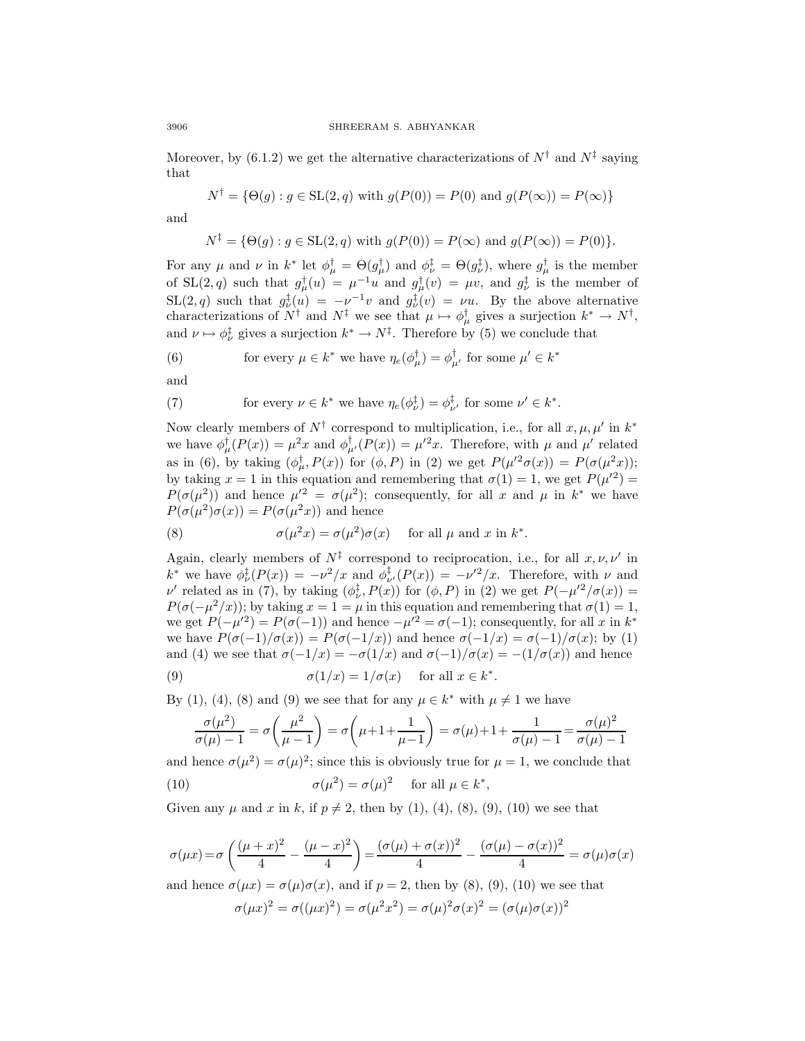Moreover, by (6.1.2) we get the alternative characterizations of  $N^{\dagger}$  and  $N^{\ddagger}$  saying that

$$
N^{\dagger} = \{ \Theta(g) : g \in SL(2, q) \text{ with } g(P(0)) = P(0) \text{ and } g(P(\infty)) = P(\infty) \}
$$

and

$$
N^{\ddagger} = \{ \Theta(g) : g \in SL(2, q) \text{ with } g(P(0)) = P(\infty) \text{ and } g(P(\infty)) = P(0) \}.
$$

For any  $\mu$  and  $\nu$  in  $k^*$  let  $\phi_{\mu}^{\dagger} = \Theta(g_{\mu}^{\dagger})$  and  $\phi_{\nu}^{\dagger} = \Theta(g_{\nu}^{\dagger})$ , where  $g_{\mu}^{\dagger}$  is the member of SL(2, q) such that  $g^{\dagger}_{\mu}(u) = \mu^{-1}u$  and  $g^{\dagger}_{\mu}(v) = \mu v$ , and  $g^{\dagger}_{\nu}$  is the member of  $\text{SL}(2,q)$  such that  $g^{\ddagger}_{\nu}(u) = -\nu^{-1}v$  and  $g^{\ddagger}_{\nu}(v) = \nu u$ . By the above alternative characterizations of  $N^{\dagger}$  and  $N^{\ddagger}$  we see that  $\mu \mapsto \phi_{\mu}^{\dagger}$  gives a surjection  $k^* \to N^{\dagger}$ , and  $\nu \mapsto \phi_{\nu}^{\ddagger}$  gives a surjection  $k^* \to N^{\ddagger}$ . Therefore by (5) we conclude that

(6) for every 
$$
\mu \in k^*
$$
 we have  $\eta_e(\phi_{\mu}^{\dagger}) = \phi_{\mu'}^{\dagger}$  for some  $\mu' \in k^*$ 

and

(7) for every 
$$
\nu \in k^*
$$
 we have  $\eta_e(\phi_{\nu}^{\ddagger}) = \phi_{\nu'}^{\ddagger}$  for some  $\nu' \in k^*$ .

Now clearly members of  $N^{\dagger}$  correspond to multiplication, i.e., for all  $x, \mu, \mu'$  in  $k^*$ we have  $\phi_{\mu}^{\dagger}(P(x)) = \mu^2 x$  and  $\phi_{\mu'}^{\dagger}(P(x)) = \mu'^2 x$ . Therefore, with  $\mu$  and  $\mu'$  related as in (6), by taking  $(\phi_{\mu}^{\dagger}, P(x))$  for  $(\phi, P)$  in (2) we get  $P(\mu'^2 \sigma(x)) = P(\sigma(\mu^2 x));$ by taking  $x = 1$  in this equation and remembering that  $\sigma(1) = 1$ , we get  $P(\mu^2) =$  $P(\sigma(\mu^2))$  and hence  $\mu'^2 = \sigma(\mu^2)$ ; consequently, for all x and  $\mu$  in  $k^*$  we have  $P(\sigma(\mu^2)\sigma(x)) = P(\sigma(\mu^2x))$  and hence

(8) 
$$
\sigma(\mu^2 x) = \sigma(\mu^2)\sigma(x) \quad \text{for all } \mu \text{ and } x \text{ in } k^*.
$$

Again, clearly members of  $N^{\ddagger}$  correspond to reciprocation, i.e., for all  $x, \nu, \nu'$  in  $k^*$  we have  $\phi_{\nu}^{\ddagger}(P(x)) = -\nu^2/x$  and  $\phi_{\nu'}^{\ddagger}(P(x)) = -\nu'^2/x$ . Therefore, with  $\nu$  and  $\nu'$  related as in (7), by taking  $(\phi_{\nu}^{\ddagger}, P(x))$  for  $(\phi, P)$  in (2) we get  $P(-\mu'^2/\sigma(x)) =$  $P(\sigma(-\mu^2/x))$ ; by taking  $x = 1 = \mu$  in this equation and remembering that  $\sigma(1) = 1$ , we get  $P(-\mu'^2) = P(\sigma(-1))$  and hence  $-\mu'^2 = \sigma(-1)$ ; consequently, for all x in  $k^*$ we have  $P(\sigma(-1)/\sigma(x)) = P(\sigma(-1/x))$  and hence  $\sigma(-1/x) = \sigma(-1)/\sigma(x)$ ; by (1) and (4) we see that  $\sigma(-1/x) = -\sigma(1/x)$  and  $\sigma(-1)/\sigma(x) = -(1/\sigma(x))$  and hence

(9) 
$$
\sigma(1/x) = 1/\sigma(x) \quad \text{for all } x \in k^*.
$$

By (1), (4), (8) and (9) we see that for any  $\mu \in k^*$  with  $\mu \neq 1$  we have

$$
\frac{\sigma(\mu^2)}{\sigma(\mu) - 1} = \sigma\left(\frac{\mu^2}{\mu - 1}\right) = \sigma\left(\mu + 1 + \frac{1}{\mu - 1}\right) = \sigma(\mu) + 1 + \frac{1}{\sigma(\mu) - 1} = \frac{\sigma(\mu)^2}{\sigma(\mu) - 1}
$$

and hence  $\sigma(\mu^2) = \sigma(\mu)^2$ ; since this is obviously true for  $\mu = 1$ , we conclude that (10)  $\sigma(\mu^2) = \sigma(\mu)^2$  for all  $\mu \in k^*$ ,

Given any  $\mu$  and  $x$  in  $k$ , if  $p \neq 2$ , then by (1), (4), (8), (9), (10) we see that

$$
\sigma(\mu x) = \sigma \left( \frac{(\mu + x)^2}{4} - \frac{(\mu - x)^2}{4} \right) = \frac{(\sigma(\mu) + \sigma(x))^2}{4} - \frac{(\sigma(\mu) - \sigma(x))^2}{4} = \sigma(\mu)\sigma(x)
$$

and hence  $\sigma(\mu x) = \sigma(\mu)\sigma(x)$ , and if  $p = 2$ , then by (8), (9), (10) we see that

$$
\sigma(\mu x)^2 = \sigma((\mu x)^2) = \sigma(\mu^2 x^2) = \sigma(\mu)^2 \sigma(x)^2 = (\sigma(\mu)\sigma(x))^2
$$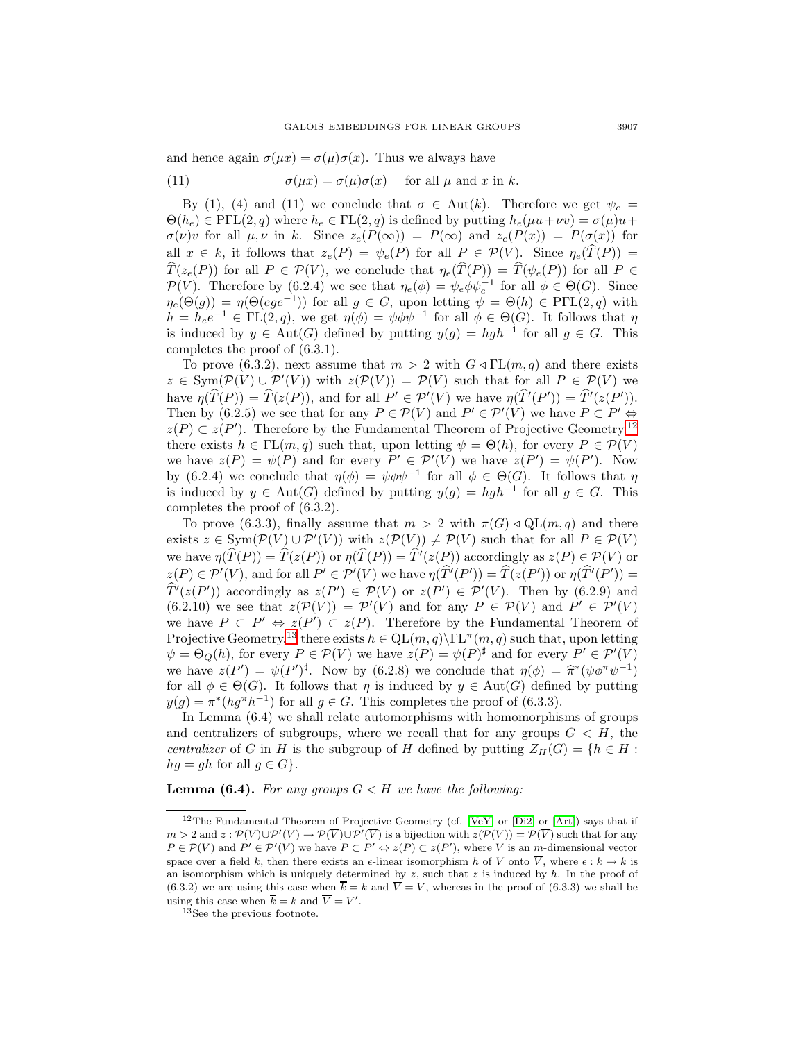and hence again  $\sigma(\mu x) = \sigma(\mu)\sigma(x)$ . Thus we always have

(11) 
$$
\sigma(\mu x) = \sigma(\mu)\sigma(x) \quad \text{for all } \mu \text{ and } x \text{ in } k.
$$

By (1), (4) and (11) we conclude that  $\sigma \in Aut(k)$ . Therefore we get  $\psi_e =$  $\Theta(h_e) \in \text{P}\Gamma\text{L}(2,q)$  where  $h_e \in \text{TL}(2,q)$  is defined by putting  $h_e(\mu u + \nu v) = \sigma(\mu)u +$  $\sigma(\nu)v$  for all  $\mu, \nu$  in k. Since  $z_e(P(\infty)) = P(\infty)$  and  $z_e(P(x)) = P(\sigma(x))$  for all  $x \in k$ , it follows that  $z_e(P) = \psi_e(P)$  for all  $P \in \mathcal{P}(V)$ . Since  $\eta_e(\hat{T}(P)) =$  $\widehat{T}(z_e(P))$  for all  $P \in \mathcal{P}(V)$ , we conclude that  $\eta_e(\widehat{T}(P)) = \widehat{T}(\psi_e(P))$  for all  $P \in$  $\mathcal{P}(V)$ . Therefore by (6.2.4) we see that  $\eta_e(\phi) = \psi_e \phi \psi_e^{-1}$  for all  $\phi \in \Theta(G)$ . Since  $\eta_e(\Theta(g)) = \eta(\Theta(ege^{-1}))$  for all  $g \in G$ , upon letting  $\psi = \Theta(h) \in \mathrm{P}\Gamma\mathrm{L}(2,q)$  with  $h = h_e e^{-1} \in \text{TL}(2, q)$ , we get  $\eta(\phi) = \psi \phi \psi^{-1}$  for all  $\phi \in \Theta(G)$ . It follows that  $\eta$ is induced by  $y \in Aut(G)$  defined by putting  $y(g) = hgh^{-1}$  for all  $g \in G$ . This completes the proof of (6.3.1).

To prove (6.3.2), next assume that  $m > 2$  with  $G \triangleleft \Gamma\left(m, q\right)$  and there exists  $z \in \text{Sym}(\mathcal{P}(V) \cup \mathcal{P}'(V))$  with  $z(\mathcal{P}(V)) = \mathcal{P}(V)$  such that for all  $P \in \mathcal{P}(V)$  we have  $\eta(T(P)) = T(z(P))$ , and for all  $P' \in \mathcal{P}'(V)$  we have  $\eta(T'(P')) = T'(z(P'))$ . Then by (6.2.5) we see that for any  $P \in \mathcal{P}(V)$  and  $P' \in \mathcal{P}'(V)$  we have  $P \subset P' \Leftrightarrow$  $z(P) \subset z(P')$ . Therefore by the Fundamental Theorem of Projective Geometry,<sup>[12](#page-26-0)</sup> there exists  $h \in \mathrm{TL}(m, q)$  such that, upon letting  $\psi = \Theta(h)$ , for every  $P \in \mathcal{P}(V)$ we have  $z(P) = \psi(P)$  and for every  $P' \in \mathcal{P}'(V)$  we have  $z(P') = \psi(P')$ . Now by (6.2.4) we conclude that  $\eta(\phi) = \psi \phi \psi^{-1}$  for all  $\phi \in \Theta(G)$ . It follows that  $\eta$ is induced by  $y \in Aut(G)$  defined by putting  $y(g) = hgh^{-1}$  for all  $g \in G$ . This completes the proof of (6.3.2).

To prove (6.3.3), finally assume that  $m > 2$  with  $\pi(G) \triangleleft \text{QL}(m, q)$  and there exists  $z \in \text{Sym}(\mathcal{P}(V) \cup \mathcal{P}'(V))$  with  $z(\mathcal{P}(V)) \neq \mathcal{P}(V)$  such that for all  $P \in \mathcal{P}(V)$ we have  $\eta(T(P)) = T(z(P))$  or  $\eta(T(P)) = T'(z(P))$  accordingly as  $z(P) \in \mathcal{P}(V)$  or  $z(P) \in \mathcal{P}'(V)$ , and for all  $P' \in \mathcal{P}'(V)$  we have  $\eta(T'(P')) = T(z(P'))$  or  $\eta(T'(P')) = \hat{\mathcal{P}}(V \cap V)$  $T'(z(P'))$  accordingly as  $z(P') \in \mathcal{P}(V)$  or  $z(P') \in \mathcal{P}'(V)$ . Then by (6.2.9) and  $(6.2.10)$  we see that  $z(\mathcal{P}(V)) = \mathcal{P}'(V)$  and for any  $P \in \mathcal{P}(V)$  and  $P' \in \mathcal{P}'(V)$ we have  $P \subset P' \Leftrightarrow z(P') \subset z(P)$ . Therefore by the Fundamental Theorem of Projective Geometry,<sup>[13](#page-26-1)</sup> there exists  $h \in \mathrm{QL}(m, q) \setminus \Gamma L^{\pi}(m, q)$  such that, upon letting  $\psi = \Theta_Q(h)$ , for every  $P \in \mathcal{P}(V)$  we have  $z(P) = \psi(P)^{\sharp}$  and for every  $P' \in \mathcal{P}'(V)$ we have  $z(P') = \psi(P')^{\sharp}$ . Now by (6.2.8) we conclude that  $\eta(\phi) = \hat{\pi}^*(\psi \phi^{\pi} \psi^{-1})$ <br>for all  $\phi \in \Theta(G)$ . It follows that *n* is induced by  $y \in \text{Aut}(G)$  defined by putting for all  $\phi \in \Theta(G)$ . It follows that  $\eta$  is induced by  $y \in Aut(G)$  defined by putting  $y(g) = \pi^*(hg^{\pi}h^{-1})$  for all  $g \in G$ . This completes the proof of (6.3.3).

In Lemma (6.4) we shall relate automorphisms with homomorphisms of groups and centralizers of subgroups, where we recall that for any groups  $G < H$ , the centralizer of G in H is the subgroup of H defined by putting  $Z_H(G) = \{h \in H :$  $hg = gh$  for all  $g \in G$ .

**Lemma (6.4).** For any groups  $G < H$  we have the following:

<span id="page-26-0"></span><sup>&</sup>lt;sup>12</sup>The Fundamental Theorem of Projective Geometry (cf. [\[VeY\]](#page-31-12) or [\[Di2\]](#page-31-7) or [\[Art\]](#page-31-13)) says that if  $m > 2$  and  $z : \mathcal{P}(V) \cup \mathcal{P}'(V) \to \mathcal{P}(V) \cup \mathcal{P}'(V)$  is a bijection with  $z(\mathcal{P}(V)) = \mathcal{P}(V)$  such that for any  $P \in \mathcal{P}(V)$  and  $P' \in \mathcal{P}'(V)$  we have  $P \subset P' \Leftrightarrow z(P) \subset z(P')$ , where V is an m-dimensional vector space over a field  $\overline{k}$ , then there exists an  $\epsilon$ -linear isomorphism h of V onto  $\overline{V}$ , where  $\epsilon : k \to \overline{k}$  is an isomorphism which is uniquely determined by  $z$ , such that  $z$  is induced by  $h$ . In the proof of (6.3.2) we are using this case when  $\overline{k} = k$  and  $\overline{V} = V$ , whereas in the proof of (6.3.3) we shall be using this case when  $k = k$  and  $V = V'$ .

<span id="page-26-1"></span><sup>13</sup>See the previous footnote.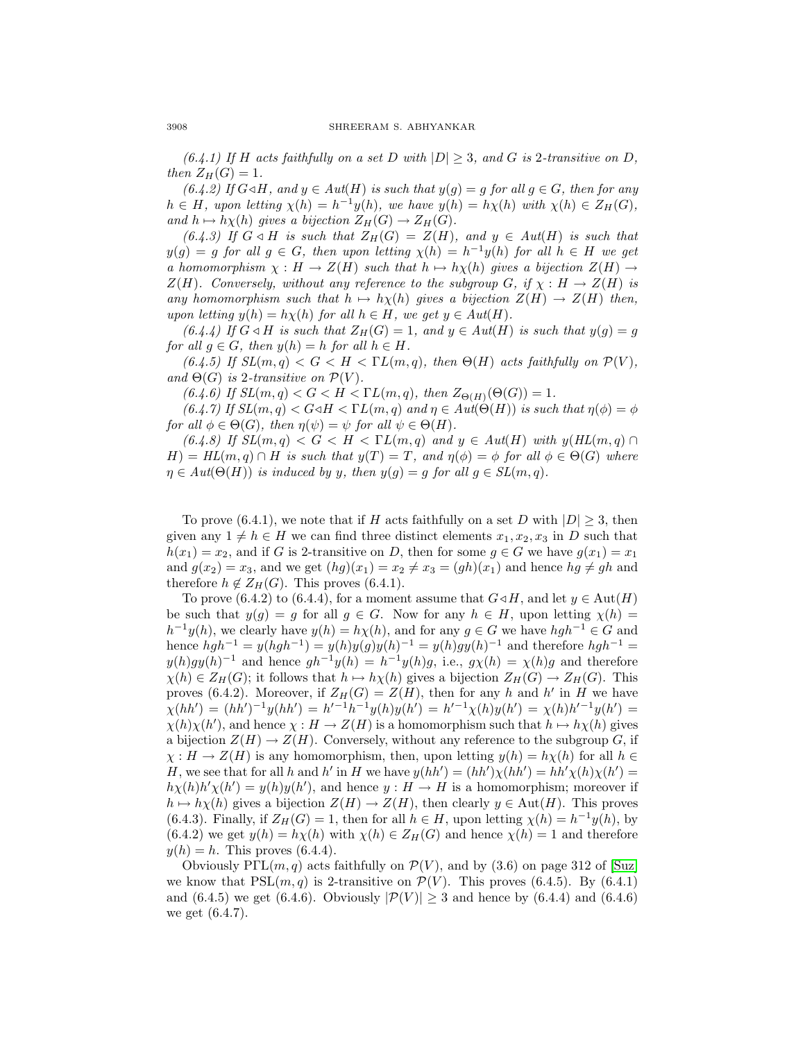(6.4.1) If H acts faithfully on a set D with  $|D| \geq 3$ , and G is 2-transitive on D, then  $Z_H(G)=1$ .

(6.4.2) If  $G \triangleleft H$ , and  $y \in Aut(H)$  is such that  $y(g) = g$  for all  $g \in G$ , then for any  $h \in H$ , upon letting  $\chi(h) = h^{-1}y(h)$ , we have  $y(h) = h\chi(h)$  with  $\chi(h) \in Z_H(G)$ , and  $h \mapsto h\chi(h)$  gives a bijection  $Z_H(G) \to Z_H(G)$ .

(6.4.3) If  $G \triangleleft H$  is such that  $Z_H(G) = Z(H)$ , and  $y \in Aut(H)$  is such that  $y(g) = g$  for all  $g \in G$ , then upon letting  $\chi(h) = h^{-1}y(h)$  for all  $h \in H$  we get a homomorphism  $\chi : H \to Z(H)$  such that  $h \mapsto h\chi(h)$  gives a bijection  $Z(H) \to$  $Z(H)$ . Conversely, without any reference to the subgroup G, if  $\chi : H \to Z(H)$  is any homomorphism such that  $h \mapsto h\chi(h)$  gives a bijection  $Z(H) \to Z(H)$  then, upon letting  $y(h) = h\chi(h)$  for all  $h \in H$ , we get  $y \in Aut(H)$ .

(6.4.4) If  $G \triangleleft H$  is such that  $Z_H(G)=1$ , and  $y \in Aut(H)$  is such that  $y(g) = g$ for all  $g \in G$ , then  $y(h) = h$  for all  $h \in H$ .

(6.4.5) If  $SL(m, q) < G < H < \Gamma L(m, q)$ , then  $\Theta(H)$  acts faithfully on  $\mathcal{P}(V)$ , and  $\Theta(G)$  is 2-transitive on  $\mathcal{P}(V)$ .

(6.4.6) If  $SL(m, q) < G < H < \Gamma L(m, q)$ , then  $Z_{\Theta(H)}(\Theta(G)) = 1$ .

(6.4.7) If  $SL(m, q) < G \triangleleft H < \Gamma L(m, q)$  and  $\eta \in Aut(\Theta(H))$  is such that  $\eta(\phi) = \phi$ for all  $\phi \in \Theta(G)$ , then  $\eta(\psi) = \psi$  for all  $\psi \in \Theta(H)$ .

(6.4.8) If  $SL(m, q) < G < H < \Gamma L(m, q)$  and  $y \in Aut(H)$  with  $y(HL(m, q) \cap$  $H$ ) = HL(m, q)  $\cap$  H is such that  $y(T) = T$ , and  $\eta(\phi) = \phi$  for all  $\phi \in \Theta(G)$  where  $\eta \in Aut(\Theta(H))$  is induced by y, then  $y(q) = q$  for all  $q \in SL(m, q)$ .

To prove (6.4.1), we note that if H acts faithfully on a set D with  $|D| \geq 3$ , then given any  $1 \neq h \in H$  we can find three distinct elements  $x_1, x_2, x_3$  in D such that  $h(x_1) = x_2$ , and if G is 2-transitive on D, then for some  $g \in G$  we have  $g(x_1) = x_1$ and  $g(x_2) = x_3$ , and we get  $(hg)(x_1) = x_2 \neq x_3 = (gh)(x_1)$  and hence  $hg \neq gh$  and therefore  $h \notin Z_H(G)$ . This proves (6.4.1).

To prove (6.4.2) to (6.4.4), for a moment assume that  $G \triangleleft H$ , and let  $y \in \text{Aut}(H)$ be such that  $y(g) = g$  for all  $g \in G$ . Now for any  $h \in H$ , upon letting  $\chi(h) =$  $h^{-1}y(h)$ , we clearly have  $y(h) = h\chi(h)$ , and for any  $g \in G$  we have  $hgh^{-1} \in G$  and hence  $hgh^{-1} = y(hgh^{-1}) = y(h)y(g)y(h)^{-1} = y(h)gy(h)^{-1}$  and therefore  $hgh^{-1} =$  $y(h)gy(h)^{-1}$  and hence  $gh^{-1}y(h) = h^{-1}y(h)g$ , i.e.,  $g\chi(h) = \chi(h)g$  and therefore  $\chi(h) \in Z_H(G)$ ; it follows that  $h \mapsto h\chi(h)$  gives a bijection  $Z_H(G) \to Z_H(G)$ . This proves (6.4.2). Moreover, if  $Z_H(G) = Z(H)$ , then for any h and h' in H we have  $\chi(hh') = (hh')^{-1}y(hh') = h'^{-1}h^{-1}y(h)y(h') = h'^{-1}\chi(h)y(h') = \chi(h)h'^{-1}y(h') =$  $\chi(h)\chi(h'),$  and hence  $\chi: H \to Z(H)$  is a homomorphism such that  $h \mapsto h\chi(h)$  gives a bijection  $Z(H) \to Z(H)$ . Conversely, without any reference to the subgroup G, if  $\chi: H \to Z(H)$  is any homomorphism, then, upon letting  $y(h) = h\chi(h)$  for all  $h \in$ H, we see that for all h and h' in H we have  $y(hh') = (hh')\chi(hh') = hh'\chi(h)\chi(h') =$  $h\chi(h)h'\chi(h') = y(h)y(h')$ , and hence  $y: H \to H$  is a homomorphism; moreover if  $h \mapsto h\chi(h)$  gives a bijection  $Z(H) \to Z(H)$ , then clearly  $y \in Aut(H)$ . This proves (6.4.3). Finally, if  $Z_H(G) = 1$ , then for all  $h \in H$ , upon letting  $\chi(h) = h^{-1}y(h)$ , by  $(6.4.2)$  we get  $y(h) = h\chi(h)$  with  $\chi(h) \in Z_H(G)$  and hence  $\chi(h) = 1$  and therefore  $y(h) = h$ . This proves (6.4.4).

Obviously  $P\Gamma\mathrm{L}(m,q)$  acts faithfully on  $\mathcal{P}(V)$ , and by (3.6) on page 312 of [\[Suz\]](#page-31-0) we know that  $PSL(m, q)$  is 2-transitive on  $\mathcal{P}(V)$ . This proves (6.4.5). By (6.4.1) and (6.4.5) we get (6.4.6). Obviously  $|\mathcal{P}(V)| \geq 3$  and hence by (6.4.4) and (6.4.6) we get (6.4.7).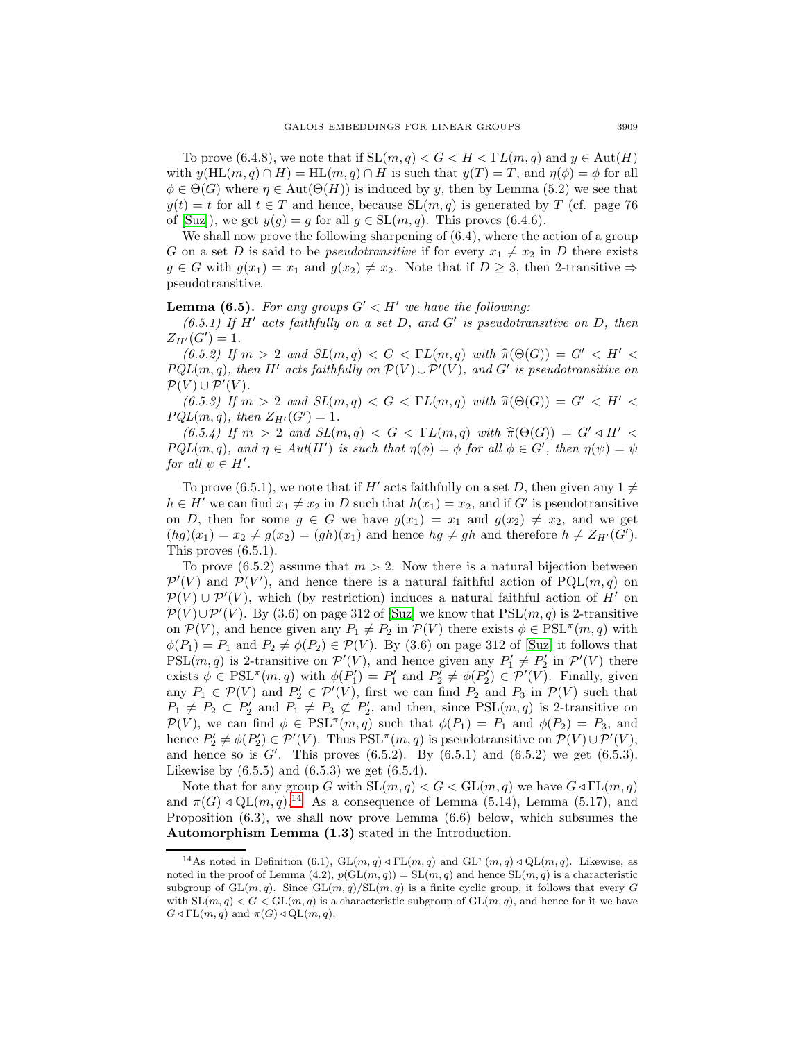To prove (6.4.8), we note that if  $SL(m, q) < G < H < \Gamma L(m, q)$  and  $y \in Aut(H)$ with  $y(HL(m, q) \cap H) = HL(m, q) \cap H$  is such that  $y(T) = T$ , and  $\eta(\phi) = \phi$  for all  $\phi \in \Theta(G)$  where  $\eta \in \text{Aut}(\Theta(H))$  is induced by y, then by Lemma (5.2) we see that  $y(t) = t$  for all  $t \in T$  and hence, because  $SL(m, q)$  is generated by T (cf. page 76) of [\[Suz\]](#page-31-0)), we get  $y(g) = g$  for all  $g \in SL(m, q)$ . This proves (6.4.6).

We shall now prove the following sharpening of  $(6.4)$ , where the action of a group G on a set D is said to be *pseudotransitive* if for every  $x_1 \neq x_2$  in D there exists  $g \in G$  with  $g(x_1) = x_1$  and  $g(x_2) \neq x_2$ . Note that if  $D \geq 3$ , then 2-transitive  $\Rightarrow$ pseudotransitive.

# **Lemma (6.5).** For any groups  $G' < H'$  we have the following:

 $(6.5.1)$  If H' acts faithfully on a set D, and G' is pseudotransitive on D, then  $Z_{H'}(G')=1.$ 

(6.5.2) If  $m > 2$  and  $SL(m, q) < G < \Gamma L(m, q)$  with  $\hat{\pi}(\Theta(G)) = G' < H' <$  $PQL(m, q)$ , then H' acts faithfully on  $\mathcal{P}(V) \cup \mathcal{P}'(V)$ , and G' is pseudotransitive on  $\mathcal{P}(V) \cup \mathcal{P}'(V)$ .

(6.5.3) If  $m > 2$  and  $SL(m, q) < G < \Gamma L(m, q)$  with  $\widehat{\pi}(\Theta(G)) = G' < H' <$  $PQL(m, q)$ , then  $Z_{H'}(G') = 1$ .

(6.5.4) If  $m > 2$  and  $SL(m, q) < G < \Gamma L(m, q)$  with  $\hat{\pi}(\Theta(G)) = G' \triangleleft H' <$  $PQL(m, q)$ , and  $\eta \in Aut(H')$  is such that  $\eta(\phi) = \phi$  for all  $\phi \in G'$ , then  $\eta(\psi) = \psi$ for all  $\psi \in H'.$ 

To prove (6.5.1), we note that if H' acts faithfully on a set D, then given any  $1 \neq$  $h \in H'$  we can find  $x_1 \neq x_2$  in D such that  $h(x_1) = x_2$ , and if G' is pseudotransitive on D, then for some  $g \in G$  we have  $g(x_1) = x_1$  and  $g(x_2) \neq x_2$ , and we get  $(hg)(x_1) = x_2 \neq g(x_2) = (gh)(x_1)$  and hence  $hg \neq gh$  and therefore  $h \neq Z_{H'}(G')$ . This proves (6.5.1).

To prove  $(6.5.2)$  assume that  $m > 2$ . Now there is a natural bijection between  $\mathcal{P}'(V)$  and  $\mathcal{P}(V')$ , and hence there is a natural faithful action of  $\text{PQL}(m, q)$  on  $\mathcal{P}(V) \cup \mathcal{P}'(V)$ , which (by restriction) induces a natural faithful action of H<sup>'</sup> on  $\mathcal{P}(V) \cup \mathcal{P}'(V)$ . By (3.6) on page 312 of [\[Suz\]](#page-31-0) we know that  $PSL(m, q)$  is 2-transitive on  $\mathcal{P}(V)$ , and hence given any  $P_1 \neq P_2$  in  $\mathcal{P}(V)$  there exists  $\phi \in \text{PSL}^{\pi}(m, q)$  with  $\phi(P_1) = P_1$  and  $P_2 \neq \phi(P_2) \in \mathcal{P}(V)$ . By (3.6) on page 312 of [\[Suz\]](#page-31-0) it follows that  $PSL(m, q)$  is 2-transitive on  $\mathcal{P}'(V)$ , and hence given any  $P'_1 \neq P'_2$  in  $\mathcal{P}'(V)$  there exists  $\phi \in \text{PSL}^{\pi}(m, q)$  with  $\phi(P'_1) = P'_1$  and  $P'_2 \neq \phi(P'_2) \in \mathcal{P}'(V)$ . Finally, given any  $P_1 \in \mathcal{P}(V)$  and  $P'_2 \in \mathcal{P}'(V)$ , first we can find  $P_2$  and  $P_3$  in  $\mathcal{P}(V)$  such that  $P_1 \neq P_2 \subset P_2'$  and  $P_1 \neq P_3 \not\subset P_2'$ , and then, since  $PSL(m, q)$  is 2-transitive on  $\mathcal{P}(V)$ , we can find  $\phi \in \text{PSL}^{\pi}(m, q)$  such that  $\phi(P_1) = P_1$  and  $\phi(P_2) = P_3$ , and hence  $P'_2 \neq \phi(P'_2) \in \mathcal{P}'(V)$ . Thus  $PSL^{\pi}(m, q)$  is pseudotransitive on  $\mathcal{P}(V) \cup \mathcal{P}'(V)$ , and hence so is  $G'$ . This proves (6.5.2). By (6.5.1) and (6.5.2) we get (6.5.3). Likewise by  $(6.5.5)$  and  $(6.5.3)$  we get  $(6.5.4)$ .

Note that for any group G with  $SL(m, q) < G < GL(m, q)$  we have  $G \triangleleft \Gamma L(m, q)$ and  $\pi(G) \triangleleft \text{QL}(m, q)$ .<sup>[14](#page-28-0)</sup> As a consequence of Lemma (5.14), Lemma (5.17), and Proposition (6.3), we shall now prove Lemma (6.6) below, which subsumes the **Automorphism Lemma (1.3)** stated in the Introduction.

<span id="page-28-0"></span><sup>&</sup>lt;sup>14</sup>As noted in Definition (6.1),  $GL(m, q) \triangleleft \Gamma L(m, q)$  and  $GL^{\pi}(m, q) \triangleleft \Gamma L(m, q)$ . Likewise, as noted in the proof of Lemma (4.2),  $p(GL(m, q)) = SL(m, q)$  and hence  $SL(m, q)$  is a characteristic subgroup of  $GL(m, q)$ . Since  $GL(m, q)/SL(m, q)$  is a finite cyclic group, it follows that every G with  $SL(m, q) < G < GL(m, q)$  is a characteristic subgroup of  $GL(m, q)$ , and hence for it we have  $G \triangleleft \Gamma L(m, q)$  and  $\pi(G) \triangleleft \mathcal{Q}L(m, q)$ .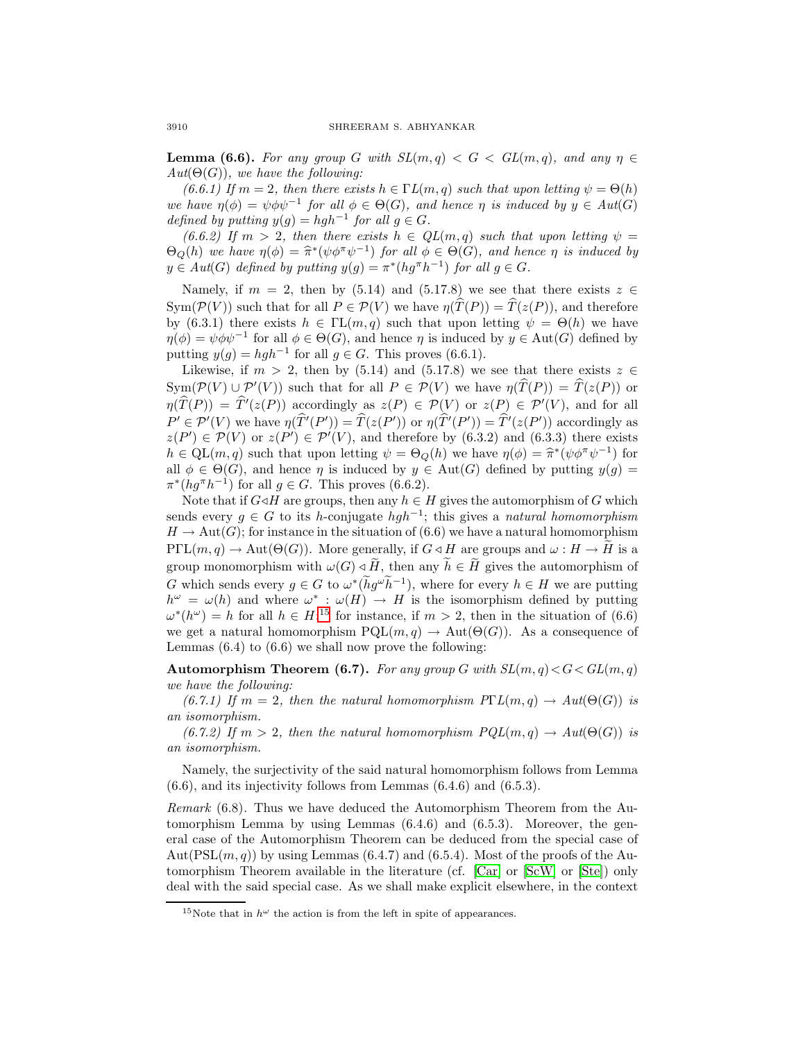**Lemma (6.6).** For any group G with  $SL(m,q) < G < GL(m,q)$ , and any  $\eta \in$  $Aut(\Theta(G))$ , we have the following:

(6.6.1) If  $m = 2$ , then there exists  $h \in \Gamma L(m, q)$  such that upon letting  $\psi = \Theta(h)$ we have  $\eta(\phi) = \psi \phi \psi^{-1}$  for all  $\phi \in \Theta(G)$ , and hence  $\eta$  is induced by  $y \in Aut(G)$ defined by putting  $y(q) = hgh^{-1}$  for all  $q \in G$ .

(6.6.2) If  $m > 2$ , then there exists  $h \in QL(m,q)$  such that upon letting  $\psi =$  $\Theta_Q(h)$  we have  $\eta(\phi) = \hat{\pi}^*(\psi \phi^{\pi} \psi^{-1})$  for all  $\phi \in \Theta(G)$ , and hence  $\eta$  is induced by  $y \in Aut(G)$  defined by putting  $y(g) = \pi^*(hg^{\pi}h^{-1})$  for all  $g \in G$ .

Namely, if  $m = 2$ , then by (5.14) and (5.17.8) we see that there exists  $z \in \mathbb{R}$  $Sym(\mathcal{P}(V))$  such that for all  $P \in \mathcal{P}(V)$  we have  $\eta(\widehat{T}(P)) = \widehat{T}(z(P))$ , and therefore by (6.3.1) there exists  $h \in \Pi(m, q)$  such that upon letting  $\psi = \Theta(h)$  we have  $\eta(\phi) = \psi \phi \psi^{-1}$  for all  $\phi \in \Theta(G)$ , and hence  $\eta$  is induced by  $y \in \text{Aut}(G)$  defined by putting  $y(g) = hgh^{-1}$  for all  $g \in G$ . This proves (6.6.1).

Likewise, if  $m > 2$ , then by (5.14) and (5.17.8) we see that there exists  $z \in \mathbb{R}$  $\text{Sym}(\mathcal{P}(V) \cup \mathcal{P}'(V))$  such that for all  $P \in \mathcal{P}(V)$  we have  $\eta(T(P)) = T(z(P))$  or  $\eta(T(P)) = T'(z(P))$  accordingly as  $z(P) \in \mathcal{P}(V)$  or  $z(P) \in \mathcal{P}'(V)$ , and for all  $P' \in \mathcal{P}'(V)$  we have  $\eta(T'(P')) = T(z(P'))$  or  $\eta(T'(P')) = T'(z(P'))$  accordingly as  $z(P') \in \mathcal{P}(V)$  or  $z(P') \in \mathcal{P}'(V)$ , and therefore by  $(6.3.2)$  and  $(6.3.3)$  there exists  $h \in QL(m, q)$  such that upon letting  $\psi = \Theta_Q(h)$  we have  $\eta(\phi) = \hat{\pi}^*(\psi \phi^{\pi} \psi^{-1})$  for all  $\phi \in \Theta(G)$ , and hence  $\eta$  is induced by  $y \in \text{Aut}(G)$  defined by putting  $y(g)$  =  $\pi^*(hg^{\pi}h^{-1})$  for all  $g \in G$ . This proves (6.6.2).

Note that if  $G \triangleleft H$  are groups, then any  $h \in H$  gives the automorphism of G which sends every  $q \in G$  to its h-conjugate  $hq^{-1}$ ; this gives a natural homomorphism  $H \to \text{Aut}(G)$ ; for instance in the situation of (6.6) we have a natural homomorphism  $P\Gamma\mathrm{L}(m,q) \to \mathrm{Aut}(\Theta(G))$ . More generally, if  $G \triangleleft H$  are groups and  $\omega : H \to H$  is a group monomorphism with  $\omega(G) \triangleleft H$ , then any  $h \in H$  gives the automorphism of G which sends every  $g \in G$  to  $\omega^*(hg^{\omega}h^{-1})$ , where for every  $h \in H$  we are putting  $h^{\omega} = \omega(h)$  and where  $\omega^* : \omega(H) \to H$  is the isomorphism defined by putting  $\omega^*(h^{\omega}) = h$  for all  $h \in H;^{15}$  $h \in H;^{15}$  $h \in H;^{15}$  for instance, if  $m > 2$ , then in the situation of (6.6) we get a natural homomorphism  $PQL(m, q) \to Aut(\Theta(G))$ . As a consequence of Lemmas  $(6.4)$  to  $(6.6)$  we shall now prove the following:

**Automorphism Theorem (6.7).** For any group G with  $SL(m, q) < G < GL(m, q)$ we have the following:

(6.7.1) If  $m = 2$ , then the natural homomorphism  $P\Gamma L(m, q) \to Aut(O(G))$  is an isomorphism.

(6.7.2) If  $m > 2$ , then the natural homomorphism  $PQL(m, q) \rightarrow Aut(\Theta(G))$  is an isomorphism.

Namely, the surjectivity of the said natural homomorphism follows from Lemma  $(6.6)$ , and its injectivity follows from Lemmas  $(6.4.6)$  and  $(6.5.3)$ .

Remark (6.8). Thus we have deduced the Automorphism Theorem from the Automorphism Lemma by using Lemmas (6.4.6) and (6.5.3). Moreover, the general case of the Automorphism Theorem can be deduced from the special case of  $Aut(PSL(m, q))$  by using Lemmas (6.4.7) and (6.5.4). Most of the proofs of the Automorphism Theorem available in the literature (cf. [\[Car\]](#page-31-9) or [\[ScW\]](#page-31-3) or [\[Ste\]](#page-31-8)) only deal with the said special case. As we shall make explicit elsewhere, in the context

<span id="page-29-0"></span><sup>&</sup>lt;sup>15</sup>Note that in  $h^{\omega}$  the action is from the left in spite of appearances.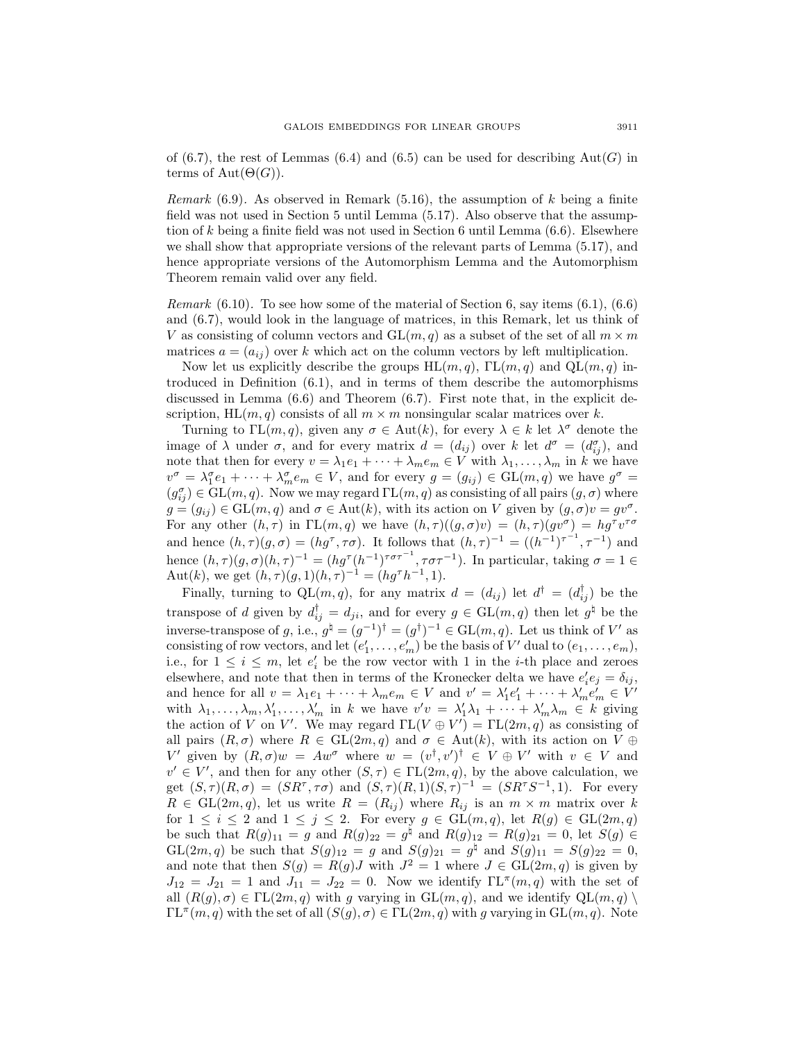of (6.7), the rest of Lemmas (6.4) and (6.5) can be used for describing  $Aut(G)$  in terms of  $Aut(\Theta(G))$ .

*Remark* (6.9). As observed in Remark (5.16), the assumption of  $k$  being a finite field was not used in Section 5 until Lemma (5.17). Also observe that the assumption of  $k$  being a finite field was not used in Section 6 until Lemma  $(6.6)$ . Elsewhere we shall show that appropriate versions of the relevant parts of Lemma (5.17), and hence appropriate versions of the Automorphism Lemma and the Automorphism Theorem remain valid over any field.

*Remark*  $(6.10)$ . To see how some of the material of Section 6, say items  $(6.1)$ ,  $(6.6)$ and (6.7), would look in the language of matrices, in this Remark, let us think of V as consisting of column vectors and  $GL(m, q)$  as a subset of the set of all  $m \times m$ matrices  $a = (a_{ij})$  over k which act on the column vectors by left multiplication.

Now let us explicitly describe the groups  $HL(m, q)$ ,  $TL(m, q)$  and  $QL(m, q)$  introduced in Definition (6.1), and in terms of them describe the automorphisms discussed in Lemma (6.6) and Theorem (6.7). First note that, in the explicit description, HL $(m, q)$  consists of all  $m \times m$  nonsingular scalar matrices over k.

Turning to  $\Gamma\mathrm{L}(m,q)$ , given any  $\sigma \in \mathrm{Aut}(k)$ , for every  $\lambda \in k$  let  $\lambda^{\sigma}$  denote the image of  $\lambda$  under  $\sigma$ , and for every matrix  $d = (d_{ij})$  over k let  $d^{\sigma} = (d^{\sigma}_{ij})$ , and note that then for every  $v = \lambda_1 e_1 + \cdots + \lambda_m e_m \in V$  with  $\lambda_1, \ldots, \lambda_m$  in k we have  $v^{\sigma} = \lambda_1^{\sigma} e_1 + \cdots + \lambda_m^{\sigma} e_m \in V$ , and for every  $g = (g_{ij}) \in GL(m, q)$  we have  $g^{\sigma} =$  $(g_{ij}^{\sigma}) \in GL(m, q)$ . Now we may regard  $\text{TL}(m, q)$  as consisting of all pairs  $(g, \sigma)$  where  $g = (g_{ij}) \in GL(m, q)$  and  $\sigma \in Aut(k)$ , with its action on V given by  $(g, \sigma)v = gv^{\sigma}$ . For any other  $(h, \tau)$  in  $\Gamma\mathcal{L}(m, q)$  we have  $(h, \tau)((g, \sigma)v)=(h, \tau)(gv^{\sigma}) = hg^{\tau}v^{\tau\sigma}$ and hence  $(h, \tau)(g, \sigma) = (hg^{\tau}, \tau\sigma)$ . It follows that  $(h, \tau)^{-1} = ((h^{-1})^{\tau^{-1}}, \tau^{-1})$  and hence  $(h,\tau)(g,\sigma)(h,\tau)^{-1} = (hg^{\tau}(h^{-1})^{\tau\sigma\tau^{-1}}, \tau\sigma\tau^{-1})$ . In particular, taking  $\sigma = 1 \in$ Aut(k), we get  $(h, \tau)(g, 1)(h, \tau)^{-1} = (hg^{\tau}h^{-1}, 1).$ 

Finally, turning to  $QL(m, q)$ , for any matrix  $d = (d_{ij})$  let  $d^{\dagger} = (d_{ij}^{\dagger})$  be the transpose of d given by  $d_{ij}^{\dagger} = d_{ji}$ , and for every  $g \in GL(m, q)$  then let  $g^{\dagger}$  be the inverse-transpose of g, i.e.,  $g^{\dagger} = (g^{-1})^{\dagger} = (g^{\dagger})^{-1} \in GL(m, q)$ . Let us think of V' as consisting of row vectors, and let  $(e'_1, \ldots, e'_m)$  be the basis of  $V'$  dual to  $(e_1, \ldots, e_m)$ , i.e., for  $1 \leq i \leq m$ , let  $e'_i$  be the row vector with 1 in the *i*-th place and zeroes elsewhere, and note that then in terms of the Kronecker delta we have  $e_i'e_j = \delta_{ij}$ , and hence for all  $v = \lambda_1 e_1 + \cdots + \lambda_m e_m \in V$  and  $v' = \lambda'_1 e'_1 + \cdots + \lambda'_m e'_m \in V'$ with  $\lambda_1, \ldots, \lambda_m, \lambda'_1, \ldots, \lambda'_m$  in k we have  $v'v = \lambda'_1 \lambda_1 + \cdots + \lambda'_m \lambda_m \in k$  giving the action of V on V'. We may regard  $\Gamma L(V \oplus V') = \Gamma L(2m, q)$  as consisting of all pairs  $(R, \sigma)$  where  $R \in GL(2m, q)$  and  $\sigma \in Aut(k)$ , with its action on  $V \oplus$ V' given by  $(R, \sigma)w = Aw^{\sigma}$  where  $w = (v^{\dagger}, v')^{\dagger} \in V \oplus V'$  with  $v \in V$  and  $v' \in V'$ , and then for any other  $(S, \tau) \in \Gamma\mathcal{L}(2m, q)$ , by the above calculation, we get  $(S, \tau)(R, \sigma) = (SR^{\tau}, \tau\sigma)$  and  $(S, \tau)(R, 1)(S, \tau)^{-1} = (SR^{\tau}S^{-1}, 1)$ . For every  $R \in GL(2m, q)$ , let us write  $R = (R_{ij})$  where  $R_{ij}$  is an  $m \times m$  matrix over k for  $1 \leq i \leq 2$  and  $1 \leq j \leq 2$ . For every  $g \in GL(m, q)$ , let  $R(g) \in GL(2m, q)$ be such that  $R(g)_{11} = g$  and  $R(g)_{22} = g^{\dagger}$  and  $R(g)_{12} = R(g)_{21} = 0$ , let  $S(g) \in$  $GL(2m, q)$  be such that  $S(g)_{12} = g$  and  $S(g)_{21} = g^{\sharp}$  and  $S(g)_{11} = S(g)_{22} = 0$ , and note that then  $S(g) = R(g)J$  with  $J^2 = 1$  where  $J \in GL(2m, q)$  is given by  $J_{12} = J_{21} = 1$  and  $J_{11} = J_{22} = 0$ . Now we identify  $\Gamma\mathrm{L}^{\pi}(m, q)$  with the set of all  $(R(g), \sigma) \in \Gamma_{\mathbf{L}}(2m, q)$  with g varying in  $\mathrm{GL}(m, q)$ , and we identify  $\mathrm{QL}(m, q)$  $\Gamma\mathrm{L}^{\pi}(m,q)$  with the set of all  $(S(g), \sigma) \in \Gamma\mathrm{L}(2m, q)$  with g varying in  $\mathrm{GL}(m, q)$ . Note